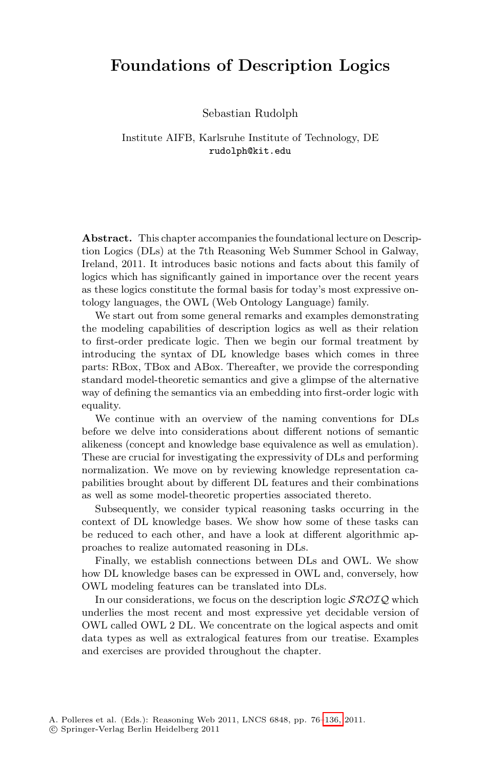# **Foundations of Description Logics**

Sebastian Rudolph

Institute AIFB, Karlsruhe Institute of Technology, DE rudolph@kit.edu

**Abstract.** This chapter accompanies the foundational lecture on Description Logics (DLs) at the 7th Reasoning Web Summer School in Galway, Ireland, 2011. It introduces basic notions and facts about this family of logics which has significantly gained in importance over the recent years as these logics constitute the formal basis for today's most expressive ontology languages, the OWL (Web Ontology Language) family.

We start out from some general remarks and examples demonstrating the modeling capabilities of description logics as well as their relation to first-order predicate logic. Then we begin our formal treatment by introducing the syntax of DL knowledge bases which comes in three parts: RBox, TBox and ABox. Thereafter, we provide the corresponding standard model-theoretic semantics and give a glimpse of the alternative way of defining the semantics via an embedding into first-order logic with equality.

We continue with an overview of the naming conventions for DLs before we delve into considerations about different notions of semantic alikeness (concept and knowledge base equivalence as well as emulation). These are crucial for investigating the expressivity of DLs and performing normalization. We move on by reviewing knowledge representation capabilities brought about by different DL features and their combinations as well as some model-theoretic properties associated thereto.

Subsequently, we consider typical reasoning tasks occurring in the context of DL knowledge bases. We show how some of these tasks can be reduced to each other, and have a look at different algorithmic approaches to realize automated reasoning in DLs.

Finally, we establish connections between DLs and OWL. We show how DL knowledge bases can be expressed in OWL and, conversely, how OWL modeling features can be translated into DLs.

In our considerations, we focus on the description logic  $\mathcal{SROIO}$  which underlies the most recent and most expressive yet decidable version of OWL called OWL 2 DL. We concentrate on the logical aspects and omit data types as well as extralogical features from our treatise. Examples and exercises are provided throughout the chapter.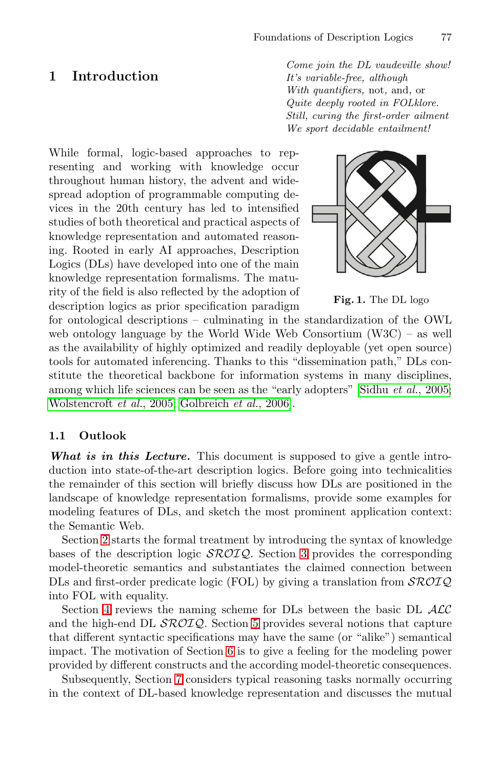It's variable-free, although

# **1 Introduction**

While formal, logic-based approaches to representing and working with knowledge occur throughout human history, the advent and widespread adoption of programmable computing devices in the 20th century has led to intensified studies of both theoretical and practical aspects of knowledge representation and automated reasoning. Rooted in early AI approaches, Description Logics (DLs) have developed into one of the main knowledge representation formalisms. The maturity of the field is also reflected by the adoption of description logics as prior specification paradigm

With quantifiers, not, and, or Quite deeply rooted in FOLklore. Still, curing the first-order ailment We sport decidable entailment!

Come join the DL vaudeville show!



**Fig. 1.** The DL logo

for ontological descriptions – culminating in the standardization of the OWL web ontology language by the World Wide Web Consortium  $(W3C)$  – as well as the availability of highly optimized and readily deployable (yet open source) tools for automated inferencing. Thanks to this "dissemination path," DLs constitute the theoretical backbone for information systems in many disciplines, among which life sciences can be seen as the "early adopters" [Sidhu *et al.*[, 2005;](#page-60-1) [Wolstencroft](#page-60-2) *et al.*, 2005; [Golbreich](#page-58-0) *et al.*, 2006].

#### **1.1 Outlook**

*What is in this Lecture.* This document is supposed to give a gentle introduction into state-of-the-art description logics. Before going into technicalities the remainder of this section will briefly discuss how DLs are positioned in the landscape of knowledge representation formalisms, provide some examples for modeling features of DLs, and sketch the most prominent application context: the Semantic Web.

Section [2](#page-6-0) starts the formal treatment by introducing the syntax of knowledge bases of the description logic  $\mathcal{SROLQ}$ . Section [3](#page-10-0) provides the corresponding model-theoretic semantics and substantiates the claimed connection between DLs and first-order predicate logic (FOL) by giving a translation from  $\mathcal{SROIQ}$ into FOL with equality.

Section [4](#page-20-0) reviews the naming scheme for DLs between the basic DL  $\mathcal{ALC}$ and the high-end DL  $\mathcal{SRO}IQ$ . Section [5](#page-21-0) provides several notions that capture that different syntactic specifications may have the same (or "alike") semantical impact. The motivation of Section [6](#page-30-0) is to give a feeling for the modeling power provided by different constructs and the according model-theoretic consequences.

Subsequently, Section [7](#page-40-0) considers typical reasoning tasks normally occurring in the context of DL-based knowledge representation and discusses the mutual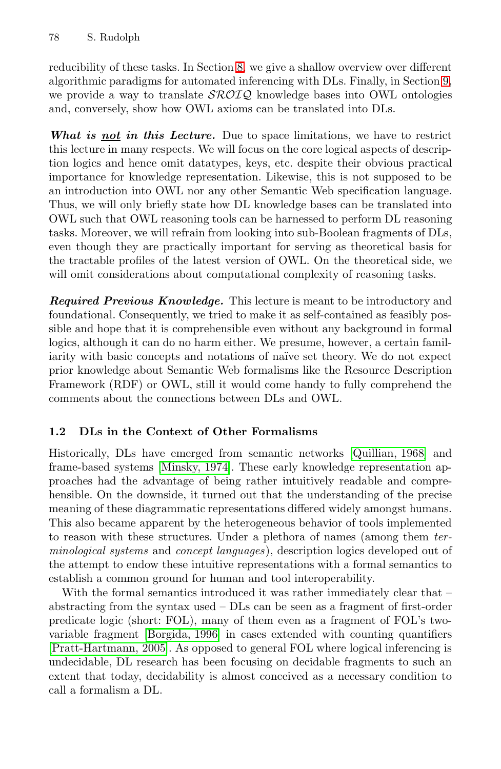reducibility of these tasks. In Section [8,](#page-45-0) we give a shallow overview over different algorithmic paradigms for automated inferencing with DLs. Finally, in Section [9,](#page-50-0) we provide a way to translate  $\mathcal{SROLQ}$  knowledge bases into OWL ontologies and, conversely, show how OWL axioms can be translated into DLs.

*What is not in this Lecture.* Due to space limitations, we have to restrict this lecture in many respects. We will focus on the core logical aspects of description logics and hence omit datatypes, keys, etc. despite their obvious practical importance for knowledge representation. Likewise, this is not supposed to be an introduction into OWL nor any other Semantic Web specification language. Thus, we will only briefly state how DL knowledge bases can be translated into OWL such that OWL reasoning tools can be harnessed to perform DL reasoning tasks. Moreover, we will refrain from looking into sub-Boolean fragments of DLs, even though they are practically important for serving as theoretical basis for the tractable profiles of the latest version of OWL. On the theoretical side, we will omit considerations about computational complexity of reasoning tasks.

*Required Previous Knowledge.* This lecture is meant to be introductory and foundational. Consequently, we tried to make it as self-contained as feasibly possible and hope that it is comprehensible even without any background in formal logics, although it can do no harm either. We presume, however, a certain familiarity with basic concepts and notations of naïve set theory. We do not expect prior knowledge about Semantic Web formalisms like the Resource Description Framework (RDF) or OWL, still it would come handy to fully comprehend the comments about the connections between DLs and OWL.

# **1.2 DLs in the Context of Other Formalisms**

Historically, DLs have emerged from semantic networks [\[Quillian, 1968\]](#page-59-0) and frame-based systems [\[Minsky, 1974\]](#page-59-1). These early knowledge representation approaches had the advantage of being rather intuitively readable and comprehensible. On the downside, it turned out that the understanding of the precise meaning of these diagrammatic representations differed widely amongst humans. This also became apparent by the heterogeneous behavior of tools implemented to reason with these structures. Under a plethora of names (among them *terminological systems* and *concept languages*), description logics developed out of the attempt to endow these intuitive representations with a formal semantics to establish a common ground for human and tool interoperability.

With the formal semantics introduced it was rather immediately clear that – abstracting from the syntax used – DLs can be seen as a fragment of first-order predicate logic (short: FOL), many of them even as a fragment of FOL's twovariable fragment [\[Borgida, 1996\]](#page-57-0) in cases extended with counting quantifiers [\[Pratt-Hartmann, 2005\]](#page-59-2). As opposed to general FOL where logical inferencing is undecidable, DL research has been focusing on decidable fragments to such an extent that today, decidability is almost conceived as a necessary condition to call a formalism a DL.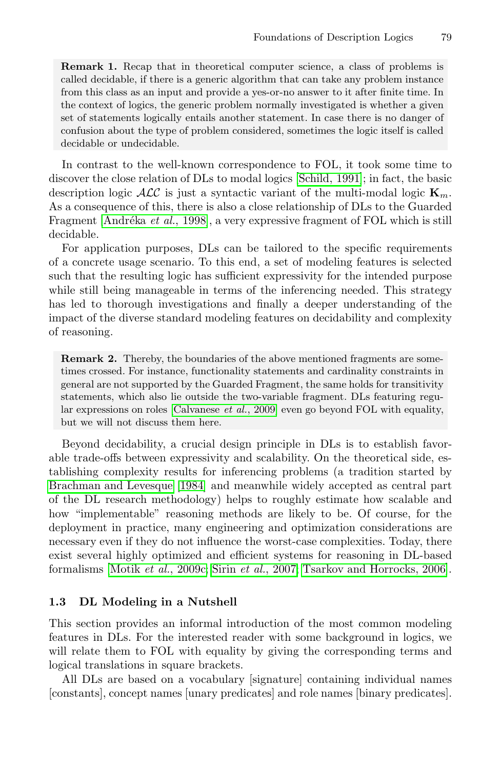**Remark 1.** Recap that in theoretical computer science, a class of problems is called decidable, if there is a generic algorithm that can take any problem instance from this class as an input and provide a yes-or-no answer to it after finite time. In the context of logics, the generic problem normally investigated is whether a given set of statements logically entails another statement. In case there is no danger of confusion about the type of problem considered, sometimes the logic itself is called decidable or undecidable.

In contrast to the well-known correspondence to FOL, it took some time to discover the close relation of DLs to modal logics [\[Schild, 1991\]](#page-60-3); in fact, the basic description logic  $\mathcal{ALC}$  is just a syntactic variant of the multi-modal logic  $\mathbf{K}_m$ . As a consequence of this, there is also a close relationship of DLs to the Guarded Fragment [Andréka *et al.*, 1998], a very expressive fragment of FOL which is still decidable.

For application purposes, DLs can be tailored to the specific requirements of a concrete usage scenario. To this end, a set of modeling features is selected such that the resulting logic has sufficient expressivity for the intended purpose while still being manageable in terms of the inferencing needed. This strategy has led to thorough investigations and finally a deeper understanding of the impact of the diverse standard modeling features on decidability and complexity of reasoning.

**Remark 2.** Thereby, the boundaries of the above mentioned fragments are sometimes crossed. For instance, functionality statements and cardinality constraints in general are not supported by the Guarded Fragment, the same holds for transitivity statements, which also lie outside the two-variable fragment. DLs featuring regular expressions on roles [\[Calvanese](#page-57-2) et al., 2009] even go beyond FOL with equality, but we will not discuss them here.

Beyond decidability, a crucial design principle in DLs is to establish favorable trade-offs between expressivity and scalability. On the theoretical side, establishing complexity results for inferencing problems (a tradition started by [Brachman and Levesque](#page-57-3) [\[1984\]](#page-57-3) and meanwhile widely accepted as central part of the DL research methodology) helps to roughly estimate how scalable and how "implementable" reasoning methods are likely to be. Of course, for the deployment in practice, many engineering and optimization considerations are necessary even if they do not influence the worst-case complexities. Today, there exist several highly optimized and efficient systems for reasoning in DL-based formalisms [Motik *et al.*[, 2009c;](#page-59-3) Sirin *et al.*[, 2007;](#page-60-4) [Tsarkov and Horrocks, 2006\]](#page-60-5).

#### **1.3 DL Modeling in a Nutshell**

This section provides an informal introduction of the most common modeling features in DLs. For the interested reader with some background in logics, we will relate them to FOL with equality by giving the corresponding terms and logical translations in square brackets.

All DLs are based on a vocabulary [signature] containing individual names [constants], concept names [unary predicates] and role names [binary predicates].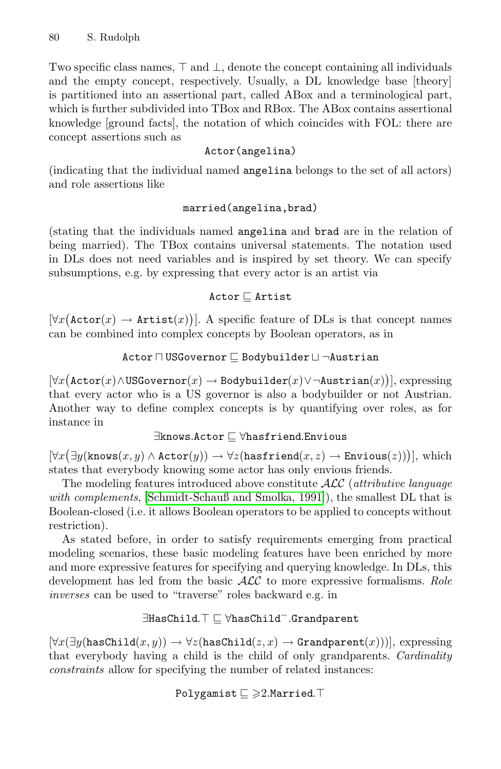Two specific class names,  $\top$  and  $\bot$ , denote the concept containing all individuals and the empty concept, respectively. Usually, a DL knowledge base [theory] is partitioned into an assertional part, called ABox and a terminological part, which is further subdivided into TBox and RBox. The ABox contains assertional knowledge [ground facts], the notation of which coincides with FOL: there are concept assertions such as

## Actor(angelina)

(indicating that the individual named angelina belongs to the set of all actors) and role assertions like

# married(angelina,brad)

(stating that the individuals named angelina and brad are in the relation of being married). The TBox contains universal statements. The notation used in DLs does not need variables and is inspired by set theory. We can specify subsumptions, e.g. by expressing that every actor is an artist via

# $Actor \sqsubset Artist$

 $[\forall x (\texttt{Actor}(x) \rightarrow \texttt{Artist}(x))].$  A specific feature of DLs is that concept names can be combined into complex concepts by Boolean operators, as in

$$
\texttt{Actor} \sqcap \texttt{USGovernment} \sqsubseteq \texttt{Bodybuilder} \sqcup \neg \texttt{Austriaan}
$$

 $[\forall x (\texttt{Actor}(x) \land \texttt{USGovernment}(x) \rightarrow \texttt{Bodybuilder}(x) \lor \neg \texttt{Austrian}(x))], \text{expressing}$ that every actor who is a US governor is also a bodybuilder or not Austrian. Another way to define complex concepts is by quantifying over roles, as for instance in

# ∃knows.Actor ∀hasfriend.Envious

 $[\forall x (\exists y (\texttt{knows}(x, y) \land \texttt{Actor}(y)) \rightarrow \forall z (\texttt{hasfriend}(x, z) \rightarrow \texttt{Envious}(z)))]$ , which states that everybody knowing some actor has only envious friends.

The modeling features introduced above constitute ALC (*attributive language with complements*, [\[Schmidt-Schauß and Smolka, 1991\]](#page-60-6)), the smallest DL that is Boolean-closed (i.e. it allows Boolean operators to be applied to concepts without restriction).

As stated before, in order to satisfy requirements emerging from practical modeling scenarios, these basic modeling features have been enriched by more and more expressive features for specifying and querying knowledge. In DLs, this development has led from the basic ALC to more expressive formalisms. *Role inverses* can be used to "traverse" roles backward e.g. in

# ∃HasChild. $\top \sqsubseteq \forall$ hasChild<sup>-</sup>.Grandparent

 $[\forall x(\exists y(\texttt{hasChild}(x, y)) \rightarrow \forall z(\texttt{hasChild}(z, x) \rightarrow \texttt{Grandparent}(x)))]$ , expressing that everybody having a child is the child of only grandparents. *Cardinality constraints* allow for specifying the number of related instances:

$$
\mathtt{Polygamist} \sqsubseteq \geqslant 2.\mathtt{Married.} \top
$$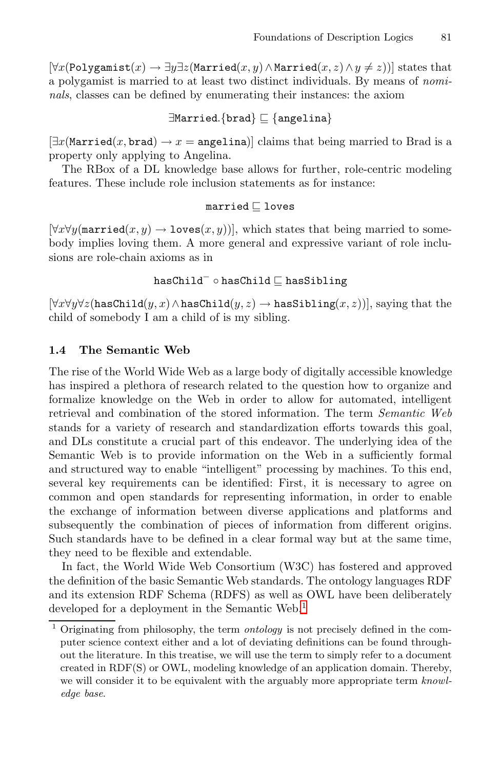$[\forall x(\text{Polygamist}(x) \rightarrow \exists y \exists z(\text{Married}(x, y) \land \text{Married}(x, z) \land y \neq z))]$  states that a polygamist is married to at least two distinct individuals. By means of *nominals*, classes can be defined by enumerating their instances: the axiom

∃Married.{brad}{angelina}

 $[\exists x(\texttt{Married}(x, \texttt{brad}) \rightarrow x = \texttt{angelina})]$  claims that being married to Brad is a property only applying to Angelina.

The RBox of a DL knowledge base allows for further, role-centric modeling features. These include role inclusion statements as for instance:

#### $married \sqsubset$  loves

 $[\forall x \forall y (\text{married}(x, y) \rightarrow \text{loves}(x, y))]$ , which states that being married to somebody implies loving them. A more general and expressive variant of role inclusions are role-chain axioms as in

#### hasChild<sup>-</sup> ∘ hasChild  $\sqsubseteq$  hasSibling

 $[\forall x \forall y \forall z$ (hasChild $(y, x) \land$ hasChild $(y, z) \rightarrow$ hasSibling $(x, z)$ ), saying that the child of somebody I am a child of is my sibling.

#### **1.4 The Semantic Web**

The rise of the World Wide Web as a large body of digitally accessible knowledge has inspired a plethora of research related to the question how to organize and formalize knowledge on the Web in order to allow for automated, intelligent retrieval and combination of the stored information. The term *Semantic Web* stands for a variety of research and standardization efforts towards this goal, and DLs constitute a crucial part of this endeavor. The underlying idea of the Semantic Web is to provide information on the Web in a sufficiently formal and structured way to enable "intelligent" processing by machines. To this end, several key requirements can be identified: First, it is necessary to agree on common and open standards for representing information, in order to enable the exchange of information between diverse applications and platforms and subsequently the combination of pieces of information from different origins. Such standards have to be defined in a clear formal way but at the same time, they need to be flexible and extendable.

In fact, the World Wide Web Consortium (W3C) has fostered and approved the definition of the basic Semantic Web standards. The ontology languages RDF and its extension RDF Schema (RDFS) as well as OWL have been deliberately developed for a deployment in the Semantic Web.[1](#page-5-0)

<span id="page-5-0"></span> $1$  Originating from philosophy, the term *ontology* is not precisely defined in the computer science context either and a lot of deviating definitions can be found throughout the literature. In this treatise, we will use the term to simply refer to a document created in RDF(S) or OWL, modeling knowledge of an application domain. Thereby, we will consider it to be equivalent with the arguably more appropriate term knowledge base.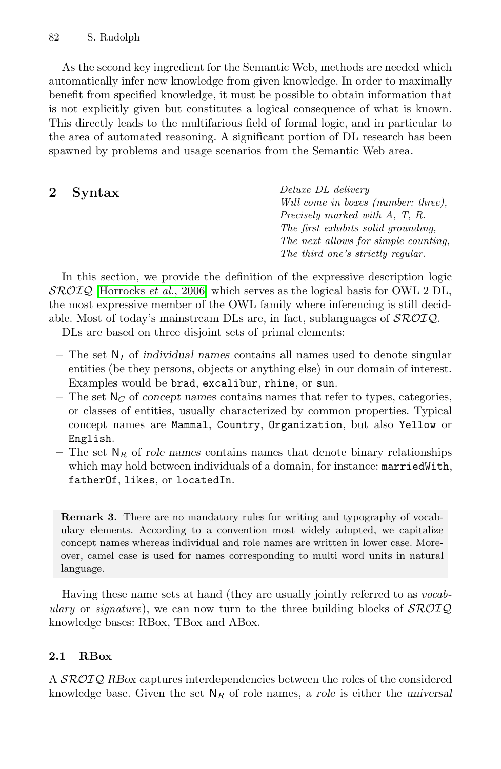As the second key ingredient for the Semantic Web, methods are needed which automatically infer new knowledge from given knowledge. In order to maximally benefit from specified knowledge, it must be possible to obtain information that is not explicitly given but constitutes a logical consequence of what is known. This directly leads to the multifarious field of formal logic, and in particular to the area of automated reasoning. A significant portion of DL research has been spawned by problems and usage scenarios from the Semantic Web area.

<span id="page-6-0"></span>**2** Syntax Deluxe DL delivery Will come in boxes (number: three), Precisely marked with A, T, R. The first exhibits solid grounding, The next allows for simple counting, The third one's strictly regular.

In this section, we provide the definition of the expressive description logic SROIQ [\[Horrocks](#page-58-1) *et al.*, 2006] which serves as the logical basis for OWL 2 DL, the most expressive member of the OWL family where inferencing is still decidable. Most of today's mainstream DLs are, in fact, sublanguages of  $\mathcal{SROIQ}$ .

DLs are based on three disjoint sets of primal elements:

- $-$  The set  $N_I$  of *individual names* contains all names used to denote singular entities (be they persons, objects or anything else) in our domain of interest. Examples would be brad, excalibur, rhine, or sun.
- $-$  The set  $\mathbb{N}_C$  of *concept names* contains names that refer to types, categories, or classes of entities, usually characterized by common properties. Typical concept names are Mammal, Country, Organization, but also Yellow or English.
- $-$  The set  $N_R$  of *role names* contains names that denote binary relationships which may hold between individuals of a domain, for instance: marriedWith, fatherOf, likes, or locatedIn.

**Remark 3.** There are no mandatory rules for writing and typography of vocabulary elements. According to a convention most widely adopted, we capitalize concept names whereas individual and role names are written in lower case. Moreover, camel case is used for names corresponding to multi word units in natural language.

Having these name sets at hand (they are usually jointly referred to as *vocabulary* or *signature*), we can now turn to the three building blocks of SROIQ knowledge bases: RBox, TBox and ABox.

# **2.1 RBox**

A SROIQ *RBox* captures interdependencies between the roles of the considered knowledge base. Given the set  $N_R$  of role names, a *role* is either the *universal*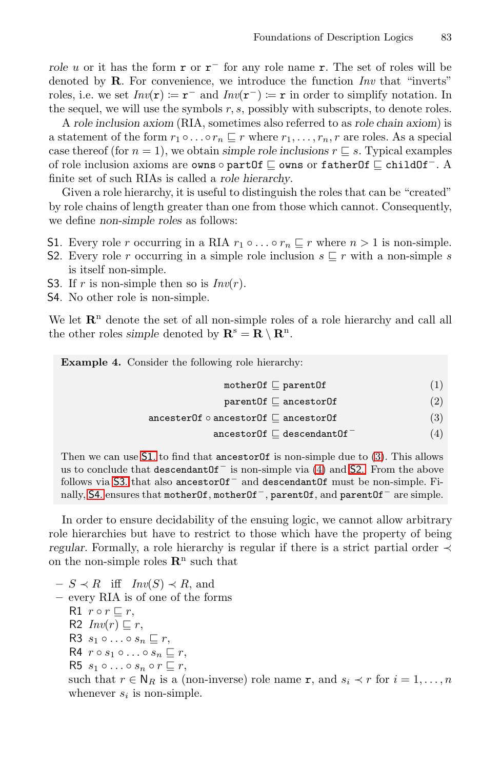*role u* or it has the form **r** or **r**<sup>−</sup> for any role name **r**. The set of roles will be denoted by **R**. For convenience, we introduce the function *Inv* that "inverts" roles, i.e. we set  $Inv(\mathbf{r}) := \mathbf{r}^-$  and  $Inv(\mathbf{r}^-) := \mathbf{r}$  in order to simplify notation. In the sequel, we will use the symbols  $r, s$ , possibly with subscripts, to denote roles.

A *role inclusion axiom* (RIA, sometimes also referred to as *role chain axiom*) is a statement of the form  $r_1 \circ \ldots \circ r_n \sqsubseteq r$  where  $r_1, \ldots, r_n, r$  are roles. As a special case thereof (for  $n = 1$ ), we obtain *simple role inclusions*  $r \subseteq s$ . Typical examples of role inclusion axioms are owns ∘ partOf  $\sqsubseteq$  owns or fatherOf  $\sqsubseteq$  childOf<sup>-</sup>. A finite set of such RIAs is called a *role hierarchy*.

Given a role hierarchy, it is useful to distinguish the roles that can be "created" by role chains of length greater than one from those which cannot. Consequently, we define *non-simple roles* as follows:

- <span id="page-7-2"></span><span id="page-7-0"></span>S1. Every role r occurring in a RIA  $r_1 \circ \ldots \circ r_n \sqsubseteq r$  where  $n > 1$  is non-simple.
- S2. Every role r occurring in a simple role inclusion  $s \subseteq r$  with a non-simple s is itself non-simple.
- <span id="page-7-4"></span><span id="page-7-3"></span>S3. If r is non-simple then so is *Inv*(r).
- S4. No other role is non-simple.

We let  $\mathbb{R}^n$  denote the set of all non-simple roles of a role hierarchy and call all the other roles *simple* denoted by  $\mathbf{R}^s = \mathbf{R} \setminus \mathbf{R}^n$ .

**Example 4.** Consider the following role hierarchy:

<span id="page-7-1"></span> $\texttt{motherOf} \sqsubseteq \texttt{parentOf} \tag{1}$ 

$$
\texttt{parentOf} \sqsubseteq \texttt{ancestorOf} \qquad \qquad (2)
$$

$$
\mathtt{ancesterOf} \circ \mathtt{ancestorOf} \sqsubseteq \mathtt{ancestorOf} \qquad \qquad (3)
$$

 $\mathtt{ancestorOf} \sqsubseteq \mathtt{descendantOf}^-$  (4)

Then we can use  $S1$ . to find that **ancestorOf** is non-simple due to  $(3)$ . This allows us to conclude that descendantOf<sup>−</sup> is non-simple via [\(4\)](#page-7-1) and [S2.](#page-7-2). From the above follows via [S3.](#page-7-3) that also ancestorOf<sup>−</sup> and descendantOf must be non-simple. Fi-nally, [S4.](#page-7-4) ensures that motherOf, motherOf<sup>-</sup>, parentOf, and parentOf<sup>-</sup> are simple.

In order to ensure decidability of the ensuing logic, we cannot allow arbitrary role hierarchies but have to restrict to those which have the property of being *regular*. Formally, a role hierarchy is regular if there is a strict partial order  $\prec$ on the non-simple roles  $\mathbb{R}^n$  such that

 $- S \prec R$  iff *Inv*(*S*)  $\prec R$ , and

- <span id="page-7-7"></span><span id="page-7-6"></span><span id="page-7-5"></span>**–** every RIA is of one of the forms
	- R1  $r \circ r \sqsubseteq r$ ,
	- R2  $Inv(r) \sqsubseteq r$ ,
	- R3  $s_1 \circ \ldots \circ s_n \sqsubseteq r$ ,
	- R4  $r \circ s_1 \circ \ldots \circ s_n \sqsubseteq r$ ,
	- R5  $s_1 \circ \ldots \circ s_n \circ r \sqsubseteq r$ ,

<span id="page-7-8"></span>such that  $r \in N_R$  is a (non-inverse) role name r, and  $s_i \prec r$  for  $i = 1, \ldots, n$ whenever  $s_i$  is non-simple.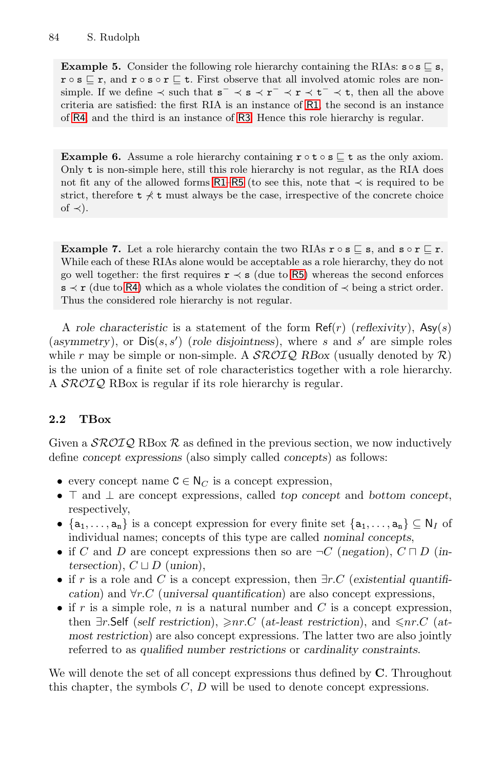**Example 5.** Consider the following role hierarchy containing the RIAs:  $s \circ s \sqsubseteq s$ ,  $\mathbf{r} \circ \mathbf{s} \sqsubseteq \mathbf{r}$ , and  $\mathbf{r} \circ \mathbf{s} \circ \mathbf{r} \sqsubseteq \mathbf{t}$ . First observe that all involved atomic roles are nonsimple. If we define  $\prec$  such that  $s^- \prec s \prec r^- \prec r \prec t^- \prec t$ , then all the above criteria are satisfied: the first RIA is an instance of [R1](#page-7-5), the second is an instance of [R4](#page-7-6), and the third is an instance of [R3](#page-7-7). Hence this role hierarchy is regular.

**Example 6.** Assume a role hierarchy containing  $\mathbf{r} \circ \mathbf{t} \circ \mathbf{s} \sqsubseteq \mathbf{t}$  as the only axiom.<br>Only  $\mathbf{t}$  is non-simple here, still this role hierarchy is not regular, as the RIA does Only t is non-simple here, still this role hierarchy is not regular, as the RIA does not fit any of the allowed forms [R1](#page-7-5)–[R5](#page-7-8) (to see this, note that ≺ is required to be strict, therefore  $t \nless t$  must always be the case, irrespective of the concrete choice of  $\prec$ ).

**Example 7.** Let a role hierarchy contain the two RIAs  $\mathbf{r} \circ \mathbf{s} \sqsubseteq \mathbf{s}$ , and  $\mathbf{s} \circ \mathbf{r} \sqsubseteq \mathbf{r}$ .<br>While each of these RIAs along would be accontable as a role hierarchy, they do not While each of these RIAs alone would be acceptable as a role hierarchy, they do not go well together: the first requires  $\mathbf{r} \prec \mathbf{s}$  (due to [R5](#page-7-8)) whereas the second enforces s  $\prec$  r (due to [R4](#page-7-6)) which as a whole violates the condition of  $\prec$  being a strict order. Thus the considered role hierarchy is not regular.

A *role characteristic* is a statement of the form  $Ref(r)$  (*reflexivity*),  $Asy(s)$ (asymmetry), or  $Dis(s, s')$  (role disjointness), where s and s' are simple roles while r may be simple or non-simple. A  $\mathcal{SROIQ}$  *RBox* (usually denoted by  $\mathcal{R}$ ) is the union of a finite set of role characteristics together with a role hierarchy. A SROIQ RBox is regular if its role hierarchy is regular.

# **2.2 TBox**

Given a  $\mathcal{SROLQ}$  RBox  $\mathcal R$  as defined in the previous section, we now inductively define *concept expressions* (also simply called *concepts*) as follows:

- every concept name  $C \in N_C$  is a concept expression,
- - and ⊥ are concept expressions, called *top concept* and *bottom concept*, respectively,
- $\{a_1,\ldots,a_n\}$  is a concept expression for every finite set  $\{a_1,\ldots,a_n\} \subseteq N_I$  of individual names; concepts of this type are called *nominal concepts*,
- if C and D are concept expressions then so are  $\neg C$  (*negation*),  $C \sqcap D$  (*intersection*),  $C \sqcup D$  (*union*),
- if r is a role and C is a concept expression, then ∃r.C (*existential quantification*) and ∀r.C (*universal quantification*) are also concept expressions,
- if r is a simple role, n is a natural number and C is a concept expression, then  $\exists r$ **.Self** (*self restriction*),  $\geqslant nr$ .C (*at-least restriction*), and  $\leqslant nr$ .C (*atmost restriction*) are also concept expressions. The latter two are also jointly referred to as *qualified number restrictions* or *cardinality constraints*.

We will denote the set of all concept expressions thus defined by **C**. Throughout this chapter, the symbols  $C, D$  will be used to denote concept expressions.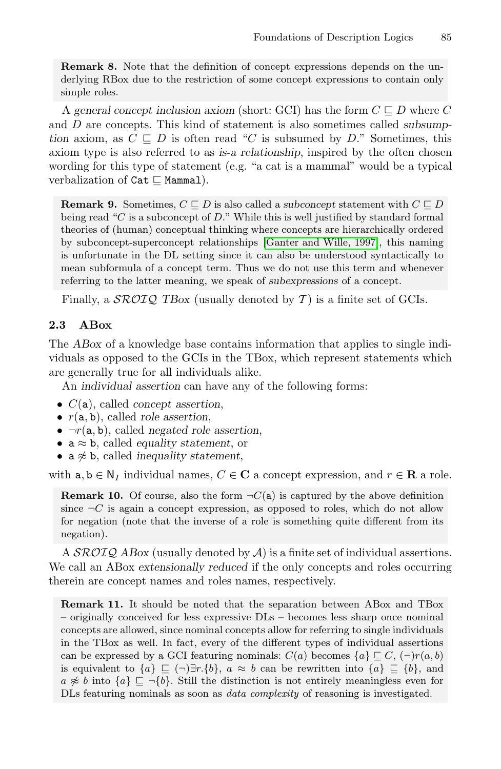**Remark 8.** Note that the definition of concept expressions depends on the underlying RBox due to the restriction of some concept expressions to contain only simple roles.

A general concept inclusion axiom (short: GCI) has the form  $C \subseteq D$  where C and D are concepts. This kind of statement is also sometimes called *subsumption* axiom, as  $C \subseteq D$  is often read "C is subsumed by D." Sometimes, this axiom type is also referred to as *is-a relationship*, inspired by the often chosen wording for this type of statement (e.g. "a cat is a mammal" would be a typical verbalization of  $Cat \sqsubseteq Mammal$ .

**Remark 9.** Sometimes,  $C \sqsubseteq D$  is also called a *subconcept* statement with  $C \sqsubseteq D$  being road "C is a subconcept of D." While this is well justified by standard formal being read " $C$  is a subconcept of  $D$ ." While this is well justified by standard formal theories of (human) conceptual thinking where concepts are hierarchically ordered by subconcept-superconcept relationships [\[Ganter and Wille, 1997\]](#page-57-4), this naming is unfortunate in the DL setting since it can also be understood syntactically to mean subformula of a concept term. Thus we do not use this term and whenever referring to the latter meaning, we speak of *subexpressions* of a concept.

Finally, a  $\mathcal{SROIQ}$  TBox (usually denoted by  $\mathcal{T}$ ) is a finite set of GCIs.

#### **2.3 ABox**

The *ABox* of a knowledge base contains information that applies to single individuals as opposed to the GCIs in the TBox, which represent statements which are generally true for all individuals alike.

An *individual assertion* can have any of the following forms:

- C(a), called *concept assertion*,
- r(a, b), called *role assertion*,
- $\bullet \ \neg r(a, b)$ , called *negated role assertion*,
- a ≈ b, called *equality statement*, or
- a ≈ b, called *inequality statement*,

with  $a, b \in N_I$  individual names,  $C \in \mathbb{C}$  a concept expression, and  $r \in \mathbb{R}$  a role.

**Remark 10.** Of course, also the form  $\neg C(\mathbf{a})$  is captured by the above definition since  $\neg C$  is again a concept expression, as opposed to roles, which do not allow for negation (note that the inverse of a role is something quite different from its negation).

A SROIQ *ABox* (usually denoted by A) is a finite set of individual assertions. We call an ABox *extensionally reduced* if the only concepts and roles occurring therein are concept names and roles names, respectively.

**Remark 11.** It should be noted that the separation between ABox and TBox – originally conceived for less expressive DLs – becomes less sharp once nominal concepts are allowed, since nominal concepts allow for referring to single individuals in the TBox as well. In fact, every of the different types of individual assertions can be expressed by a GCI featuring nominals:  $C(a)$  becomes  $\{a\} \sqsubseteq C, \,(\neg) r(a, b)$ is equivalent to  $\{a\} \subseteq (\neg) \exists r.\{b\}, a \approx b$  can be rewritten into  $\{a\} \subseteq \{b\},\$ and  $a \not\approx b$  into  $\{a\} \sqsubseteq \neg \{b\}$ . Still the distinction is not entirely meaningless even for DLs featuring nominals as soon as data complexity of reasoning is investigated.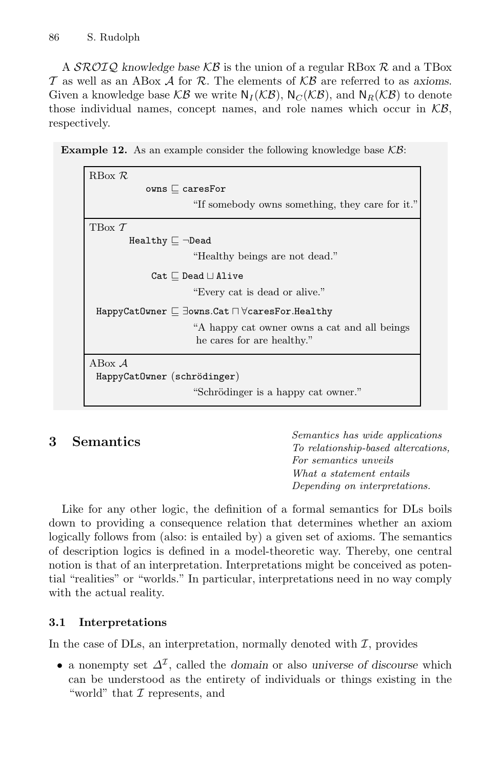A SROIQ *knowledge base* KB is the union of a regular RBox R and a TBox T as well as an ABox A for R. The elements of KB are referred to as *axioms*. Given a knowledge base  $KB$  we write  $N_I(\mathcal{KB})$ ,  $N_C(\mathcal{KB})$ , and  $N_R(\mathcal{KB})$  to denote those individual names, concept names, and role names which occur in  $K\mathcal{B}$ , respectively.

<span id="page-10-1"></span>**Example 12.** As an example consider the following knowledge base  $\mathcal{KB}$ :

| RBox R                                                                                                |
|-------------------------------------------------------------------------------------------------------|
| owns $\sqsubset$ cares For                                                                            |
| "If somebody owns something, they care for it."                                                       |
| TBox $\tau$                                                                                           |
| Healthy $\sqsubseteq \neg$ Dead                                                                       |
| "Healthy beings are not dead."                                                                        |
| $Cat \sqsubset$ Dead $\sqcup$ Alive                                                                   |
| "Every cat is dead or alive."                                                                         |
| $\texttt{HappyCatOwner} \sqsubset \exists \texttt{owns.Cat} \sqcap \forall \texttt{caresFor.Healthy}$ |
| "A happy cat owner owns a cat and all beings<br>he cares for are healthy."                            |
| $ABox \, A$                                                                                           |
| HappyCatOwner (schrödinger)                                                                           |
| "Schrödinger is a happy cat owner."                                                                   |

<span id="page-10-0"></span>**3 Semantics** Semantics **Semantics** Semantics has wide applications To relationship-based altercations, For semantics unveils What a statement entails Depending on interpretations.

Like for any other logic, the definition of a formal semantics for DLs boils down to providing a consequence relation that determines whether an axiom logically follows from (also: is entailed by) a given set of axioms. The semantics of description logics is defined in a model-theoretic way. Thereby, one central notion is that of an interpretation. Interpretations might be conceived as potential "realities" or "worlds." In particular, interpretations need in no way comply with the actual reality.

# **3.1 Interpretations**

In the case of DLs, an interpretation, normally denoted with  $\mathcal{I}$ , provides

• a nonempty set  $\Delta^{\mathcal{I}}$ , called the *domain* or also *universe of discourse* which can be understood as the entirety of individuals or things existing in the "world" that  $\mathcal I$  represents, and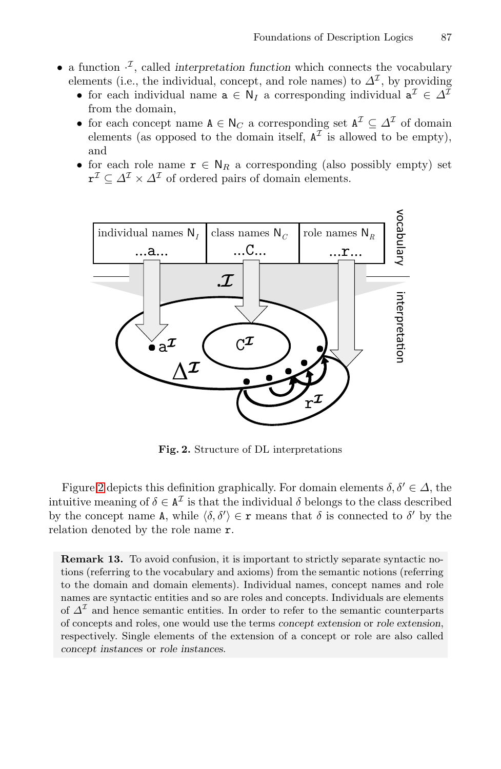- a function  $\mathcal{I}$ , called *interpretation function* which connects the vocabulary elements (i.e., the individual, concept, and role names) to  $\Delta^{\mathcal{I}}$ , by providing
	- for each individual name  $a \in N_I$  a corresponding individual  $a^I \in \Delta^I$ from the domain,
	- for each concept name  $A \in N_C$  a corresponding set  $A^{\mathcal{I}} \subseteq \Delta^{\mathcal{I}}$  of domain elements (as opposed to the domain itself,  $A^{\mathcal{I}}$  is allowed to be empty), and
	- for each role name  $\mathbf{r} \in \mathbb{N}_R$  a corresponding (also possibly empty) set  $\mathbf{r}^{\mathcal{I}} \subseteq \Delta^{\mathcal{I}} \times \Delta^{\mathcal{I}}$  of ordered pairs of domain elements.



<span id="page-11-0"></span>**Fig. 2.** Structure of DL interpretations

Figure [2](#page-11-0) depicts this definition graphically. For domain elements  $\delta, \delta' \in \Delta$ , the intuitive meaning of  $\delta \in A^{\mathcal{I}}$  is that the individual  $\delta$  belongs to the class described by the concept name A, while  $\langle \delta, \delta' \rangle \in \mathbf{r}$  means that  $\delta$  is connected to  $\delta'$  by the relation denoted by the role name r.

**Remark 13.** To avoid confusion, it is important to strictly separate syntactic notions (referring to the vocabulary and axioms) from the semantic notions (referring to the domain and domain elements). Individual names, concept names and role names are syntactic entities and so are roles and concepts. Individuals are elements of  $\Delta^{\mathcal{I}}$  and hence semantic entities. In order to refer to the semantic counterparts of concepts and roles, one would use the terms *concept extension* or *role extension*, respectively. Single elements of the extension of a concept or role are also called *concept instances* or *role instances*.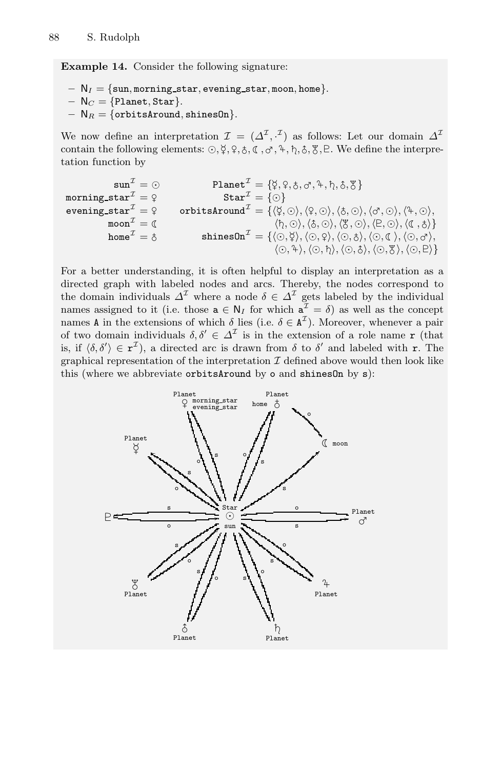<span id="page-12-0"></span>**Example 14.** Consider the following signature:

- $N_I = \{ \text{sun}, \text{moving\_star}, \text{evening\_star}, \text{moon}, \text{home} \}.$
- $N_C = \{$ Planet, Star $\}$ .
- $N_R = \{$ orbitsAround, shinesOn $\}.$

We now define an interpretation  $\mathcal{I} = (\Delta^{\mathcal{I}}, \cdot^{\mathcal{I}})$  as follows: Let our domain  $\Delta^{\mathcal{I}}$ contain the following elements:  $\odot$ ,  $\circ$ ,  $\circ$ ,  $\circ$ ,  $\circ$ ,  $\circ$ ,  $\circ$ ,  $\circ$ ,  $\circ$ ,  $\circ$ ,  $\circ$ ,  $\circ$ ,  $\circ$ ,  $\circ$ . We define the interpretation function has tation function by

sun<sup>I</sup> = morning star<sup>I</sup> <sup>=</sup> ♀ evening star<sup>I</sup> <sup>=</sup> ♀ moon<sup>I</sup> <sup>=</sup> home<sup>I</sup> <sup>=</sup> ♁ Planet<sup>I</sup> <sup>=</sup> {-, ♀, ♁, ♂, , , , } Star<sup>I</sup> = {} orbitsAround<sup>I</sup> <sup>=</sup> {-, , ♀, , ♁, , ♂, , , , , ,  , ,  , , , , , ♁} shinesOn<sup>I</sup> <sup>=</sup> {, - , , ♀ , , ♁ , , , , ♂ , , , , , , , , , , }

For a better understanding, it is often helpful to display an interpretation as a directed graph with labeled nodes and arcs. Thereby, the nodes correspond to the domain individuals  $\Delta^{\mathcal{I}}$  where a node  $\delta \in \Delta^{\mathcal{I}}$  gets labeled by the individual names assigned to it (i.e. those  $a \in N_I$  for which  $a^{\mathcal{I}} = \delta$ ) as well as the concept names A in the extensions of which  $\delta$  lies (i.e.  $\delta \in A^{\mathcal{I}}$ ). Moreover, whenever a pair of two domain individuals  $\delta, \delta' \in \Delta^{\mathcal{I}}$  is in the extension of a role name r (that is, if  $\langle \delta, \delta' \rangle \in \mathbf{r}^{\mathcal{I}}$ , a directed arc is drawn from  $\delta$  to  $\delta'$  and labeled with r. The graphical representation of the interpretation  $\mathcal I$  defined above would then look like this (where we abbreviate orbitsAround by o and shinesOn by s):

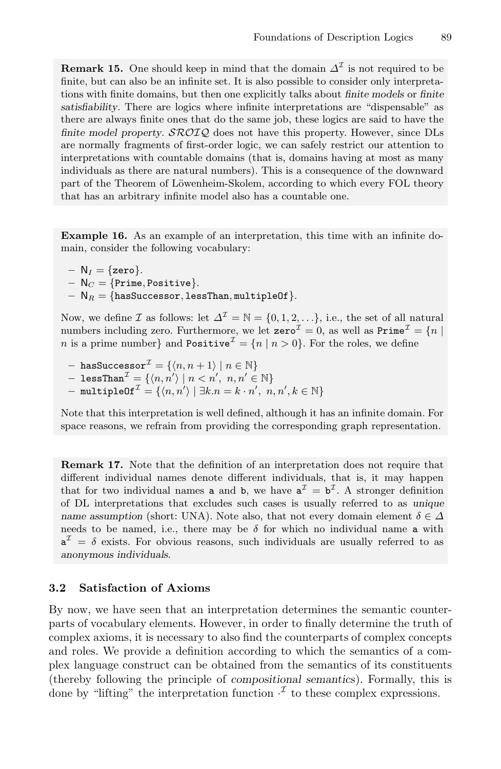**Remark 15.** One should keep in mind that the domain  $\Delta^{\mathcal{I}}$  is not required to be finite, but can also be an infinite set. It is also possible to consider only interpretations with finite domains, but then one explicitly talks about *finite models* or *finite satisfiability*. There are logics where infinite interpretations are "dispensable" as there are always finite ones that do the same job, these logics are said to have the *finite model property. SROIQ* does not have this property. However, since DLs are normally fragments of first-order logic, we can safely restrict our attention to interpretations with countable domains (that is, domains having at most as many individuals as there are natural numbers). This is a consequence of the downward part of the Theorem of Löwenheim-Skolem, according to which every FOL theory that has an arbitrary infinite model also has a countable one.

<span id="page-13-0"></span>**Example 16.** As an example of an interpretation, this time with an infinite domain, consider the following vocabulary:

- $N_I = \{zero\}.$
- $-$  N<sub>C</sub> = {Prime, Positive}.
- $N_R = \{h$ asSuccessor, lessThan, multipleOf $\}.$

Now, we define  $\mathcal I$  as follows: let  $\Delta^{\mathcal I} = \mathbb N = \{0, 1, 2, \ldots\}$ , i.e., the set of all natural numbers including zero. Furthermore, we let  $\mathsf{zero}^{\mathcal{I}} = 0$ , as well as  $\text{Prime}^{\mathcal{I}} = \{n \mid$ *n* is a prime number} and Positive<sup> $I' = \{n \mid n > 0\}$ . For the roles, we define</sup>

- $-$  hasSuccessor<sup> $\mathcal{I} = \{ \langle n, n+1 \rangle \mid n \in \mathbb{N} \}$ </sup>
- $\begin{array}{l} \texttt{lessThan}^{\mathcal{I}} = \{ \langle n, n' \rangle \mid n < n', \ n, n' \in \mathbb{N} \} \\ \texttt{multiploff}^{\mathcal{I}} \{ \langle n, n' \rangle \mid \exists k, n = k, n', n \} \end{array}$
- $-$  multipleOf<sup> $\mathcal{I} = \{ \langle n, n' \rangle \mid \exists k.n = k \cdot n', n, n', k \in \mathbb{N} \}$ </sup>

Note that this interpretation is well defined, although it has an infinite domain. For space reasons, we refrain from providing the corresponding graph representation.

**Remark 17.** Note that the definition of an interpretation does not require that different individual names denote different individuals, that is, it may happen that for two individual names **a** and **b**, we have  $a^{\mathcal{I}} = b^{\mathcal{I}}$ . A stronger definition of DL interpretations that excludes such cases is usually referred to as *unique name assumption* (short: UNA). Note also, that not every domain element  $\delta \in \Delta$ needs to be named, i.e., there may be  $\delta$  for which no individual name a with  $a^{\mathcal{I}} = \delta$  exists. For obvious reasons, such individuals are usually referred to as *anonymous individuals*.

#### **3.2 Satisfaction of Axioms**

By now, we have seen that an interpretation determines the semantic counterparts of vocabulary elements. However, in order to finally determine the truth of complex axioms, it is necessary to also find the counterparts of complex concepts and roles. We provide a definition according to which the semantics of a complex language construct can be obtained from the semantics of its constituents (thereby following the principle of *compositional semantics*). Formally, this is done by "lifting" the interpretation function  $\mathcal{I}$  to these complex expressions.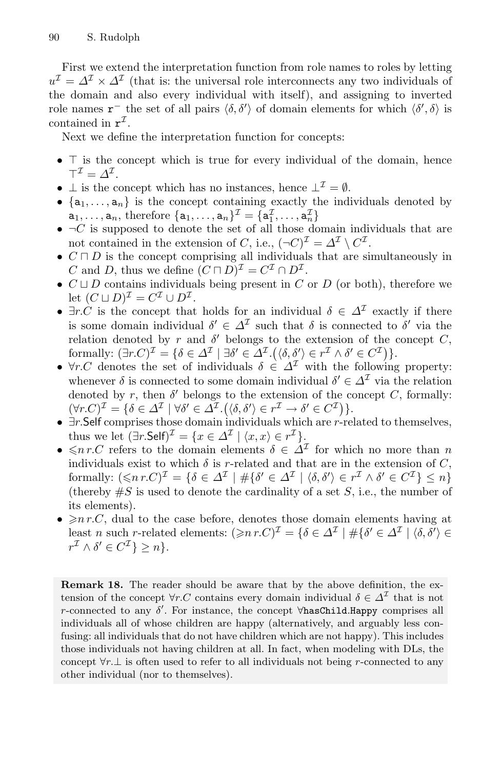First we extend the interpretation function from role names to roles by letting  $u^{\mathcal{I}} = \Delta^{\mathcal{I}} \times \Delta^{\mathcal{I}}$  (that is: the universal role interconnects any two individuals of the domain and also every individual with itself), and assigning to inverted role names  $\mathbf{r}^-$  the set of all pairs  $\langle \delta, \delta' \rangle$  of domain elements for which  $\langle \delta', \delta \rangle$  is contained in  $r^{\mathcal{I}}$ .

Next we define the interpretation function for concepts:

- $\bullet$  T is the concept which is true for every individual of the domain, hence  $T^{\mathcal{I}} = \Delta^{\mathcal{I}}.$
- $\perp$  is the concept which has no instances, hence  $\perp^{\mathcal{I}} = \emptyset$ .
- $\{a_1,\ldots,a_n\}$  is the concept containing exactly the individuals denoted by  $a_1, \ldots, a_n$ , therefore  $\{a_1, \ldots, a_n\}^{\mathcal{I}} = \{a_1^{\mathcal{I}}, \ldots, a_n^{\mathcal{I}}\}$
- $\bullet \neg C$  is supposed to denote the set of all those domain individuals that are not contained in the extension of C, i.e.,  $(\neg C)^{\mathcal{I}} = \Delta^{\mathcal{I}} \setminus C^{\mathcal{I}}$ .
- $C \sqcap D$  is the concept comprising all individuals that are simultaneously in C and D, thus we define  $(C \sqcap D)^{\mathcal{I}} = C^{\mathcal{I}} \cap D^{\mathcal{I}}$ .
- $C \sqcup D$  contains individuals being present in C or D (or both), therefore we let  $(C \sqcup D)^{\mathcal{I}} = C^{\mathcal{I}} \cup D^{\mathcal{I}}$ .
- $\exists r.C$  is the concept that holds for an individual  $\delta \in \Delta^{\mathcal{I}}$  exactly if there is some domain individual  $\delta' \in \Delta^{\mathcal{I}}$  such that  $\delta$  is connected to  $\delta'$  via the relation denoted by r and  $\delta'$  belongs to the extension of the concept C, formally:  $(\exists r.C)^{\mathcal{I}} = {\delta \in \Delta^{\mathcal{I}} \mid \exists \delta' \in \Delta^{\mathcal{I}}}. (\langle \delta, \delta' \rangle \in r^{\mathcal{I}} \wedge \delta' \in C^{\mathcal{I}}) }.$
- $\forall r.C$  denotes the set of individuals  $\delta \in \Delta^{\mathcal{I}}$  with the following property: whenever  $\delta$  is connected to some domain individual  $\delta' \in \Delta^{\mathcal{I}}$  via the relation denoted by r, then  $\delta'$  belongs to the extension of the concept C, formally:  $(\forall r.C)^{\mathcal{I}} = {\delta \in \Delta^{\mathcal{I}} \mid \forall \delta' \in \Delta^{\mathcal{I}}. (\langle \delta, \delta' \rangle \in r^{\mathcal{I}} \rightarrow \delta' \in C^{\mathcal{I}}) }$
- $\exists r$ . Self comprises those domain individuals which are r-related to themselves, thus we let  $(\exists r.\mathsf{Self})^{\mathcal{I}} = \{x \in \Delta^{\mathcal{I}} \mid \langle x, x \rangle \in r^{\mathcal{I}}\}.$
- $\leq n r.C$  refers to the domain elements  $\delta \in \Delta^{\mathcal{I}}$  for which no more than n individuals exist to which  $\delta$  is r-related and that are in the extension of C, formally:  $(\leqslant n r.C)^{\mathcal{I}} = \{\delta \in \Delta^{\mathcal{I}} \mid \#\{\delta' \in \Delta^{\mathcal{I}} \mid \langle \delta, \delta' \rangle \in r^{\mathcal{I}} \wedge \delta' \in C^{\mathcal{I}}\} \leq n\}$ (thereby  $\#S$  is used to denote the cardinality of a set S, i.e., the number of its elements).
- $\geqslant n r.C$ , dual to the case before, denotes those domain elements having at least *n* such *r*-related elements:  $(\geqslant n r.C)^{\mathcal{I}} = {\delta \in \Delta^{\mathcal{I}} \mid \# \{\delta' \in \Delta^{\mathcal{I}} \mid \langle \delta, \delta' \rangle \in \Delta^{\mathcal{I}}\}}$  $r^{\mathcal{I}} \wedge \delta' \in C^{\mathcal{I}} \geq n$ .

**Remark 18.** The reader should be aware that by the above definition, the extension of the concept  $\forall r.C$  contains every domain individual  $\delta \in \Delta^{\mathcal{I}}$  that is not r-connected to any  $\delta'$ . For instance, the concept  $\forall$ hasChild.Happy comprises all individuals all of whose children are happy (alternatively, and arguably less confusing: all individuals that do not have children which are not happy). This includes those individuals not having children at all. In fact, when modeling with DLs, the concept  $\forall r.\bot$  is often used to refer to all individuals not being r-connected to any other individual (nor to themselves).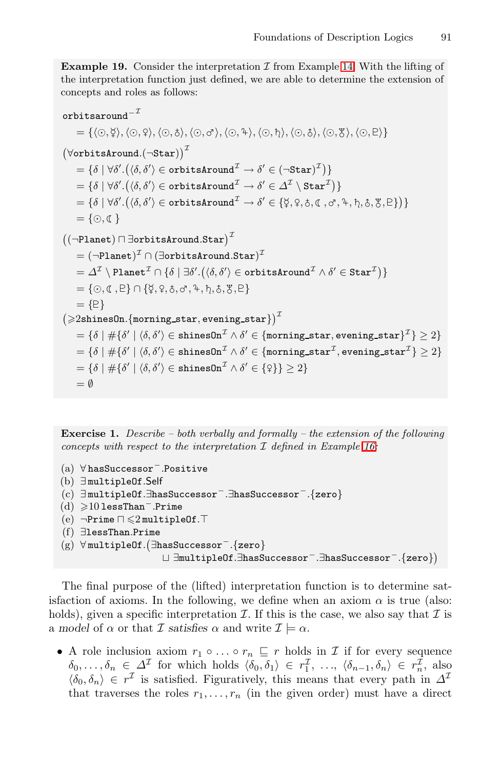**Example 19.** Consider the interpretation  $\mathcal I$  from Example [14.](#page-12-0) With the lifting of the interpretation function just defined, we are able to determine the extension of concepts and roles as follows:

```
orbits around^{-1}=\{\langle \odot,\simeq\rangle,\langle \odot,\simeq\rangle,\langle \odot,\simeq\rangle,\langle \odot,\sigma\rangle,\langle \odot,\simeq\rangle,\langle \odot,\eta\rangle,\langle \odot,\delta\rangle,\langle \odot,\delta\rangle,\langle \odot,\xi\rangle,\langle \odot,\epsilon\rangle\}(\forall \text{orbitsAround}.(\neg \text{Star}))^{\mathcal{I}}\mathcal{I} = \{\delta \mid \forall \delta'. (\langle \delta, \delta'\rangle \in \mathtt{orbitsAround}^{\mathcal{I}} \rightarrow \delta' \in (\neg \mathtt{Star})^{\mathcal{I}})\}\mathcal{I} = \{\delta \mid \forall \delta'. (\langle \delta, \delta'\rangle \in \mathtt{orbitsAround}^{\mathcal{I}} \rightarrow \delta' \in \Delta^{\mathcal{I}} \setminus \mathtt{Star}^{\mathcal{I}})\}=\{\delta \mid \forall \delta'.(\langle \delta, \delta'\rangle \in \texttt{orbitsAround}^{\mathcal{I}} \rightarrow \delta' \in \{\Sigma, \Sigma, \xi, \zeta, \sigma, \gamma, \eta, \eta, \delta, \mathbb{F}, \mathbb{P}\})\}= \{\odot, \mathbb{C}\}\((\neg \texttt{Planet}) \sqcap \exists \texttt{orbitsAround}. \texttt{Star})^{\mathcal{I}}\mathcal{I} = \left( \neg \texttt{Planet} \right)^{\mathcal{I}} \cap \left( \exists \texttt{orbitsAround}. \texttt{Star} \right)^{\mathcal{I}}\mathcal{I} = \mathit{\Delta}^\mathcal{I} \setminus {\tt Planet}^\mathcal{I} \cap \{\delta \mid \exists \delta'.(\langle \delta, \delta'\rangle \in \texttt{orbitsAround}^\mathcal{I} \land \delta' \in {\tt Star}^\mathcal{I})\}= \{ \odot, \mathfrak{C}, \mathfrak{D}, \mathfrak{D} \} \cap \{ \sharp, \mathfrak{D}, \mathfrak{Z}, \sigma, \mathfrak{P}, \mathfrak{h}, \mathfrak{H}, \mathfrak{F}, \mathfrak{F}, \mathfrak{D} \}= {P}( \geqslant 2shinesOn.{morning_star, evening_star})<sup>T</sup>
         \mathcal{L} = \{\delta \mid \#\{\delta' \mid \langle \delta, \delta'\rangle \in \mathsf{shinesOn}^\mathcal{I} \land \delta' \in \{\mathsf{moving\_star}, \mathsf{evening\_star}\}^\mathcal{I}\} \geq 2\}\mathcal{L} = \{\delta \mid \#\{\delta' \mid \langle \delta, \delta'\rangle \in \mathsf{shinesOn}^\mathcal{I} \land \delta' \in \{\mathsf{morning\_star}^\mathcal{I}, \mathsf{evening\_star}^\mathcal{I}\} \geq 2\}=\{\delta \mid \#\{\delta' \mid \langle \delta, \delta'\rangle \in \texttt{shinesOn}^{\mathcal{I}} \wedge \delta' \in \{\varphi\}\}\geq 2\}= Ø
```
**Exercise 1.** Describe – both verbally and formally – the extension of the following concepts with respect to the interpretation  $\mathcal I$  defined in Example [16:](#page-13-0)

```
(a) ∀ hasSuccessor−.Positive
(b) ∃ multipleOf.Self
(c) ∃ multipleOf.∃hasSuccessor−.∃hasSuccessor−.{zero}
(d) ≥10 lessThan<sup>-</sup>.Prime
(e) \negPrime \Box \leq 2 multipleOf. \Box(f) ∃lessThan.Prime
(g) \forall multipleOf.(∃hasSuccessor<sup>-</sup>.{zero}
                       ∃multipleOf.∃hasSuccessor−.∃hasSuccessor−.{zero}
```
The final purpose of the (lifted) interpretation function is to determine satisfaction of axioms. In the following, we define when an axiom  $\alpha$  is true (also: holds), given a specific interpretation  $\mathcal I$ . If this is the case, we also say that  $\mathcal I$  is a model of  $\alpha$  or that I satisfies  $\alpha$  and write  $\mathcal{I} \models \alpha$ .

• A role inclusion axiom  $r_1 \circ \ldots \circ r_n \subseteq r$  holds in  $\mathcal I$  if for every sequence  $\delta_0,\ldots,\delta_n\in\Delta^{\mathcal{I}}$  for which holds  $\langle \delta_0,\delta_1\rangle\in r_1^{\mathcal{I}},\ldots,\ \langle \delta_{n-1},\delta_n\rangle\in r_n^{\mathcal{I}},\ \mathrm{also}$  $\langle \delta_0, \delta_n \rangle \in r^{\mathcal{I}}$  is satisfied. Figuratively, this means that every path in  $\Delta^{\mathcal{I}}$ that traverses the roles  $r_1, \ldots, r_n$  (in the given order) must have a direct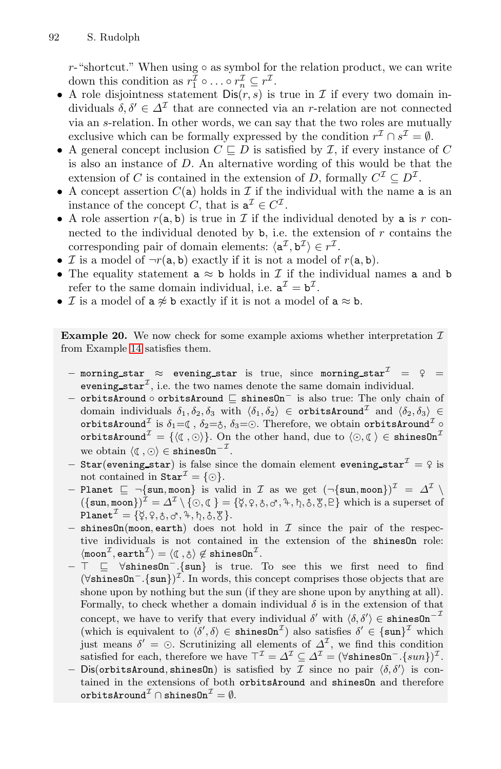r-"shortcut." When using  $\circ$  as symbol for the relation product, we can write down this condition as  $r_1^{\mathcal{I}} \circ \dots \circ r_n^{\mathcal{I}} \subseteq r^{\mathcal{I}}$ .

- A role disjointness statement  $Dis(r, s)$  is true in  $\mathcal I$  if every two domain individuals  $\delta, \delta' \in \Delta^{\mathcal{I}}$  that are connected via an r-relation are not connected via an s-relation. In other words, we can say that the two roles are mutually exclusive which can be formally expressed by the condition  $r^{\mathcal{I}} \cap s^{\mathcal{I}} = \emptyset$ .
- A general concept inclusion  $C \sqsubset D$  is satisfied by  $\mathcal{I}$ , if every instance of C is also an instance of D. An alternative wording of this would be that the extension of C is contained in the extension of D, formally  $C^{\mathcal{I}} \subset D^{\mathcal{I}}$ .
- A concept assertion  $C(\mathbf{a})$  holds in  $\mathcal I$  if the individual with the name  $\mathbf a$  is an instance of the concept C, that is  $a^{\mathcal{I}} \in C^{\mathcal{I}}$ .
- A role assertion  $r(a, b)$  is true in  $\mathcal I$  if the individual denoted by a is r connected to the individual denoted by  $\mathfrak b$ , i.e. the extension of r contains the corresponding pair of domain elements:  $\langle a^{\mathcal{I}}, b^{\mathcal{I}} \rangle \in r^{\mathcal{I}}$ .
- *I* is a model of  $\neg r(\mathbf{a}, \mathbf{b})$  exactly if it is not a model of  $r(\mathbf{a}, \mathbf{b})$ .
- The equality statement  $a \approx b$  holds in  $\mathcal I$  if the individual names a and b refer to the same domain individual, i.e.  $\mathbf{a}^{\mathcal{I}} = \mathbf{b}^{\mathcal{I}}$ .
- *I* is a model of  $a \not\approx b$  exactly if it is not a model of  $a \approx b$ .

<span id="page-16-0"></span>**Example 20.** We now check for some example axioms whether interpretation  $\mathcal{I}$ from Example [14](#page-12-0) satisfies them.

- $-$  morning star  $\approx$  evening star is true, since morning star<sup>T</sup> = ♀ = evening star<sup> $I$ </sup>, i.e. the two names denote the same domain individual.
- **–** orbitsAround ∘ orbitsAround  $\subseteq$  shinesOn<sup>−</sup> is also true: The only chain of domain individuals  $\delta_1$ ,  $\delta_2$ ,  $\delta_3$ , with  $\langle \delta_2$ ,  $\delta_3 \rangle \in \text{orbit}$ sAround<sup>T</sup>, and  $\langle \delta_2, \delta_3 \rangle \in$ domain individuals  $\delta_1, \delta_2, \delta_3$  with  $\langle \delta_1, \delta_2 \rangle \in \text{orbitsAround}^{\mathcal{I}}$  and  $\langle \delta_2, \delta_3 \rangle \in$ orbitsAround<sup>T</sup> is  $\delta_1 = \mathbb{C}$ ,  $\delta_2 = \delta$ ,  $\delta_3 = \odot$ . Therefore, we obtain orbitsAround<sup>T</sup>  $\circ$ orbitsAround<sup> $\mathcal{I} = \{ \langle \mathcal{I}, \odot \rangle \}$ . On the other hand, due to  $\langle \odot, \mathcal{I} \rangle \in \mathsf{shinesOn}^{\mathcal{I}}$ </sup> we obtain  $\langle \mathbb{C}, \odot \rangle \in \text{shinesOn}^{-\mathcal{I}}$ .
- **–** Star(evening star) is false since the domain element evening star<sup> $I = \varphi$  is</sup> not contained in  $\text{Star}^{\mathcal{I}} = \{\odot\}.$
- **–** Planet  $\subseteq \neg {\text{sum, moon}}$  is valid in I as we get  $(\neg {\text{sum, moon}})^{\mathcal{I}} = \Delta^{\mathcal{I}} \setminus$ <br>(*f*sun, moon)<sup> $\mathcal{I} = \Delta^{\mathcal{I}} \setminus \{ \odot \in \Delta \}$  +  $\Rightarrow \Delta^{\mathcal{I}} \uparrow \forall$  +  $\Rightarrow$  P \ which is a supposed of</sup>  $({\{\text{sun}, \text{moon}\}})^{\mathcal{I}} = \Delta^{\mathcal{I}} \setminus {\{\odot, \mathfrak{C}\}} = {\{\circ, \circ, \circ, \circ, \circ, \circ, \circ, \circ, \circ\}}$  which is a superset of Planet<sup> $\mathcal{I} = {\emptyset, \emptyset, \phi, \phi, \mathcal{A}, \mathcal{h}, \delta, \mathcal{B}}.$ </sup>
- $-$  shinesOn(moon, earth) does not hold in  $\mathcal I$  since the pair of the respective individuals is not contained in the extension of the shinesOn role:  $\langle \text{moon}^{\mathcal{I}}, \text{earth}^{\mathcal{I}} \rangle = \langle \mathbb{C}, \mathbb{b} \rangle \notin \text{shinesOn}^{\mathcal{I}}.$
- **–** -∀shinesOn<sup>−</sup>.{sun} is true. To see this we first need to find  $(\forall \texttt{shinesOn}^-. \{\texttt{sun}\})^{\mathcal{I}}$ . In words, this concept comprises those objects that are shone upon by nothing but the sun (if they are shone upon by anything at all). Formally, to check whether a domain individual  $\delta$  is in the extension of that concept, we have to verify that every individual  $\delta'$  with  $\langle \delta, \delta' \rangle \in \text{shinesOn}^{-1}$ (which is equivalent to  $\langle \delta', \delta \rangle \in \text{shinesOn}^{\mathcal{I}}$ ) also satisfies  $\delta' \in \{\text{sun}\}^{\mathcal{I}}$  which just means  $\delta' = \odot$ . Scrutinizing all elements of  $\Delta^{\mathcal{I}}$ , we find this condition satisfied for each, therefore we have  $\top^{\mathcal{I}} = \varDelta^{\mathcal{I}} \subseteq \varDelta^{\mathcal{I}} = (\forall \texttt{shinesOn}^{-}.\{sun\})^{\mathcal{I}}.$
- **–** Dis(orbitsAround, shinesOn) is satisfied by  $\mathcal I$  since no pair  $\langle \delta, \delta' \rangle$  is contained in the extensions of both orbitsAround and shinesOn and therefore tained in the extensions of both orbitsAround and shinesOn and therefore orbitsAround<sup> $I \cap$ shinesOn $I = \emptyset$ .</sup>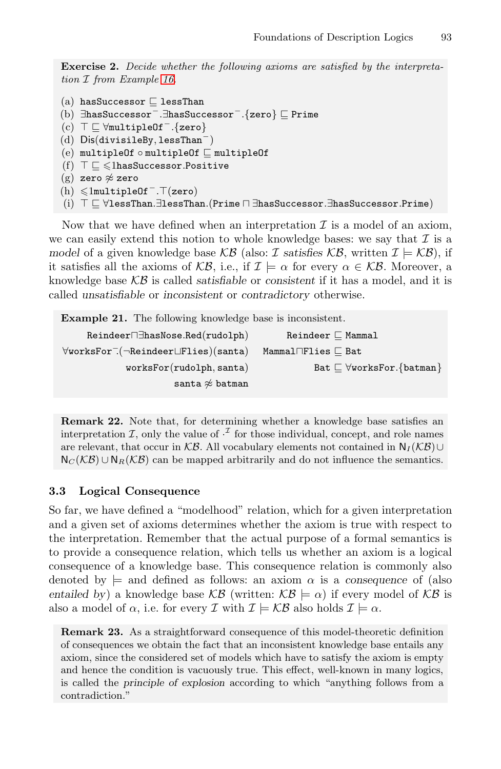<span id="page-17-0"></span>**Exercise 2.** Decide whether the following axioms are satisfied by the interpretation I from Example [16.](#page-13-0)

```
(a) hasSuccessor \sqsubseteq lessThan
```

```
(b) ∃hasSuccessor<sup>-</sup>.∃hasSuccessor<sup>-</sup>.{zero} \sqsubseteq Prime
```

```
(c) \top \sqsubseteq \forall \text{multipleOf}^{-}.\{\text{zero}\}
```

```
(d) Dis(divisileBy, lessThan−)
```

```
(e) multipleOf \circ multipleOf \sqsubseteq multipleOf
```

```
(f) \top \sqsubseteq \leqslant 1 has Successor. Positive
```

```
(g) zero \not\approx zero
```

```
(h) ≤1multipleOf<sup>-</sup>.<sup>T</sup>(zero)
```

```
\mathcal{A}(\text{i})\top \sqsubseteq \forall \texttt{less}Than.\exists \texttt{less}Than.(\texttt{Prime} \sqcap \exists \texttt{has} \texttt{Successor}.\exists \texttt{has} \texttt{Successor}.\texttt{Prime})
```
Now that we have defined when an interpretation  $\mathcal I$  is a model of an axiom, we can easily extend this notion to whole knowledge bases: we say that  $\mathcal I$  is a *model* of a given knowledge base  $KB$  (also: *I* satisfies  $KB$ , written  $I \models KB$ ), if it satisfies all the axioms of  $\mathcal{KB}$ , i.e., if  $\mathcal{I} \models \alpha$  for every  $\alpha \in \mathcal{KB}$ . Moreover, a knowledge base KB is called *satisfiable* or *consistent* if it has a model, and it is called *unsatisfiable* or *inconsistent* or *contradictory* otherwise.

<span id="page-17-1"></span>**Example 21.** The following knowledge base is inconsistent.

```
Reindeer	∃hasNose.Red(rudolph)
\forallworksFor\bar{\text{--}}(\lnotReindeer\sqcupFlies)(santa) – Mammal\sqcapFlies \sqsubseteq Bat
                    worksFor(rudolph, santa)
                                    santa \not\approx batman
                                                                          \mathtt{Reinder}\sqsubseteq\mathtt{Mammal}\mathtt{Bat} \sqsubseteq \forall \mathtt{worksFor}.\{\mathtt{batman}\}
```
**Remark 22.** Note that, for determining whether a knowledge base satisfies an interpretation  $I$ , only the value of  $\cdot^I$  for those individual, concept, and role names are relevant, that occur in KB. All vocabulary elements not contained in  $N_I(KB)$ ∪  $N_c(\mathcal{KB}) \cup N_R(\mathcal{KB})$  can be mapped arbitrarily and do not influence the semantics.

# **3.3 Logical Consequence**

So far, we have defined a "modelhood" relation, which for a given interpretation and a given set of axioms determines whether the axiom is true with respect to the interpretation. Remember that the actual purpose of a formal semantics is to provide a consequence relation, which tells us whether an axiom is a logical consequence of a knowledge base. This consequence relation is commonly also denoted by  $\equiv$  and defined as follows: an axiom  $\alpha$  is a *consequence* of (also *entailed by*) a knowledge base  $KB$  (written:  $KB \models \alpha$ ) if every model of KB is also a model of  $\alpha$ , i.e. for every  $\mathcal I$  with  $\mathcal I \models \mathcal{KB}$  also holds  $\mathcal I \models \alpha$ .

**Remark 23.** As a straightforward consequence of this model-theoretic definition of consequences we obtain the fact that an inconsistent knowledge base entails any axiom, since the considered set of models which have to satisfy the axiom is empty and hence the condition is vacuously true. This effect, well-known in many logics, is called the *principle of explosion* according to which "anything follows from a contradiction."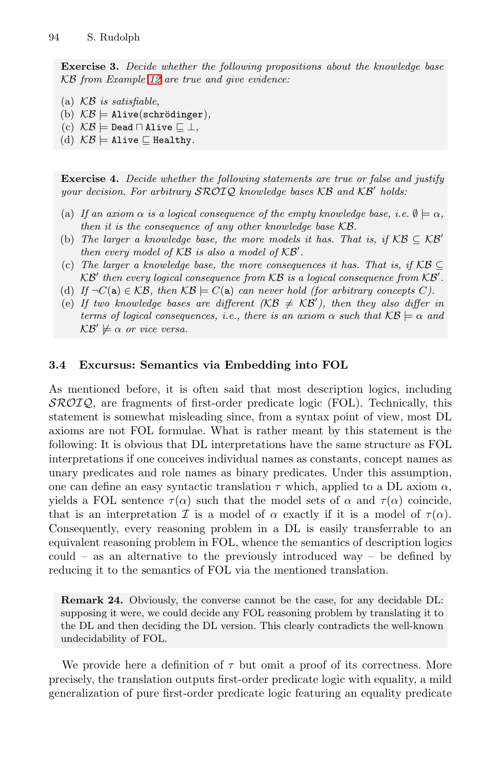**Exercise 3.** Decide whether the following propositions about the knowledge base KB from Example [12](#page-10-1) are true and give evidence:

- (a)  $KB$  is satisfiable,
- (b)  $KB \models$  Alive(schrödinger),
- (c)  $\mathcal{KB} \models \mathtt{Dead} \sqcap \mathtt{Alive} \sqsubseteq \bot,$
- (d)  $KB \models$  Alive  $\sqsubseteq$  Healthy.

**Exercise 4.** Decide whether the following statements are true or false and justify your decision. For arbitrary SROIQ knowledge bases KB and KB' holds:

- (a) If an axiom  $\alpha$  is a logical consequence of the empty knowledge base, i.e.  $\emptyset \models \alpha$ , then it is the consequence of any other knowledge base KB.
- (b) The larger a knowledge base, the more models it has. That is, if  $KB \subseteq KB'$ then every model of  $KB$  is also a model of  $KB'$ .
- (c) The larger a knowledge base, the more consequences it has. That is, if  $KB \subseteq$  $KB'$  then every logical consequence from  $KB$  is a logical consequence from  $KB'$ .
- (d) If  $\neg C(\mathbf{a}) \in \mathcal{KB}$ , then  $\mathcal{KB} \models C(\mathbf{a})$  can never hold (for arbitrary concepts C).
- (e) If two knowledge bases are different  $(KB \neq KB')$ , then they also differ in terms of logical consequences, i.e., there is an axiom  $\alpha$  such that  $\mathcal{KB} \models \alpha$  and  $KB' \not\models \alpha$  or vice versa.

#### **3.4 Excursus: Semantics via Embedding into FOL**

As mentioned before, it is often said that most description logics, including  $\mathcal{SRO}IQ$ , are fragments of first-order predicate logic (FOL). Technically, this statement is somewhat misleading since, from a syntax point of view, most DL axioms are not FOL formulae. What is rather meant by this statement is the following: It is obvious that DL interpretations have the same structure as FOL interpretations if one conceives individual names as constants, concept names as unary predicates and role names as binary predicates. Under this assumption, one can define an easy syntactic translation  $\tau$  which, applied to a DL axiom  $\alpha$ , yields a FOL sentence  $\tau(\alpha)$  such that the model sets of  $\alpha$  and  $\tau(\alpha)$  coincide, that is an interpretation I is a model of  $\alpha$  exactly if it is a model of  $\tau(\alpha)$ . Consequently, every reasoning problem in a DL is easily transferrable to an equivalent reasoning problem in FOL, whence the semantics of description logics could – as an alternative to the previously introduced way – be defined by reducing it to the semantics of FOL via the mentioned translation.

**Remark 24.** Obviously, the converse cannot be the case, for any decidable DL: supposing it were, we could decide any FOL reasoning problem by translating it to the DL and then deciding the DL version. This clearly contradicts the well-known undecidability of FOL.

We provide here a definition of  $\tau$  but omit a proof of its correctness. More precisely, the translation outputs first-order predicate logic with equality, a mild generalization of pure first-order predicate logic featuring an equality predicate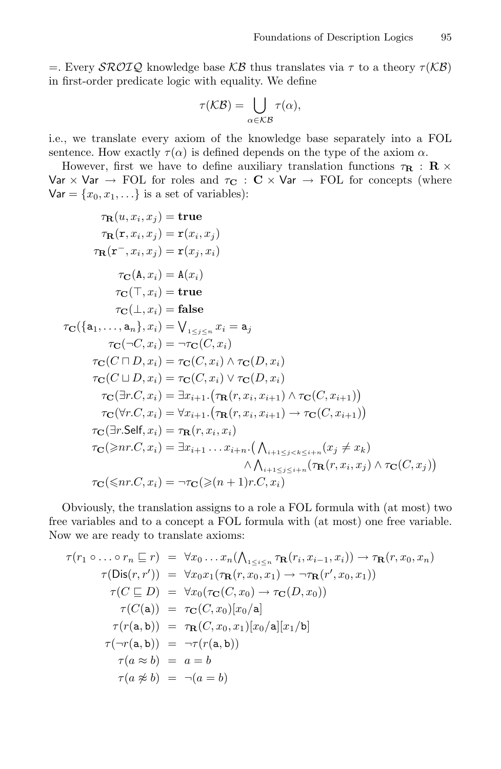=. Every SROIQ knowledge base KB thus translates via  $\tau$  to a theory  $\tau$ (KB) in first-order predicate logic with equality. We define

$$
\tau(\mathcal{KB}) = \bigcup_{\alpha \in \mathcal{KB}} \tau(\alpha),
$$

i.e., we translate every axiom of the knowledge base separately into a FOL sentence. How exactly  $\tau(\alpha)$  is defined depends on the type of the axiom  $\alpha$ .

However, first we have to define auxiliary translation functions  $\tau_{\mathbf{R}}$  : **R**  $\times$ Var  $\times$  Var  $\rightarrow$  FOL for roles and  $\tau_{\mathbf{C}}$  :  $\mathbf{C} \times$  Var  $\rightarrow$  FOL for concepts (where  $Var = \{x_0, x_1, \ldots\}$  is a set of variables):

$$
\tau_{\mathbf{R}}(u, x_i, x_j) = \mathbf{true}
$$
\n
$$
\tau_{\mathbf{R}}(\mathbf{r}, x_i, x_j) = \mathbf{r}(x_i, x_j)
$$
\n
$$
\tau_{\mathbf{R}}(\mathbf{r}^{-}, x_i, x_j) = \mathbf{r}(x_j, x_i)
$$
\n
$$
\tau_{\mathbf{C}}(\mathbf{A}, x_i) = \mathbf{A}(x_i)
$$
\n
$$
\tau_{\mathbf{C}}(\mathbf{A}, x_i) = \mathbf{A}(x_i)
$$
\n
$$
\tau_{\mathbf{C}}(\mathbf{T}, x_i) = \mathbf{true}
$$
\n
$$
\tau_{\mathbf{C}}(\mathbf{A}_1, \dots, \mathbf{a}_n), x_i) = \bigvee_{1 \le j \le n} x_i = \mathbf{a}_j
$$
\n
$$
\tau_{\mathbf{C}}(\mathbf{a}_1, \dots, \mathbf{a}_n), x_i) = \bigvee_{1 \le j \le n} x_i = \mathbf{a}_j
$$
\n
$$
\tau_{\mathbf{C}}(\mathbf{C} \cap \mathbf{D}, x_i) = \tau_{\mathbf{C}}(\mathbf{C}, x_i)
$$
\n
$$
\tau_{\mathbf{C}}(\mathbf{C} \cap \mathbf{D}, x_i) = \tau_{\mathbf{C}}(\mathbf{C}, x_i) \land \tau_{\mathbf{C}}(\mathbf{D}, x_i)
$$
\n
$$
\tau_{\mathbf{C}}(\mathbf{C} \cup \mathbf{D}, x_i) = \tau_{\mathbf{C}}(\mathbf{C}, x_i) \lor \tau_{\mathbf{C}}(\mathbf{D}, x_i)
$$
\n
$$
\tau_{\mathbf{C}}(\exists r.\mathbf{C}, x_i) = \exists x_{i+1} \cdot (\tau_{\mathbf{R}}(r, x_i, x_{i+1}) \land \tau_{\mathbf{C}}(\mathbf{C}, x_{i+1}))
$$
\n
$$
\tau_{\mathbf{C}}(\forall r.\mathbf{C}, x_i) = \forall x_{i+1} \cdot (\tau_{\mathbf{R}}(r, x_i, x_{i+1}) \rightarrow \tau_{\mathbf{C}}(\mathbf{C}, x_{i+1}))
$$
\n
$$
\tau_{\mathbf{C}}(\exists r.\mathbf{Self}, x_i) = \tau_{\mathbf{R}}(r, x_i, x_i)
$$

Obviously, the translation assigns to a role a FOL formula with (at most) two free variables and to a concept a FOL formula with (at most) one free variable. Now we are ready to translate axioms:

$$
\tau(r_1 \circ \dots \circ r_n \sqsubseteq r) = \forall x_0 \dots x_n (\bigwedge_{1 \le i \le n} \tau_{\mathbf{R}}(r_i, x_{i-1}, x_i)) \to \tau_{\mathbf{R}}(r, x_0, x_n)
$$
  
\n
$$
\tau(\text{Dis}(r, r')) = \forall x_0 x_1 (\tau_{\mathbf{R}}(r, x_0, x_1) \to \neg \tau_{\mathbf{R}}(r', x_0, x_1))
$$
  
\n
$$
\tau(C \sqsubseteq D) = \forall x_0 (\tau_{\mathbf{C}}(C, x_0) \to \tau_{\mathbf{C}}(D, x_0))
$$
  
\n
$$
\tau(C(\mathbf{a})) = \tau_{\mathbf{C}}(C, x_0)[x_0/\mathbf{a}]
$$
  
\n
$$
\tau(r(\mathbf{a}, \mathbf{b})) = \tau_{\mathbf{R}}(C, x_0, x_1)[x_0/\mathbf{a}][x_1/\mathbf{b}]
$$
  
\n
$$
\tau(\neg r(\mathbf{a}, \mathbf{b})) = \neg \tau(r(\mathbf{a}, \mathbf{b}))
$$
  
\n
$$
\tau(a \approx b) = a = b
$$
  
\n
$$
\tau(a \not\approx b) = \neg (a = b)
$$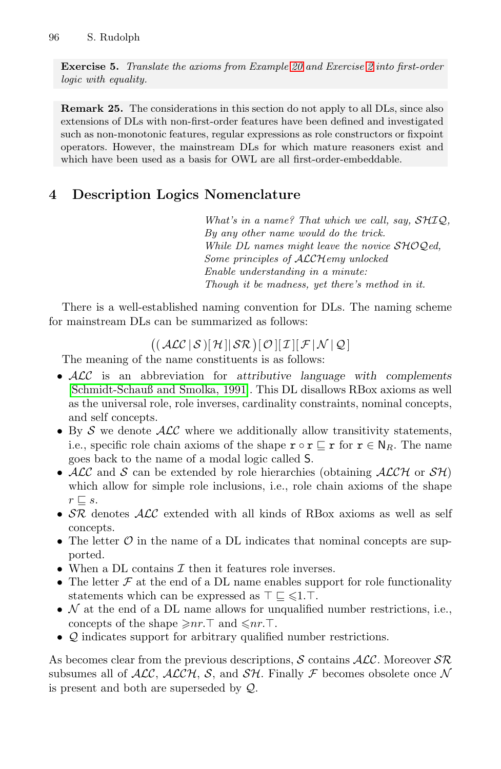**Exercise 5.** Translate the axioms from Example [20](#page-16-0) and Exercise [2](#page-17-0) into first-order logic with equality.

**Remark 25.** The considerations in this section do not apply to all DLs, since also extensions of DLs with non-first-order features have been defined and investigated such as non-monotonic features, regular expressions as role constructors or fixpoint operators. However, the mainstream DLs for which mature reasoners exist and which have been used as a basis for OWL are all first-order-embeddable.

# <span id="page-20-0"></span>**4 Description Logics Nomenclature**

What's in a name? That which we call, say,  $\mathcal{SHIQ}$ , By any other name would do the trick. While DL names might leave the novice  $\mathcal{SHOQ}$ ed, Some principles of ALCHemy unlocked Enable understanding in a minute: Though it be madness, yet there's method in it.

There is a well-established naming convention for DLs. The naming scheme for mainstream DLs can be summarized as follows:

$$
\big((\mathcal{ALC}\,|\,\mathcal{S}\,)[\,\mathcal{H}\,]\vert\,\mathcal{SR}\,\big)[\,\mathcal{O}\,][\,\mathcal{I}\,]\,\mathcal{F}\,|\,\mathcal{N}\,|\,\mathcal{Q}\,]
$$

The meaning of the name constituents is as follows:

- ALC is an abbreviation for *attributive language with complements* [\[Schmidt-Schauß and Smolka, 1991\]](#page-60-6). This DL disallows RBox axioms as well as the universal role, role inverses, cardinality constraints, nominal concepts, and self concepts.
- By S we denote  $\mathcal{ALC}$  where we additionally allow transitivity statements, i.e., specific role chain axioms of the shape  $\mathbf{r} \circ \mathbf{r} \subseteq \mathbf{r}$  for  $\mathbf{r} \in N_R$ . The name goes back to the name of a modal logic called S.
- ALC and S can be extended by role hierarchies (obtaining  $ALCH$  or  $SH$ ) which allow for simple role inclusions, i.e., role chain axioms of the shape  $r \sqsubseteq s$ .
- $\mathcal{SR}$  denotes  $\mathcal{ALC}$  extended with all kinds of RBox axioms as well as self concepts.
- The letter  $\mathcal O$  in the name of a DL indicates that nominal concepts are supported.
- When a DL contains  $\mathcal I$  then it features role inverses.
- The letter  $\mathcal F$  at the end of a DL name enables support for role functionality statements which can be expressed as  $\top \sqsubseteq \leq 1.\top$ .
- $\mathcal N$  at the end of a DL name allows for unqualified number restrictions, i.e., concepts of the shape  $\geqslant nr.\top$  and  $\leqslant nr.\top$ .
- Q indicates support for arbitrary qualified number restrictions.

As becomes clear from the previous descriptions, S contains  $ALC$ . Moreover  $SR$ subsumes all of  $ALC$ ,  $ALCH$ , S, and  $SH$ . Finally F becomes obsolete once N is present and both are superseded by Q.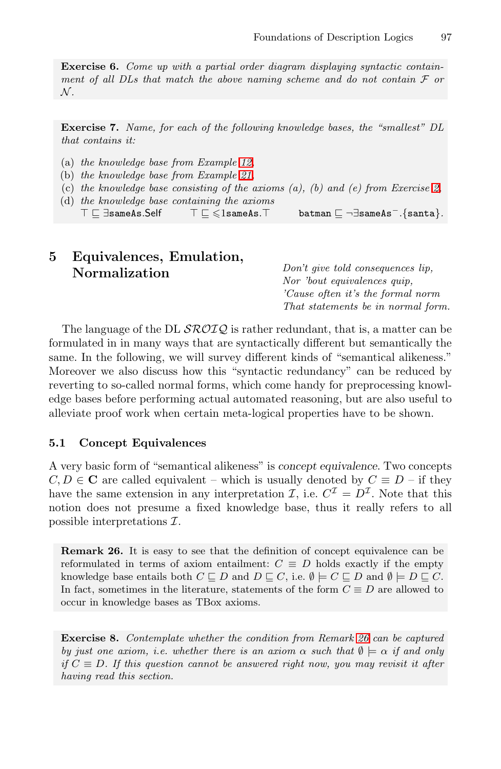**Exercise 6.** Come up with a partial order diagram displaying syntactic containment of all DLs that match the above naming scheme and do not contain  $\mathcal F$  or  $\mathcal{N}$ .

<span id="page-21-2"></span>**Exercise 7.** Name, for each of the following knowledge bases, the "smallest" DL that contains it:

- (a) the knowledge base from Example [12,](#page-10-1)
- (b) the knowledge base from Example [21,](#page-17-1)
- (c) the knowledge base consisting of the axioms  $(a)$ ,  $(b)$  and  $(e)$  from Exercise [2,](#page-17-0)
- (d) the knowledge base containing the axioms  $\top \sqsubseteq \exists$ sameAs.<code>Self  $\top \sqsubseteq$ </code>  $\top \sqsubseteq {\leqslant} 1$ same<code>As. $\top$ </code> batman  $\sqsubseteq \neg \exists$ sameAs<sup>-</sup>.{santa}.

<span id="page-21-0"></span>

| 5 Equivalences, Emulation, |                                    |
|----------------------------|------------------------------------|
| Normalization              | Don't give told consequences lip.  |
|                            | Nor 'bout equivalences quip.       |
|                            | 'Cause often it's the formal norm  |
|                            | That statements be in normal form. |

The language of the DL  $\mathcal{SROIO}$  is rather redundant, that is, a matter can be formulated in in many ways that are syntactically different but semantically the same. In the following, we will survey different kinds of "semantical alikeness." Moreover we also discuss how this "syntactic redundancy" can be reduced by reverting to so-called normal forms, which come handy for preprocessing knowledge bases before performing actual automated reasoning, but are also useful to alleviate proof work when certain meta-logical properties have to be shown.

#### **5.1 Concept Equivalences**

A very basic form of "semantical alikeness" is *concept equivalence*. Two concepts  $C, D \in \mathbb{C}$  are called equivalent – which is usually denoted by  $C \equiv D$  – if they have the same extension in any interpretation  $\mathcal{I}$ , i.e.  $C^{\mathcal{I}} = D^{\mathcal{I}}$ . Note that this notion does not presume a fixed knowledge base, thus it really refers to all possible interpretations I.

<span id="page-21-1"></span>**Remark 26.** It is easy to see that the definition of concept equivalence can be reformulated in terms of axiom entailment:  $C \equiv D$  holds exactly if the empty knowledge base entails both  $C \sqsubseteq D$  and  $D \sqsubseteq C$ , i.e.  $\emptyset \models C \sqsubseteq D$  and  $\emptyset \models D \sqsubseteq C$ . In fact, sometimes in the literature, statements of the form  $C \equiv D$  are allowed to occur in knowledge bases as TBox axioms.

**Exercise 8.** Contemplate whether the condition from Remark [26](#page-21-1) can be captured by just one axiom, i.e. whether there is an axiom  $\alpha$  such that  $\emptyset \models \alpha$  if and only if  $C \equiv D$ . If this question cannot be answered right now, you may revisit it after having read this section.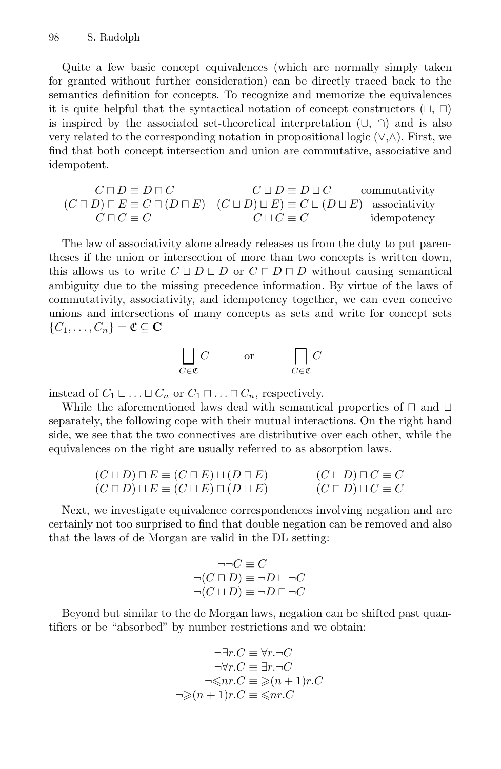Quite a few basic concept equivalences (which are normally simply taken for granted without further consideration) can be directly traced back to the semantics definition for concepts. To recognize and memorize the equivalences it is quite helpful that the syntactical notation of concept constructors  $(L, \Pi)$ is inspired by the associated set-theoretical interpretation  $(\cup, \cap)$  and is also very related to the corresponding notation in propositional logic  $(\vee, \wedge)$ . First, we find that both concept intersection and union are commutative, associative and idempotent.

$$
C \sqcap D \equiv D \sqcap C
$$
  
\n
$$
(C \sqcap D) \sqcap E \equiv C \sqcap (D \sqcap E)
$$
  
\n
$$
(C \sqcup D) \sqcup E) \equiv C \sqcup (D \sqcup E)
$$
associativity  
\n
$$
C \sqcap C \equiv C
$$
  
\n
$$
C \sqcup C \equiv C
$$
  
\n
$$
C \sqcup C \equiv C
$$
  
\n
$$
C \sqcup C \equiv C
$$
  
\n
$$
C \sqcap C \equiv C
$$

The law of associativity alone already releases us from the duty to put parentheses if the union or intersection of more than two concepts is written down, this allows us to write  $C \sqcup D \sqcup D$  or  $C \sqcap D \sqcap D$  without causing semantical ambiguity due to the missing precedence information. By virtue of the laws of commutativity, associativity, and idempotency together, we can even conceive unions and intersections of many concepts as sets and write for concept sets  $\{C_1,\ldots,C_n\} = \mathfrak{C} \subseteq \mathbf{C}$ 

$$
\bigsqcup_{C \in \mathfrak{C}} C \qquad \text{or} \qquad \bigsqcup_{C \in \mathfrak{C}} C
$$

instead of  $C_1 \sqcup \ldots \sqcup C_n$  or  $C_1 \sqcap \ldots \sqcap C_n$ , respectively.

While the aforementioned laws deal with semantical properties of  $\sqcap$  and  $\sqcup$ separately, the following cope with their mutual interactions. On the right hand side, we see that the two connectives are distributive over each other, while the equivalences on the right are usually referred to as absorption laws.

$$
(C \sqcup D) \sqcap E \equiv (C \sqcap E) \sqcup (D \sqcap E) \qquad (C \sqcup D) \sqcap C \equiv C
$$
  

$$
(C \sqcap D) \sqcup E \equiv (C \sqcup E) \sqcap (D \sqcup E) \qquad (C \sqcap D) \sqcup C \equiv C
$$

Next, we investigate equivalence correspondences involving negation and are certainly not too surprised to find that double negation can be removed and also that the laws of de Morgan are valid in the DL setting:

$$
\neg\neg C \equiv C
$$
  

$$
\neg(C \sqcap D) \equiv \neg D \sqcup \neg C
$$
  

$$
\neg(C \sqcup D) \equiv \neg D \sqcap \neg C
$$

Beyond but similar to the de Morgan laws, negation can be shifted past quantifiers or be "absorbed" by number restrictions and we obtain:

$$
\neg \exists r.C \equiv \forall r. \neg C
$$
  
\n
$$
\neg \forall r.C \equiv \exists r. \neg C
$$
  
\n
$$
\neg \leq n r.C \equiv \geq (n+1)r.C
$$
  
\n
$$
\neg \geq (n+1)r.C \equiv \leq n r.C
$$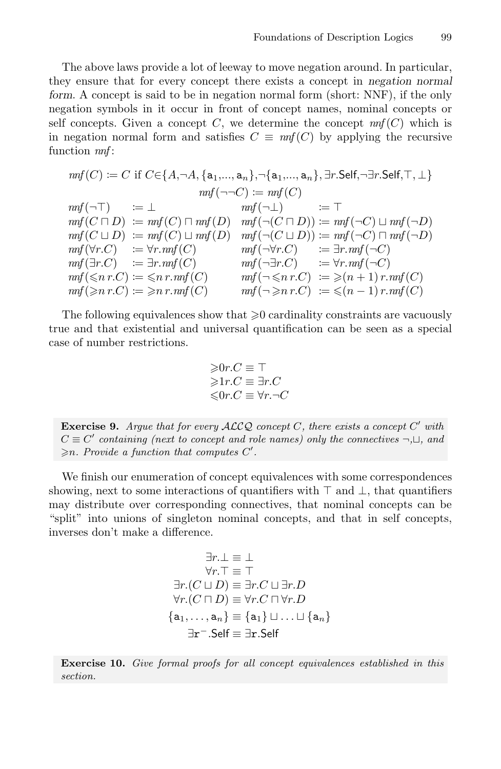The above laws provide a lot of leeway to move negation around. In particular, they ensure that for every concept there exists a concept in *negation normal form*. A concept is said to be in negation normal form (short: NNF), if the only negation symbols in it occur in front of concept names, nominal concepts or self concepts. Given a concept  $C$ , we determine the concept  $m f(C)$  which is in negation normal form and satisfies  $C \equiv m f(C)$  by applying the recursive function *nnf* :

$$
mf(C) := C \text{ if } C \in \{A, \neg A, \{a_1, \ldots, a_n\}, \neg \{a_1, \ldots, a_n\}, \exists r. Self, \neg \exists r. Self, \top, \bot\}
$$
  
\n
$$
mf(\neg \top) := \bot \qquad \qquad mf(\neg \bot) := \top
$$
  
\n
$$
mf(C \sqcap D) := \neg nf(C) \sqcap \neg nf(D) \qquad \qquad mf(\neg (C \sqcap D)) := \neg nf(\neg C) \sqcup \neg nf(\neg D)
$$
  
\n
$$
mf(C \sqcup D) := \neg nf(C) \sqcup \neg nf(D) \qquad \qquad mf(\neg (C \sqcup D)) := \neg nf(\neg C) \sqcup \neg nf(\neg D)
$$
  
\n
$$
mf(\forall r.C) := \forall r. \neg nf(C) \qquad \qquad \qquad \neg nf(\neg \forall r.C) := \exists r. \neg nf(\neg C)
$$
  
\n
$$
mf(\exists r.C) := \exists r. \neg nf(C) \qquad \qquad \qquad \neg rf(\neg \exists r.C) := \forall r. \neg nf(\neg C)
$$
  
\n
$$
mf(\leq n r.C) := \leq n r. \neg nf(C) \qquad \qquad \qquad \neg nf(\neg \leq n r.C) := \geq (n+1) r. \neg nf(C)
$$
  
\n
$$
mf(\geq n r.C) := \geq n r. \neg nf(C) \qquad \qquad \qquad \neg nf(\neg \geq n r.C) := \leq (n-1) r. \neg nf(C)
$$

The following equivalences show that  $\geq 0$  cardinality constraints are vacuously true and that existential and universal quantification can be seen as a special case of number restrictions.

$$
\geqslant 0r.C \equiv \top
$$
  

$$
\geqslant 1r.C \equiv \exists r.C
$$
  

$$
\leqslant 0r.C \equiv \forall r.\neg C
$$

**Exercise 9.** Argue that for every  $\mathcal{ALCQ}$  concept C, there exists a concept C' with  $C = C'$  containing (pert to concept and role names) only the connectives  $\Box$  and  $C \equiv C'$  containing (next to concept and role names) only the connectives  $\neg, \Box$ , and  $\geqslant n$ . Provide a function that computes C'.

We finish our enumeration of concept equivalences with some correspondences showing, next to some interactions of quantifiers with  $\top$  and  $\bot$ , that quantifiers may distribute over corresponding connectives, that nominal concepts can be "split" into unions of singleton nominal concepts, and that in self concepts, inverses don't make a difference.

$$
\exists r.\bot \equiv \bot
$$
  
\n
$$
\forall r.\top \equiv \top
$$
  
\n
$$
\exists r.(C \sqcup D) \equiv \exists r.C \sqcup \exists r.D
$$
  
\n
$$
\forall r.(C \sqcap D) \equiv \forall r.C \sqcap \forall r.D
$$
  
\n
$$
\{a_1, \ldots, a_n\} \equiv \{a_1\} \sqcup \ldots \sqcup \{a_n\}
$$
  
\n
$$
\exists r^- . \text{Self} \equiv \exists r. \text{Self}
$$

**Exercise 10.** Give formal proofs for all concept equivalences established in this section.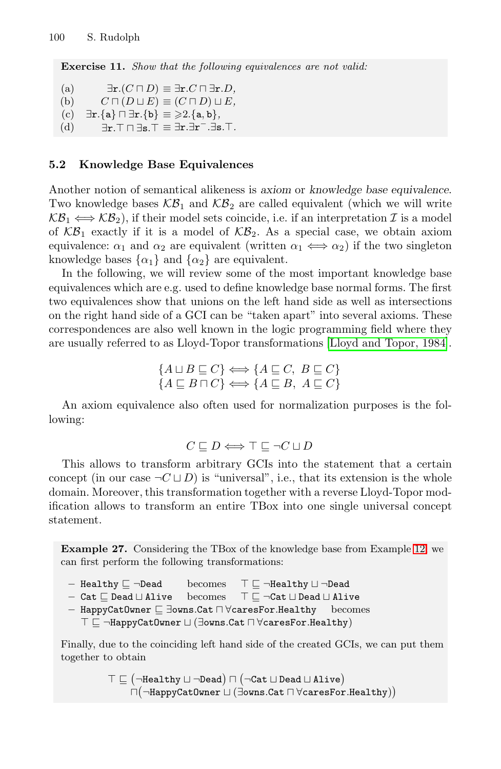**Exercise 11.** Show that the following equivalences are not valid:

(a)  $\exists$ **r**.( $C \sqcap D$ )  $\equiv \exists$ **r**. $C \sqcap \exists$ **r**. $D$ , (b)  $C \sqcap (D \sqcup E) \equiv (C \sqcap D) \sqcup E$ ,  $\text{(c)} \quad \exists \mathbf{r}. \{\mathbf{a}\} \sqcap \exists \mathbf{r}. \{\mathbf{b}\} \equiv \geqslant 2. \{\mathbf{a}, \mathbf{b}\},$ 

(d)  $\exists$ r.  $\top \sqcap \exists$ s.  $\top \equiv \exists$ r. $\exists$ r $\top$ . $\exists$ s.  $\top$ .

#### **5.2 Knowledge Base Equivalences**

Another notion of semantical alikeness is *axiom* or *knowledge base equivalence*. Two knowledge bases  $\mathcal{KB}_1$  and  $\mathcal{KB}_2$  are called equivalent (which we will write  $KB_1 \iff KB_2$ , if their model sets coincide, i.e. if an interpretation I is a model of  $KB_1$  exactly if it is a model of  $KB_2$ . As a special case, we obtain axiom equivalence:  $\alpha_1$  and  $\alpha_2$  are equivalent (written  $\alpha_1 \iff \alpha_2$ ) if the two singleton knowledge bases  $\{\alpha_1\}$  and  $\{\alpha_2\}$  are equivalent.

In the following, we will review some of the most important knowledge base equivalences which are e.g. used to define knowledge base normal forms. The first two equivalences show that unions on the left hand side as well as intersections on the right hand side of a GCI can be "taken apart" into several axioms. These correspondences are also well known in the logic programming field where they are usually referred to as Lloyd-Topor transformations [\[Lloyd and Topor, 1984\]](#page-58-2).

$$
\{A \sqcup B \sqsubseteq C\} \Longleftrightarrow \{A \sqsubseteq C, B \sqsubseteq C\}
$$
  

$$
\{A \sqsubseteq B \sqcap C\} \Longleftrightarrow \{A \sqsubseteq B, A \sqsubseteq C\}
$$

An axiom equivalence also often used for normalization purposes is the following:

$$
C \sqsubseteq D \Longleftrightarrow \top \sqsubseteq \neg C \sqcup D
$$

This allows to transform arbitrary GCIs into the statement that a certain concept (in our case  $\neg C \sqcup D$ ) is "universal", i.e., that its extension is the whole domain. Moreover, this transformation together with a reverse Lloyd-Topor modification allows to transform an entire TBox into one single universal concept statement.

**Example 27.** Considering the TBox of the knowledge base from Example [12,](#page-10-1) we can first perform the following transformations:

```
- Healthy \Box \negDead
                                   becomes
                                                   \top \sqsubset \negHealthy \sqcup \negDead
```

```
– Cat <u>⊏</u> Dead ⊔ Alive becomes - T <u>⊏</u><br>- HannyCatOuner ⊑ ∃ouns Cat ⊡ ∀cares
                                                                                        \top \sqsubset \neg \mathtt{Cat} \sqcup \mathtt{Dead} \sqcup \mathtt{Alive}
```

```
- HappyCatOwner \sqsubseteq ∃owns.Cat \sqcap ∀caresFor.Healthy becomes \top Γ → HappyCatOwner \sqcup (∃owns.Cat \sqcap ∀caresFor Healthy)
     \top \sqsubseteq \negHappyCatOwner \sqcup \left( \exists \text{owns}.\texttt{Cat} \sqcap \forall \texttt{caresFor}. \texttt{Healthy} \right)
```
Finally, due to the coinciding left hand side of the created GCIs, we can put them together to obtain

```
\top \sqsubseteq (\negHealthy \sqcup \negDead) \sqcap (\negCat \sqcup Dead \sqcup Alive)\sqcap(\negHappyCatOwner \sqcup (\exists \textsf{owns}.Cat \sqcap \forall \textsf{cares} For.Healthy))
```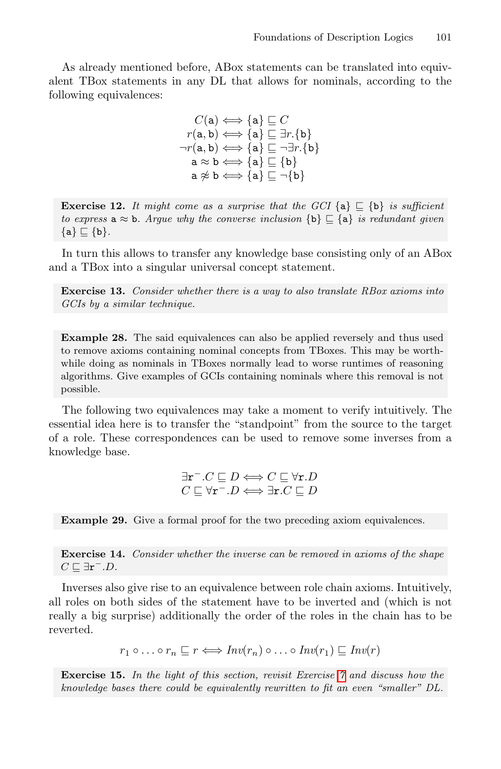As already mentioned before, ABox statements can be translated into equivalent TBox statements in any DL that allows for nominals, according to the following equivalences:

$$
C(\mathbf{a}) \Longleftrightarrow \{\mathbf{a}\} \sqsubseteq C
$$
  
\n
$$
r(\mathbf{a}, \mathbf{b}) \Longleftrightarrow \{\mathbf{a}\} \sqsubseteq \exists r.\{\mathbf{b}\}
$$
  
\n
$$
\neg r(\mathbf{a}, \mathbf{b}) \Longleftrightarrow \{\mathbf{a}\} \sqsubseteq \neg \exists r.\{\mathbf{b}\}
$$
  
\n
$$
\mathbf{a} \approx \mathbf{b} \Longleftrightarrow \{\mathbf{a}\} \sqsubseteq \{\mathbf{b}\}
$$
  
\n
$$
\mathbf{a} \not\approx \mathbf{b} \Longleftrightarrow \{\mathbf{a}\} \sqsubseteq \neg \{\mathbf{b}\}
$$

**Exercise 12.** It might come as a surprise that the GCI  $\{a\} \subseteq \{b\}$  is sufficient to express  $a \sim b$ . Argue why the converse inclusion  $\{b\} \sqsubset \{a\}$  is redundant given to express  $a \approx b$ . Argue why the converse inclusion  $\{b\} \sqsubseteq \{a\}$  is redundant given  ${a} \sqsubseteq {b}.$ 

In turn this allows to transfer any knowledge base consisting only of an ABox and a TBox into a singular universal concept statement.

**Exercise 13.** Consider whether there is a way to also translate RBox axioms into GCIs by a similar technique.

**Example 28.** The said equivalences can also be applied reversely and thus used to remove axioms containing nominal concepts from TBoxes. This may be worthwhile doing as nominals in TBoxes normally lead to worse runtimes of reasoning algorithms. Give examples of GCIs containing nominals where this removal is not possible.

The following two equivalences may take a moment to verify intuitively. The essential idea here is to transfer the "standpoint" from the source to the target of a role. These correspondences can be used to remove some inverses from a knowledge base.

$$
\exists \mathbf{r}^- . C \sqsubseteq D \Longleftrightarrow C \sqsubseteq \forall \mathbf{r} . D
$$
  

$$
C \sqsubseteq \forall \mathbf{r}^- . D \Longleftrightarrow \exists \mathbf{r} . C \sqsubseteq D
$$

**Example 29.** Give a formal proof for the two preceding axiom equivalences.

**Exercise 14.** Consider whether the inverse can be removed in axioms of the shape  $C \sqsubseteq \exists$ r<sup>-</sup>.D.

Inverses also give rise to an equivalence between role chain axioms. Intuitively, all roles on both sides of the statement have to be inverted and (which is not really a big surprise) additionally the order of the roles in the chain has to be reverted.

 $r_1 \circ \ldots \circ r_n \sqsubseteq r \Longleftrightarrow Inv(r_n) \circ \ldots \circ Inv(r_1) \sqsubseteq Inv(r)$ 

**Exercise 15.** In the light of this section, revisit Exercise [7](#page-21-2) and discuss how the knowledge bases there could be equivalently rewritten to fit an even "smaller" DL.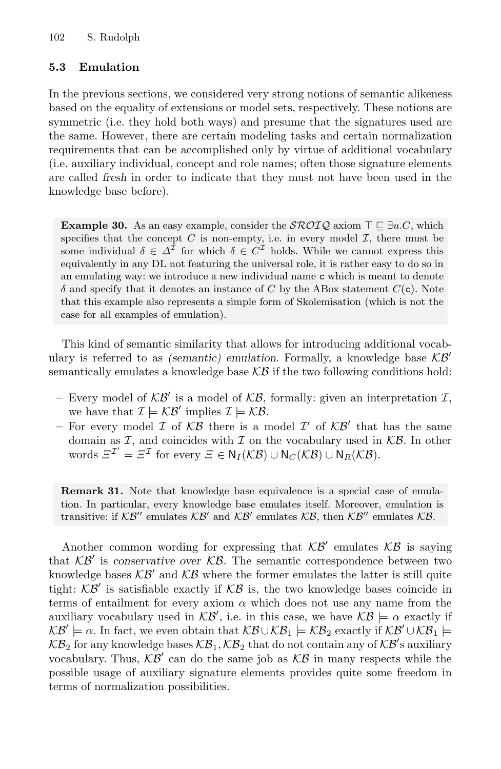#### **5.3 Emulation**

In the previous sections, we considered very strong notions of semantic alikeness based on the equality of extensions or model sets, respectively. These notions are symmetric (i.e. they hold both ways) and presume that the signatures used are the same. However, there are certain modeling tasks and certain normalization requirements that can be accomplished only by virtue of additional vocabulary (i.e. auxiliary individual, concept and role names; often those signature elements are called *fresh* in order to indicate that they must not have been used in the knowledge base before).

**Example 30.** As an easy example, consider the  $\mathcal{SROIQ}$  axiom  $\top \sqsubseteq \exists u.C$ , which enocities that the concent C is non empty i.e. in every model  $\top$  there must be specifies that the concept  $C$  is non-empty, i.e. in every model  $\mathcal{I}$ , there must be some individual  $\delta \in \Delta^{\hat{\mathcal{I}}}$  for which  $\delta \in C^{\hat{\mathcal{I}}}$  holds. While we cannot express this equivalently in any DL not featuring the universal role, it is rather easy to do so in an emulating way: we introduce a new individual name c which is meant to denote  $\delta$  and specify that it denotes an instance of C by the ABox statement  $C(\mathsf{c})$ . Note that this example also represents a simple form of Skolemisation (which is not the case for all examples of emulation).

This kind of semantic similarity that allows for introducing additional vocabulary is referred to as *(semantic)* emulation. Formally, a knowledge base  $KB'$ semantically emulates a knowledge base  $\mathcal{KB}$  if the two following conditions hold:

- Every model of  $\mathcal{KB}'$  is a model of  $\mathcal{KB}$ , formally: given an interpretation  $\mathcal{I}$ , we have that  $\mathcal{I} \models \mathcal{KB}'$  implies  $\mathcal{I} \models \mathcal{KB}.$
- For every model  $\mathcal I$  of  $\mathcal{KB}$  there is a model  $\mathcal I'$  of  $\mathcal{KB}'$  that has the same domain as  $\mathcal{I}$ , and coincides with  $\mathcal I$  on the vocabulary used in  $\mathcal{KB}$ . In other words  $\Xi^{\mathcal{I}'} = \Xi^{\mathcal{I}}$  for every  $\Xi \in \mathsf{N}_I(\mathcal{KB}) \cup \mathsf{N}_C(\mathcal{KB}) \cup \mathsf{N}_R(\mathcal{KB}).$

**Remark 31.** Note that knowledge base equivalence is a special case of emulation. In particular, every knowledge base emulates itself. Moreover, emulation is transitive: if  $KB''$  emulates  $KB'$  and  $KB'$  emulates  $KB$ , then  $KB''$  emulates  $KB$ .

Another common wording for expressing that  $KB'$  emulates  $KB$  is saying that  $KB'$  is *conservative over*  $KB$ . The semantic correspondence between two knowledge bases  $KB'$  and  $KB$  where the former emulates the latter is still quite tight:  $KB'$  is satisfiable exactly if  $KB$  is, the two knowledge bases coincide in terms of entailment for every axiom  $\alpha$  which does not use any name from the auxiliary vocabulary used in  $\mathcal{KB}'$ , i.e. in this case, we have  $\mathcal{KB} \models \alpha$  exactly if  $\mathcal{KB}' \models \alpha$ . In fact, we even obtain that  $\mathcal{KB} \cup \mathcal{KB}_1 \models \mathcal{KB}_2$  exactly if  $\mathcal{KB}' \cup \mathcal{KB}_1 \models$  $\mathcal{KB}_2$  for any knowledge bases  $\mathcal{KB}_1, \mathcal{KB}_2$  that do not contain any of  $\mathcal{KB}'$ s auxiliary vocabulary. Thus,  $\mathcal{KB}'$  can do the same job as  $\mathcal{KB}$  in many respects while the possible usage of auxiliary signature elements provides quite some freedom in terms of normalization possibilities.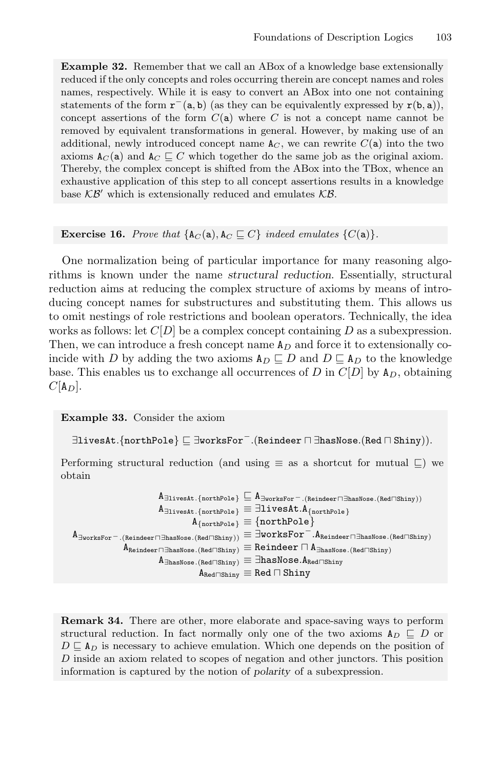**Example 32.** Remember that we call an ABox of a knowledge base extensionally reduced if the only concepts and roles occurring therein are concept names and roles names, respectively. While it is easy to convert an ABox into one not containing statements of the form  $\mathbf{r}^-(\mathbf{a}, \mathbf{b})$  (as they can be equivalently expressed by  $\mathbf{r}(\mathbf{b}, \mathbf{a})$ ), concept assertions of the form  $C(a)$  where C is not a concept name cannot be removed by equivalent transformations in general. However, by making use of an additional, newly introduced concept name  $A_C$ , we can rewrite  $C(\mathbf{a})$  into the two axioms  $A_C(a)$  and  $A_C \sqsubseteq C$  which together do the same job as the original axiom. Thereby, the complex concept is shifted from the ABox into the TBox, whence an exhaustive application of this step to all concept assertions results in a knowledge base  $KB'$  which is extensionally reduced and emulates  $KB$ .

**Exercise 16.** Prove that  ${A_C(a), A_C \subseteq C}$  indeed emulates  ${C(a)}$ .

One normalization being of particular importance for many reasoning algorithms is known under the name *structural reduction*. Essentially, structural reduction aims at reducing the complex structure of axioms by means of introducing concept names for substructures and substituting them. This allows us to omit nestings of role restrictions and boolean operators. Technically, the idea works as follows: let  $C[D]$  be a complex concept containing D as a subexpression. Then, we can introduce a fresh concept name  $A_D$  and force it to extensionally coincide with D by adding the two axioms  $A_D \sqsubseteq D$  and  $D \sqsubseteq A_D$  to the knowledge base. This enables us to exchange all occurrences of D in  $C[D]$  by  $A_D$ , obtaining  $C[A_D].$ 

<span id="page-27-0"></span>**Example 33.** Consider the axiom

 $\exists \mathtt{livesAt}. \{\mathtt{northPole}\} \sqsubseteq \exists \mathtt{worksFor}^-.(\mathtt{Reindeer} \sqcap \exists \mathtt{hasNose}.(\mathtt{Red} \sqcap \mathtt{Shiny})).$ 

Performing structural reduction (and using  $\equiv$  as a shortcut for mutual  $\sqsubseteq$ ) we obtain

```
\mathtt{A}_{\exists \mathtt{livesAt}.\{\text{northPole}\}} \sqsubseteq \mathtt{A}_{\exists \mathtt{worksFor}^{-}.\mathtt{(Reindeer \sqcap} \exists \mathtt{hasNose}.(\mathtt{Red} \sqcap \mathtt{Shiny}))}A_{\exists\text{livesAt.\{northPole\}}} \equiv \exists\text{livesAt.A}_{\{northPole\}}A_{\{northPole\}} \equiv \{northPole\}\mathtt{A}_{\exists \text{worksFor}^{-}.(\text{Reindeer} \sqcap \exists \text{hasNose}.(\text{Red} \sqcap \text{Shiny}))} \equiv \exists \text{worksFor}^{-}.A_{\text{Reindeer} \sqcap \exists \text{hasNose}.(\text{Red} \sqcap \text{Shiny})}A_{\text{Reindeer}\sqcap\exists\text{hasNose}.(\text{Red}\sqcap\text{Shiny})}\equiv\text{Reindeer}\sqcap A_{\exists\text{hasNose}.(\text{Red}\sqcap\text{Shiny})}A_{\exists \text{hasNose}.(Red \cap Shiny)} \equiv \exists \text{hasNose}. A_{Red \cap Shiny}A_{\text{Red}\sqcap\text{Shiny}} \equiv \text{Red} \sqcap \text{Shiny}
```
**Remark 34.** There are other, more elaborate and space-saving ways to perform structural reduction. In fact normally only one of the two axioms  $A_D \subseteq D$  or  $D \subseteq A_D$  is necessary to achieve emulation. Which one depends on the position of D inside an axiom related to scopes of negation and other junctors. This position information is captured by the notion of *polarity* of a subexpression.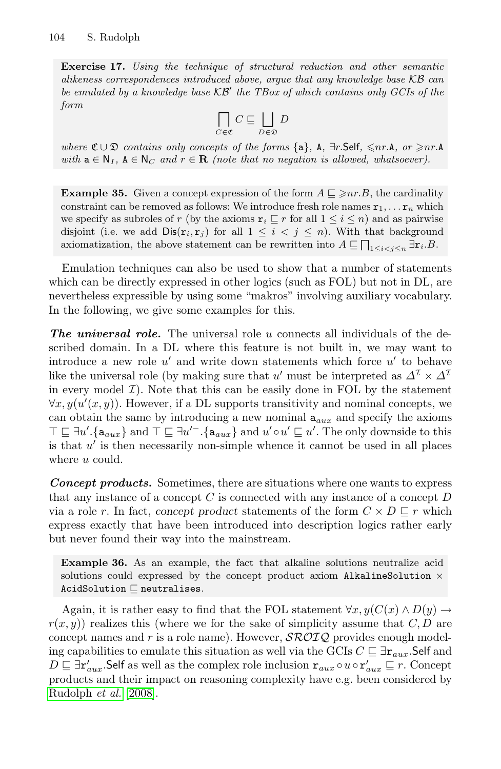**Exercise 17.** Using the technique of structural reduction and other semantic alikeness correspondences introduced above, argue that any knowledge base KB can be emulated by a knowledge base  $\mathcal{KB}'$  the TBox of which contains only GCIs of the form

$$
\bigcap_{C\in\mathfrak{C}}C\sqsubseteq\bigsqcup_{D\in\mathfrak{D}}D
$$

where  $\mathfrak{C}\cup\mathfrak{D}$  contains only concepts of the forms  $\{a\}$ , A,  $\exists r$ .Self,  $\leq n r$ .A, or  $\geq n r$ .A with  $a \in N_I$ ,  $A \in N_C$  and  $r \in \mathbf{R}$  (note that no negation is allowed, whatsoever).

**Example 35.** Given a concept expression of the form  $A \subseteq \geqslant nr.B$ , the cardinality constraint can be removed as follows: We introduce fresh role names  $\mathbf{r}_r = \mathbf{r}$  which constraint can be removed as follows: We introduce fresh role names  $r_1, \ldots r_n$  which we specify as subroles of r (by the axioms  $\mathbf{r}_i \subseteq r$  for all  $1 \leq i \leq n$ ) and as pairwise disjoint (i.e. we add  $\text{Dis}(\mathbf{r}_i, \mathbf{r}_j)$  for all  $1 \leq i \leq j \leq n$ ). With that background axiomatization, the above statement can be rewritten into  $A \subseteq \bigcap_{1 \leq i < j \leq n} \exists \mathbf{r}_i.B.$ 

Emulation techniques can also be used to show that a number of statements which can be directly expressed in other logics (such as FOL) but not in DL, are nevertheless expressible by using some "makros" involving auxiliary vocabulary. In the following, we give some examples for this.

*The universal role.* The universal role u connects all individuals of the described domain. In a DL where this feature is not built in, we may want to introduce a new role  $u'$  and write down statements which force  $u'$  to behave like the universal role (by making sure that u' must be interpreted as  $\Delta^{\mathcal{I}} \times \Delta^{\mathcal{I}}$ in every model  $\mathcal{I}$ ). Note that this can be easily done in FOL by the statement  $\forall x, y(u'(x, y))$ . However, if a DL supports transitivity and nominal concepts, we can obtain the same by introducing a new nominal  $a_{aux}$  and specify the axioms  $\top \sqsubseteq \exists u'.\{a_{aux}\}\$  and  $\top \sqsubseteq \exists u'^{-}\$ . { $a_{aux}\}$ } and  $u' \circ u' \sqsubseteq u'$ . The only downside to this is that  $u'$  is then necessarily non-simple whence it cannot be used in all places where u could.

*Concept products.* Sometimes, there are situations where one wants to express that any instance of a concept  $C$  is connected with any instance of a concept  $D$ via a role r. In fact, *concept product* statements of the form  $C \times D \sqsubseteq r$  which express exactly that have been introduced into description logics rather early but never found their way into the mainstream.

**Example 36.** As an example, the fact that alkaline solutions neutralize acid solutions could expressed by the concept product axiom AlkalineSolution  $\times$  $AcidSolution \sqsubseteq neutralises.$ 

Again, it is rather easy to find that the FOL statement  $\forall x, y(C(x) \land D(y) \rightarrow$  $r(x, y)$ ) realizes this (where we for the sake of simplicity assume that  $C, D$  are concept names and r is a role name). However,  $\mathcal{SROLQ}$  provides enough modeling capabilities to emulate this situation as well via the GCIs  $C \subseteq \exists r_{aux}$ . Self and  $D \sqsubseteq \exists \mathbf{r}'_{aux}$ . Self as well as the complex role inclusion  $\mathbf{r}_{aux} \circ u \circ \mathbf{r}'_{aux} \sqsubseteq r$ . Concept products and their impact on reasoning complexity have e.g. been considered by [Rudolph](#page-59-4) *et al.* [\[2008\]](#page-59-4).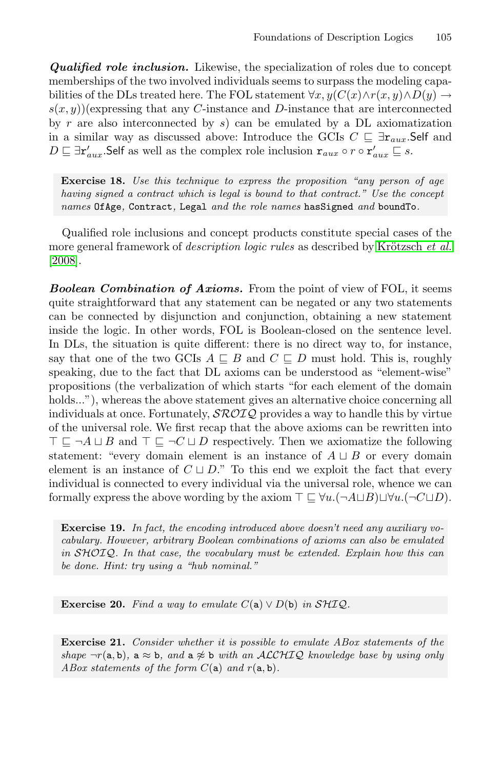*Qualified role inclusion.* Likewise, the specialization of roles due to concept memberships of the two involved individuals seems to surpass the modeling capabilities of the DLs treated here. The FOL statement  $\forall x, y(C(x) \land r(x, y) \land D(y) \rightarrow$  $s(x, y)$ )(expressing that any C-instance and D-instance that are interconnected by r are also interconnected by  $s$ ) can be emulated by a DL axiomatization in a similar way as discussed above: Introduce the GCIs  $C \subseteq \exists r_{aux}$ . Self and  $D \sqsubseteq \exists \mathbf{r}'_{aux}.\mathsf{Self}$  as well as the complex role inclusion  $\mathbf{r}_{aux} \circ r \circ \mathbf{r}'_{aux} \sqsubseteq s.$ 

**Exercise 18.** Use this technique to express the proposition "any person of age having signed a contract which is legal is bound to that contract." Use the concept names OfAge, Contract, Legal and the role names has Signed and bound To.

Qualified role inclusions and concept products constitute special cases of the more general framework of *description logic rules* as described by Krötzsch *et al.* [\[2008\]](#page-58-3).

*Boolean Combination of Axioms.* From the point of view of FOL, it seems quite straightforward that any statement can be negated or any two statements can be connected by disjunction and conjunction, obtaining a new statement inside the logic. In other words, FOL is Boolean-closed on the sentence level. In DLs, the situation is quite different: there is no direct way to, for instance, say that one of the two GCIs  $A \subseteq B$  and  $C \subseteq D$  must hold. This is, roughly speaking, due to the fact that DL axioms can be understood as "element-wise" propositions (the verbalization of which starts "for each element of the domain holds..."), whereas the above statement gives an alternative choice concerning all individuals at once. Fortunately,  $\mathcal{SROIQ}$  provides a way to handle this by virtue of the universal role. We first recap that the above axioms can be rewritten into  $\top \sqsubseteq \neg A \sqcup B$  and  $\top \sqsubseteq \neg C \sqcup D$  respectively. Then we axiomatize the following statement: "every domain element is an instance of  $A \sqcup B$  or every domain element is an instance of  $C \sqcup D$ ." To this end we exploit the fact that every individual is connected to every individual via the universal role, whence we can formally express the above wording by the axiom  $\top \sqsubseteq \forall u.(\neg A \sqcup B) \sqcup \forall u.(\neg C \sqcup D)$ .

**Exercise 19.** In fact, the encoding introduced above doesn't need any auxiliary vocabulary. However, arbitrary Boolean combinations of axioms can also be emulated in SHOIQ. In that case, the vocabulary must be extended. Explain how this can be done. Hint: try using a "hub nominal."

**Exercise 20.** Find a way to emulate  $C(\mathbf{a}) \vee D(\mathbf{b})$  in  $\mathcal{SHIO}$ .

**Exercise 21.** Consider whether it is possible to emulate ABox statements of the shape  $\neg r(\mathbf{a}, \mathbf{b})$ ,  $\mathbf{a} \approx \mathbf{b}$ , and  $\mathbf{a} \not\approx \mathbf{b}$  with an ALCHIQ knowledge base by using only ABox statements of the form  $C(\mathsf{a})$  and  $r(\mathsf{a}, \mathsf{b})$ .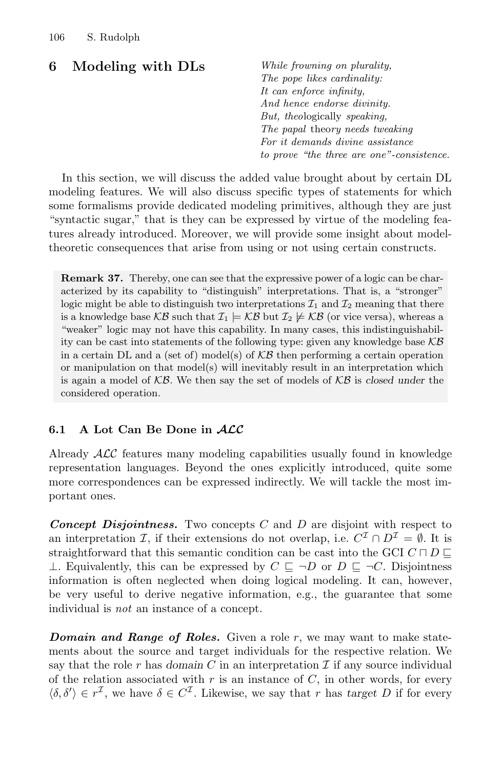# <span id="page-30-0"></span>**6 Modeling with DLs** While frowning on plurality,

The pope likes cardinality: It can enforce infinity, And hence endorse divinity. But, theologically speaking, The papal theory needs tweaking For it demands divine assistance to prove "the three are one"-consistence.

In this section, we will discuss the added value brought about by certain DL modeling features. We will also discuss specific types of statements for which some formalisms provide dedicated modeling primitives, although they are just "syntactic sugar," that is they can be expressed by virtue of the modeling features already introduced. Moreover, we will provide some insight about modeltheoretic consequences that arise from using or not using certain constructs.

**Remark 37.** Thereby, one can see that the expressive power of a logic can be characterized by its capability to "distinguish" interpretations. That is, a "stronger" logic might be able to distinguish two interpretations  $\mathcal{I}_1$  and  $\mathcal{I}_2$  meaning that there is a knowledge base  $KB$  such that  $\mathcal{I}_1 \models KB$  but  $\mathcal{I}_2 \not\models KB$  (or vice versa), whereas a "weaker" logic may not have this capability. In many cases, this indistinguishability can be cast into statements of the following type: given any knowledge base  $\mathcal{KB}$ in a certain DL and a (set of) model(s) of  $KB$  then performing a certain operation or manipulation on that model(s) will inevitably result in an interpretation which is again a model of KB. We then say the set of models of KB is *closed under* the considered operation.

# **6.1 A Lot Can Be Done in** *ALC*

Already ALC features many modeling capabilities usually found in knowledge representation languages. Beyond the ones explicitly introduced, quite some more correspondences can be expressed indirectly. We will tackle the most important ones.

*Concept Disjointness.* Two concepts C and D are disjoint with respect to an interpretation I, if their extensions do not overlap, i.e.  $C^{\mathcal{I}} \cap D^{\mathcal{I}} = \emptyset$ . It is straightforward that this semantic condition can be cast into the GCI  $C \sqcap D \sqsubseteq$ ⊥. Equivalently, this can be expressed by  $C \subseteq \neg D$  or  $D \subseteq \neg C$ . Disjointness information is often neglected when doing logical modeling. It can, however, be very useful to derive negative information, e.g., the guarantee that some individual is *not* an instance of a concept.

*Domain and Range of Roles.* Given a role r, we may want to make statements about the source and target individuals for the respective relation. We say that the role  $r$  has *domain*  $C$  in an interpretation  $\mathcal I$  if any source individual of the relation associated with  $r$  is an instance of  $C$ , in other words, for every  $\langle \delta, \delta' \rangle \in r^{\mathcal{I}}$ , we have  $\delta \in C^{\mathcal{I}}$ . Likewise, we say that r has target D if for every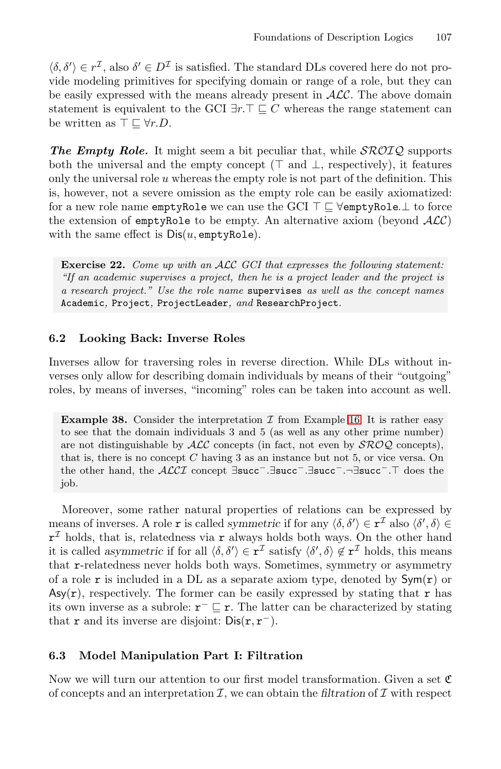$\langle \delta, \delta' \rangle \in r^{\mathcal{I}}$ , also  $\delta' \in D^{\mathcal{I}}$  is satisfied. The standard DLs covered here do not provide modeling primitives for specifying domain or range of a role, but they can be easily expressed with the means already present in  $ALC$ . The above domain statement is equivalent to the GCI  $\exists r.\top \sqsubseteq C$  whereas the range statement can be written as  $\top \sqsubseteq \forall r.D$ .

*The Empty Role.* It might seem a bit peculiar that, while SROIQ supports both the universal and the empty concept ( $\top$  and  $\bot$ , respectively), it features only the universal role  $u$  whereas the empty role is not part of the definition. This is, however, not a severe omission as the empty role can be easily axiomatized: for a new role name  $\mathtt{emptyRole}$  we can use the  $\mathrm{GCI}\top\sqsubseteq\forall$ empty<code>Role</code>. $\bot$  to force the extension of emptyRole to be empty. An alternative axiom (beyond  $ALC$ ) with the same effect is  $Dis(u, \texttt{emptyRole})$ .

**Exercise 22.** Come up with an ALC GCI that expresses the following statement: "If an academic supervises a project, then he is a project leader and the project is a research project." Use the role name supervises as well as the concept names Academic, Project, ProjectLeader, and ResearchProject.

#### **6.2 Looking Back: Inverse Roles**

Inverses allow for traversing roles in reverse direction. While DLs without inverses only allow for describing domain individuals by means of their "outgoing" roles, by means of inverses, "incoming" roles can be taken into account as well.

**Example 38.** Consider the interpretation  $\mathcal I$  from Example [16.](#page-13-0) It is rather easy to see that the domain individuals 3 and 5 (as well as any other prime number) are not distinguishable by  $ALC$  concepts (in fact, not even by  $SROQ$  concepts), that is, there is no concept  $C$  having 3 as an instance but not 5, or vice versa. On the other hand, the ALCI concept ∃succ<sup>−</sup>.∃succ<sup>−</sup>.∃succ<sup>−</sup>.¬∃succ<sup>−</sup>. does the job.

Moreover, some rather natural properties of relations can be expressed by means of inverses. A role r is called *symmetric* if for any  $\langle \delta, \delta' \rangle \in \mathbf{r}^{\mathcal{I}}$  also  $\langle \delta', \delta \rangle \in$  $r^{\mathcal{I}}$  holds, that is, relatedness via r always holds both ways. On the other hand it is called *asymmetric* if for all  $\langle \delta, \delta' \rangle \in \mathbf{r}^{\mathcal{I}}$  satisfy  $\langle \delta', \delta \rangle \notin \mathbf{r}^{\mathcal{I}}$  holds, this means that r-relatedness never holds both ways. Sometimes, symmetry or asymmetry of a role r is included in a DL as a separate axiom type, denoted by  $Sym(r)$  or  $\text{Asy}(r)$ , respectively. The former can be easily expressed by stating that r has its own inverse as a subrole:  $\mathbf{r}^- \sqsubseteq \mathbf{r}$ . The latter can be characterized by stating that r and its inverse are disjoint:  $Dis(r, r^-)$ .

#### **6.3 Model Manipulation Part I: Filtration**

Now we will turn our attention to our first model transformation. Given a set  $\mathfrak C$ of concepts and an interpretation  $\mathcal{I}$ , we can obtain the *filtration* of  $\mathcal{I}$  with respect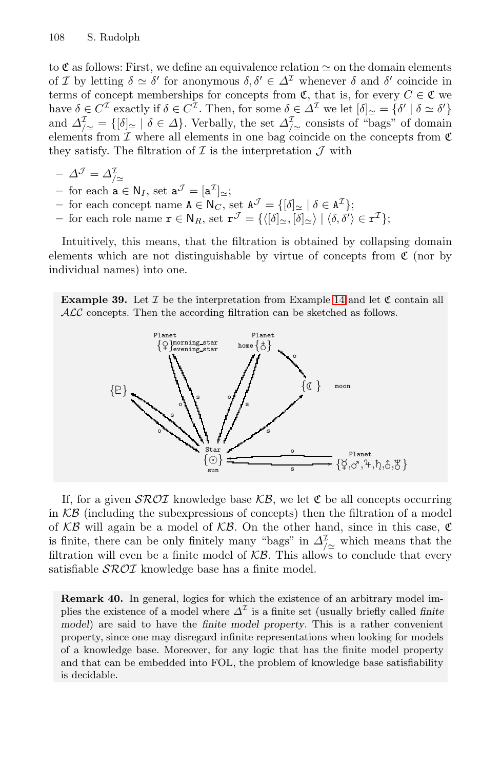to  $\mathfrak C$  as follows: First, we define an equivalence relation  $\simeq$  on the domain elements of I by letting  $\delta \simeq \delta'$  for anonymous  $\delta, \delta' \in \Delta^{\mathcal{I}}$  whenever  $\delta$  and  $\delta'$  coincide in terms of concept memberships for concepts from  $\mathfrak{C}$ , that is, for every  $C \in \mathfrak{C}$  we have  $\delta \in C^{\mathcal{I}}$  exactly if  $\delta \in C^{\mathcal{I}}$ . Then, for some  $\delta \in \Delta^{\mathcal{I}}$  we let  $[\delta]_{\simeq} = {\delta' | \delta \simeq \delta'}$ and  $\Delta_{/\simeq}^{\mathcal{I}} = \{ [\delta]_{\simeq} \mid \delta \in \Delta \}$ . Verbally, the set  $\Delta_{/\simeq}^{\mathcal{I}}$  consists of "bags" of domain elements from  $\mathcal I$  where all elements in one bag coincide on the concepts from  $\mathfrak C$ they satisfy. The filtration of  $\mathcal I$  is the interpretation  $\mathcal J$  with

$$
- \varDelta^{\mathcal{J}} = \varDelta^{\mathcal{I}}_{/\simeq}
$$

- for each **a** ∈  $N_I$ , set **a**<sup> $\mathcal{J}$ </sup> = [**a**<sup> $\mathcal{I}$ </sup>] $\approx$ ;
- **–** for each concept name  $\mathbf{A} \in \mathbb{N}_C$ , set  $\mathbf{A}^{\mathcal{J}} = \{ [\delta]_{\simeq} \mid \delta \in \mathbf{A}^{\mathcal{I}} \};$
- $-$  for each role name  $\mathbf{r} \in \mathsf{N}_R$ , set  $\mathbf{r}^{\mathcal{J}} = \{ \langle [\delta]_{\simeq}, [\delta]_{\simeq} \rangle \mid \langle \delta, \delta' \rangle \in \mathbf{r}^{\mathcal{I}} \};$

Intuitively, this means, that the filtration is obtained by collapsing domain elements which are not distinguishable by virtue of concepts from  $\mathfrak C$  (nor by individual names) into one.

<span id="page-32-0"></span>**Example 39.** Let  $\mathcal I$  be the interpretation from Example [14](#page-12-0) and let  $\mathfrak C$  contain all ALC concepts. Then the according filtration can be sketched as follows.



If, for a given  $\mathcal{SROT}$  knowledge base  $\mathcal{KB}$ , we let  $\mathfrak C$  be all concepts occurring in  $K\mathcal{B}$  (including the subexpressions of concepts) then the filtration of a model of  $KB$  will again be a model of  $KB$ . On the other hand, since in this case,  $\mathfrak C$ is finite, there can be only finitely many "bags" in  $\Delta_{/\simeq}^{\mathcal{I}}$  which means that the filtration will even be a finite model of  $KB$ . This allows to conclude that every satisfiable  $\mathcal{SROI}$  knowledge base has a finite model.

**Remark 40.** In general, logics for which the existence of an arbitrary model implies the existence of a model where  $\Delta^{\mathcal{I}}$  is a finite set (usually briefly called *finite model*) are said to have the *finite model property*. This is a rather convenient property, since one may disregard infinite representations when looking for models of a knowledge base. Moreover, for any logic that has the finite model property and that can be embedded into FOL, the problem of knowledge base satisfiability is decidable.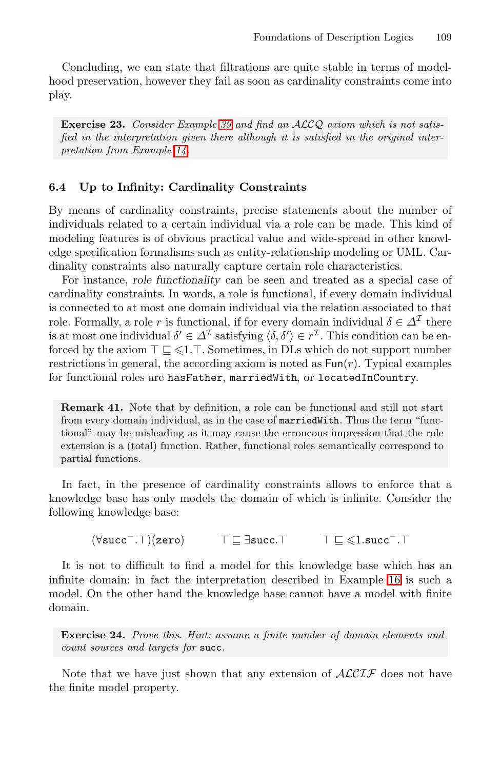Concluding, we can state that filtrations are quite stable in terms of modelhood preservation, however they fail as soon as cardinality constraints come into play.

**Exercise 23.** Consider Example [39](#page-32-0) and find an ALCQ axiom which is not satisfied in the interpretation given there although it is satisfied in the original interpretation from Example [14.](#page-12-0)

#### **6.4 Up to Infinity: Cardinality Constraints**

By means of cardinality constraints, precise statements about the number of individuals related to a certain individual via a role can be made. This kind of modeling features is of obvious practical value and wide-spread in other knowledge specification formalisms such as entity-relationship modeling or UML. Cardinality constraints also naturally capture certain role characteristics.

For instance, *role functionality* can be seen and treated as a special case of cardinality constraints. In words, a role is functional, if every domain individual is connected to at most one domain individual via the relation associated to that role. Formally, a role r is functional, if for every domain individual  $\delta \in \Delta^{\mathcal{I}}$  there is at most one individual  $\delta' \in \Delta^{\mathcal{I}}$  satisfying  $\langle \delta, \delta' \rangle \in r^{\mathcal{I}}$ . This condition can be enforced by the axiom  $\top \sqsubseteq \leqslant 1$ . T. Sometimes, in DLs which do not support number restrictions in general, the according axiom is noted as  $\text{Fun}(r)$ . Typical examples for functional roles are hasFather, marriedWith, or locatedInCountry.

**Remark 41.** Note that by definition, a role can be functional and still not start from every domain individual, as in the case of marriedWith. Thus the term "functional" may be misleading as it may cause the erroneous impression that the role extension is a (total) function. Rather, functional roles semantically correspond to partial functions.

In fact, in the presence of cardinality constraints allows to enforce that a knowledge base has only models the domain of which is infinite. Consider the following knowledge base:

(∀succ<sup>-</sup>.T)(zero) T ⊑ ∃succ.T T ⊑ ≤1.succ<sup>-</sup>.T

It is not to difficult to find a model for this knowledge base which has an infinite domain: in fact the interpretation described in Example [16](#page-13-0) is such a model. On the other hand the knowledge base cannot have a model with finite domain.

**Exercise 24.** Prove this. Hint: assume a finite number of domain elements and count sources and targets for succ.

Note that we have just shown that any extension of  $\mathcal{ALCIF}$  does not have the finite model property.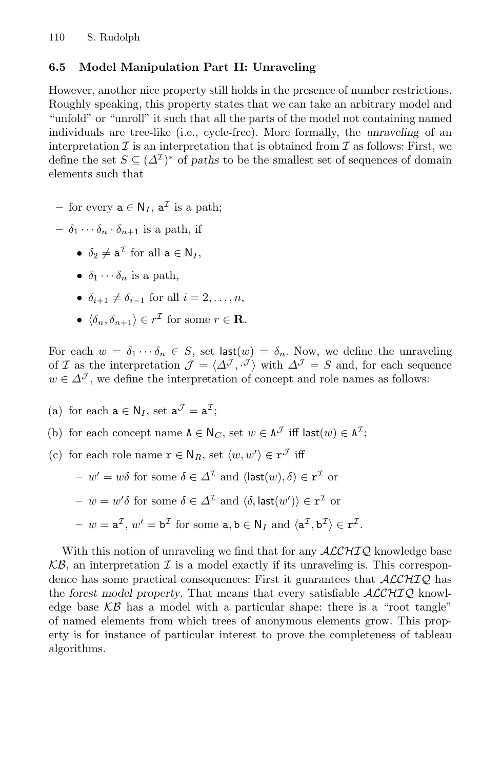#### **6.5 Model Manipulation Part II: Unraveling**

However, another nice property still holds in the presence of number restrictions. Roughly speaking, this property states that we can take an arbitrary model and "unfold" or "unroll" it such that all the parts of the model not containing named individuals are tree-like (i.e., cycle-free). More formally, the *unraveling* of an interpretation  $\mathcal I$  is an interpretation that is obtained from  $\mathcal I$  as follows: First, we define the set  $S \subseteq (\Delta^{\mathcal{I}})^*$  of *paths* to be the smallest set of sequences of domain elements such that

– for every  $a \in N_I$ ,  $a^{\mathcal{I}}$  is a path:

 $-\delta_1 \cdots \delta_n \cdot \delta_{n+1}$  is a path, if

- $\delta_2 \neq a^{\mathcal{I}}$  for all  $a \in N_I$ ,
- $\bullet$   $\delta_1 \cdots \delta_n$  is a path,
- $\delta_{i+1} \neq \delta_{i-1}$  for all  $i = 2, \ldots, n$ ,
- $\langle \delta_n, \delta_{n+1} \rangle \in r^{\mathcal{I}}$  for some  $r \in \mathbf{R}$ .

For each  $w = \delta_1 \cdots \delta_n \in S$ , set last $(w) = \delta_n$ . Now, we define the unraveling of I as the interpretation  $\mathcal{J} = \langle \Delta^{\mathcal{J}}, \cdot^{\mathcal{J}} \rangle$  with  $\Delta^{\mathcal{J}} = S$  and, for each sequence  $w \in \Delta^{\mathcal{J}},$  we define the interpretation of concept and role names as follows:

- (a) for each  $\mathbf{a} \in \mathsf{N}_I$ , set  $\mathbf{a}^{\mathcal{J}} = \mathbf{a}^{\mathcal{I}}$ ;
- (b) for each concept name  $A \in N_C$ , set  $w \in A^{\mathcal{J}}$  iff  $\mathsf{last}(w) \in A^{\mathcal{I}}$ ;
- (c) for each role name  $\mathbf{r} \in \mathsf{N}_R$ , set  $\langle w, w' \rangle \in \mathbf{r}^{\mathcal{J}}$  iff

 $- w' = w\delta$  for some  $\delta \in \Delta^{\mathcal{I}}$  and  $\langle \mathsf{last}(w), \delta \rangle \in \mathbf{r}^{\mathcal{I}}$  or  $- w = w' \delta$  for some  $\delta \in \Delta^{\mathcal{I}}$  and  $\langle \delta, \mathsf{last}(w') \rangle \in \mathbf{r}^{\mathcal{I}}$  or  $- w = a^{\mathcal{I}}$ ,  $w' = b^{\mathcal{I}}$  for some  $a, b \in N_I$  and  $\langle a^{\mathcal{I}}, b^{\mathcal{I}} \rangle \in r^{\mathcal{I}}$ .

With this notion of unraveling we find that for any  $\mathcal{ALCHIQ}$  knowledge base  $KB$ , an interpretation  $\mathcal I$  is a model exactly if its unraveling is. This correspondence has some practical consequences: First it guarantees that  $ALCHIQ$  has the *forest model property*. That means that every satisfiable ALCHIQ knowledge base  $\mathcal{KB}$  has a model with a particular shape: there is a "root tangle" of named elements from which trees of anonymous elements grow. This property is for instance of particular interest to prove the completeness of tableau algorithms.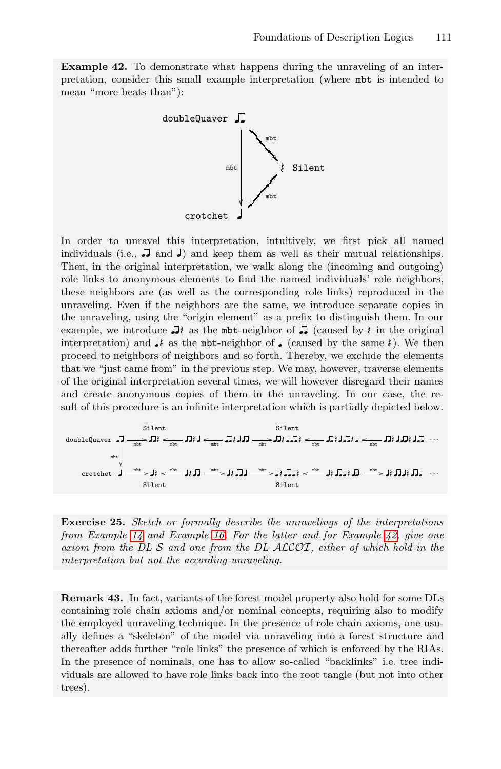<span id="page-35-0"></span>**Example 42.** To demonstrate what happens during the unraveling of an interpretation, consider this small example interpretation (where mbt is intended to mean "more beats than"):



In order to unravel this interpretation, intuitively, we first pick all named individuals (i.e.,  $\sqrt{\ }$  and  $\sqrt{\ }$ ) and keep them as well as their mutual relationships. Then, in the original interpretation, we walk along the (incoming and outgoing) role links to anonymous elements to find the named individuals' role neighbors, these neighbors are (as well as the corresponding role links) reproduced in the unraveling. Even if the neighbors are the same, we introduce separate copies in the unraveling, using the "origin element" as a prefix to distinguish them. In our example, we introduce  $\Box$  as the mbt-neighbor of  $\Box$  (caused by  $\ell$  in the original interpretation) and  $\downarrow$  as the mbt-neighbor of  $\downarrow$  (caused by the same  $\downarrow$ ). We then proceed to neighbors of neighbors and so forth. Thereby, we exclude the elements that we "just came from" in the previous step. We may, however, traverse elements of the original interpretation several times, we will however disregard their names and create anonymous copies of them in the unraveling. In our case, the result of this procedure is an infinite interpretation which is partially depicted below.

$$
\text{Slent} \quad \text{Slent} \quad \text{Slent} \quad \text{Slatt} \rightarrow \text{R} \cup \text{R} \cup \text{R} \rightarrow \text{R} \cup \text{R} \cup \text{R} \rightarrow \text{R} \cup \text{R} \cup \text{R} \cup \text{R} \rightarrow \text{R} \cup \text{R} \cup \text{R} \cup \text{R} \cup \text{R} \cup \text{R} \cup \text{R} \cup \text{R} \cup \text{R} \cup \text{R} \cup \text{R} \cup \text{R} \cup \text{R} \cup \text{R} \cup \text{R} \cup \text{R} \cup \text{R} \cup \text{R} \cup \text{R} \cup \text{R} \cup \text{R} \cup \text{R} \cup \text{R} \cup \text{R} \cup \text{R} \cup \text{R} \cup \text{R} \cup \text{R} \cup \text{R} \cup \text{R} \cup \text{R} \cup \text{R} \cup \text{R} \cup \text{R} \cup \text{R} \cup \text{R} \cup \text{R} \cup \text{R} \cup \text{R} \cup \text{R} \cup \text{R} \cup \text{R} \cup \text{R} \cup \text{R} \cup \text{R} \cup \text{R} \cup \text{R} \cup \text{R} \cup \text{R} \cup \text{R} \cup \text{R} \cup \text{R} \cup \text{R} \cup \text{R} \cup \text{R} \cup \text{R} \cup \text{R} \cup \text{R} \cup \text{R} \cup \text{R} \cup \text{R} \cup \text{R} \cup \text{R} \cup \text{R} \cup \text{R} \cup \text{R} \cup \text{R} \cup \text{R} \cup \text{R} \cup \text{R} \cup \text{R} \cup \text{R} \cup \text{R} \cup \text{R} \cup \text{R} \cup \text{R} \cup \text{R} \cup \text{R} \cup \text{R} \cup \text{R} \cup \text{R} \cup \text{R} \cup \text{R} \cup \text{R} \cup \text{R} \cup \text{R} \cup \text{R} \cup \text{R} \cup \text{R} \cup \text{R} \cup \text{R} \cup \text{R} \cup \text{R} \cup \text{R} \cup
$$

**Exercise 25.** Sketch or formally describe the unravelings of the interpretations from Example [14](#page-12-0) and Example [16.](#page-13-0) For the latter and for Example [42,](#page-35-0) give one axiom from the DL  $S$  and one from the DL  $ALCOI$ , either of which hold in the interpretation but not the according unraveling.

**Remark 43.** In fact, variants of the forest model property also hold for some DLs containing role chain axioms and/or nominal concepts, requiring also to modify the employed unraveling technique. In the presence of role chain axioms, one usually defines a "skeleton" of the model via unraveling into a forest structure and thereafter adds further "role links" the presence of which is enforced by the RIAs. In the presence of nominals, one has to allow so-called "backlinks" i.e. tree individuals are allowed to have role links back into the root tangle (but not into other trees).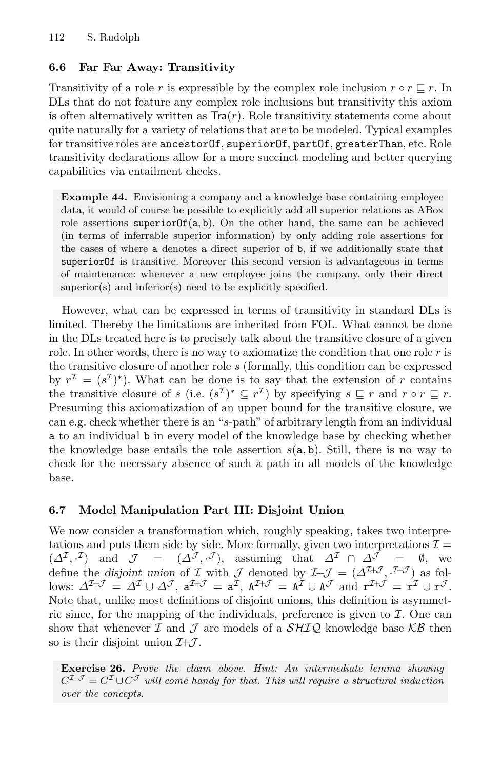## **6.6 Far Far Away: Transitivity**

Transitivity of a role r is expressible by the complex role inclusion  $r \circ r \sqsubseteq r$ . In DLs that do not feature any complex role inclusions but transitivity this axiom is often alternatively written as  $\text{Tra}(r)$ . Role transitivity statements come about quite naturally for a variety of relations that are to be modeled. Typical examples for transitive roles are ancestorOf, superiorOf, partOf, greaterThan, etc. Role transitivity declarations allow for a more succinct modeling and better querying capabilities via entailment checks.

**Example 44.** Envisioning a company and a knowledge base containing employee data, it would of course be possible to explicitly add all superior relations as ABox role assertions superior $Of(a, b)$ . On the other hand, the same can be achieved (in terms of inferrable superior information) by only adding role assertions for the cases of where a denotes a direct superior of b, if we additionally state that superiorOf is transitive. Moreover this second version is advantageous in terms of maintenance: whenever a new employee joins the company, only their direct superior(s) and inferior(s) need to be explicitly specified.

However, what can be expressed in terms of transitivity in standard DLs is limited. Thereby the limitations are inherited from FOL. What cannot be done in the DLs treated here is to precisely talk about the transitive closure of a given role. In other words, there is no way to axiomatize the condition that one role  $r$  is the transitive closure of another role s (formally, this condition can be expressed by  $r^{\mathcal{I}} = (s^{\mathcal{I}})^*$ ). What can be done is to say that the extension of r contains the transitive closure of s (i.e.  $(s^{\mathcal{I}})^* \subseteq r^{\mathcal{I}}$ ) by specifying  $s \sqsubseteq r$  and  $r \circ r \sqsubseteq r$ . Presuming this axiomatization of an upper bound for the transitive closure, we can e.g. check whether there is an "s-path" of arbitrary length from an individual a to an individual b in every model of the knowledge base by checking whether the knowledge base entails the role assertion  $s(a, b)$ . Still, there is no way to check for the necessary absence of such a path in all models of the knowledge base.

# **6.7 Model Manipulation Part III: Disjoint Union**

We now consider a transformation which, roughly speaking, takes two interpretations and puts them side by side. More formally, given two interpretations  $\mathcal{I} =$  $(\Delta^{\mathcal{I}}, \cdot^{\mathcal{I}})$  and  $\mathcal{J} = (\Delta^{\mathcal{J}}, \cdot^{\mathcal{J}})$ , assuming that  $\Delta^{\mathcal{I}} \cap \Delta^{\mathcal{J}} = \emptyset$ , we define the disjoint union of I with J denoted by  $I + J = (\Delta^{I+J}, I+J)$  as follows:  $\Delta^{I+J} = \Delta^{I} \cup \Delta^{J}$ ,  $a^{I+J} = a^{I}$ ,  $A^{I+J} = A^{I} \cup A^{J}$  and  $r^{I+J} = r^{I} \cup r^{J}$ . Note that, unlike most definitions of disjoint unions, this definition is asymmetric since, for the mapping of the individuals, preference is given to  $\mathcal I$ . One can show that whenever  $\mathcal I$  and  $\mathcal J$  are models of a  $\mathcal{SHIQ}$  knowledge base  $\mathcal{KB}$  then so is their disjoint union  $I + \mathcal{J}$ .

**Exercise 26.** Prove the claim above. Hint: An intermediate lemma showing  $C^{I+J} = C^I \cup C^J$  will come handy for that. This will require a structural induction over the concepts.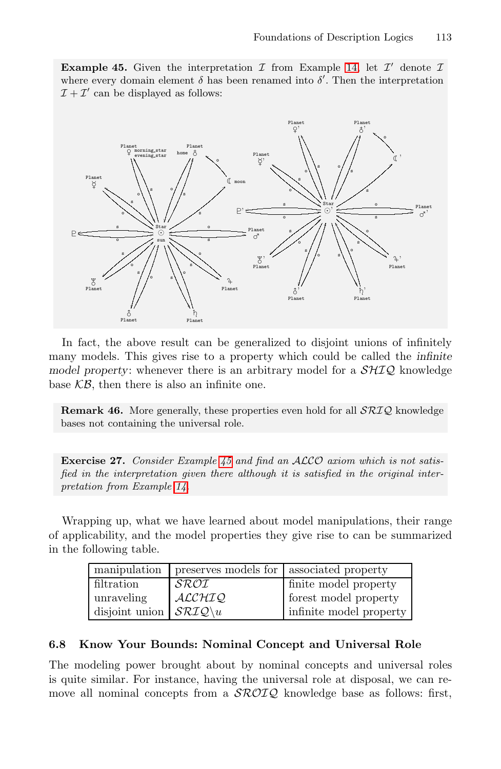<span id="page-37-0"></span>**Example 45.** Given the interpretation  $\mathcal I$  from Example [14,](#page-12-0) let  $\mathcal I'$  denote  $\mathcal I$ <br>where every demain element  $\delta$  has been renamed into  $\delta'$ . Then the interpretation where every domain element  $\delta$  has been renamed into  $\delta'$ . Then the interpretation  $\mathcal{I} + \mathcal{I}'$  can be displayed as follows:



In fact, the above result can be generalized to disjoint unions of infinitely many models. This gives rise to a property which could be called the *infinite model property*: whenever there is an arbitrary model for a  $\mathcal{SHIQ}$  knowledge base  $\mathcal{KB}$ , then there is also an infinite one.

**Remark 46.** More generally, these properties even hold for all  $\mathcal{SRIQ}$  knowledge bases not containing the universal role.

**Exercise 27.** Consider Example [45](#page-37-0) and find an ALCO axiom which is not satisfied in the interpretation given there although it is satisfied in the original interpretation from Example [14.](#page-12-0)

Wrapping up, what we have learned about model manipulations, their range of applicability, and the model properties they give rise to can be summarized in the following table.

| manipulation                               | preserves models for associated property |                         |
|--------------------------------------------|------------------------------------------|-------------------------|
| filtration                                 | SROT                                     | finite model property   |
| unraveling                                 | ALCHIQ                                   | forest model property   |
| disjoint union $\mathcal{SRIQ}\setminus u$ |                                          | infinite model property |

### **6.8 Know Your Bounds: Nominal Concept and Universal Role**

The modeling power brought about by nominal concepts and universal roles is quite similar. For instance, having the universal role at disposal, we can remove all nominal concepts from a  $\mathcal{SROIQ}$  knowledge base as follows: first,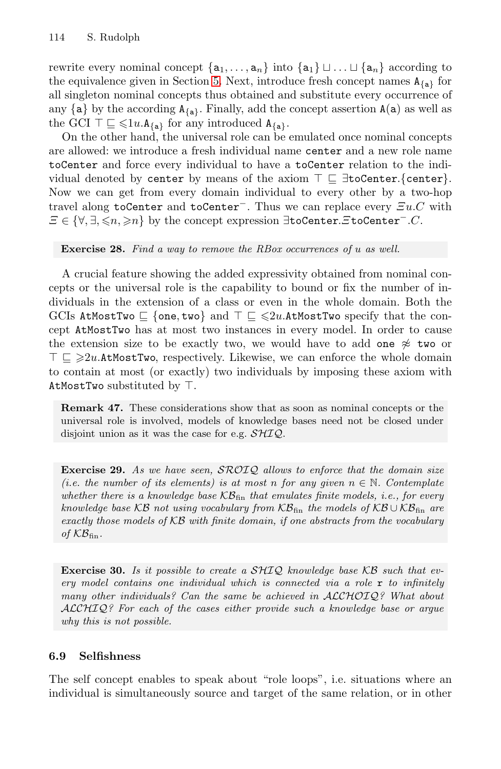rewrite every nominal concept  $\{a_1,\ldots,a_n\}$  into  $\{a_1\} \sqcup \ldots \sqcup \{a_n\}$  according to the equivalence given in Section [5.](#page-21-0) Next, introduce fresh concept names  $A_{\{a\}}$  for all singleton nominal concepts thus obtained and substitute every occurrence of any  $\{a\}$  by the according  $A_{\{a\}}$ . Finally, add the concept assertion  $A(a)$  as well as the GCI  $\top \sqsubseteq \leq 1u \cdot A_{\{a\}}$  for any introduced  $A_{\{a\}}$ .

On the other hand, the universal role can be emulated once nominal concepts are allowed: we introduce a fresh individual name center and a new role name toCenter and force every individual to have a toCenter relation to the individual denoted by center by means of the axiom  $\top \sqsubseteq \exists$ toCenter.{center}. Now we can get from every domain individual to every other by a two-hop travel along toCenter and toCenter<sup>-</sup>. Thus we can replace every  $E u.C$  with  $\mathcal{Z} \in \{ \forall, \exists, \leqslant n, \geqslant n \}$  by the concept expression  $\exists$ toCenter. $\mathcal{Z}$ toCenter<sup>-</sup>.C.

#### **Exercise 28.** Find a way to remove the RBox occurrences of <sup>u</sup> as well.

A crucial feature showing the added expressivity obtained from nominal concepts or the universal role is the capability to bound or fix the number of individuals in the extension of a class or even in the whole domain. Both the  $\text{GCIs}$  AtMostTwo  $\sqsubseteq$   $\{\texttt{one},\texttt{two}\}$  and  $\top \sqsubseteq \leqslant 2u.\texttt{AtMostTwo specify that the con$ cept AtMostTwo has at most two instances in every model. In order to cause the extension size to be exactly two, we would have to add one  $\not\approx$  two or  $\top \sqsubseteq \geq 2u$ . AtMostTwo, respectively. Likewise, we can enforce the whole domain to contain at most (or exactly) two individuals by imposing these axiom with AtMostTwo substituted by  $\top$ .

**Remark 47.** These considerations show that as soon as nominal concepts or the universal role is involved, models of knowledge bases need not be closed under disjoint union as it was the case for e.g.  $\mathcal{SHIQ}$ .

**Exercise 29.** As we have seen, SROIQ allows to enforce that the domain size (i.e. the number of its elements) is at most n for any given  $n \in \mathbb{N}$ . Contemplate whether there is a knowledge base  $\mathcal{KB}_{fin}$  that emulates finite models, i.e., for every knowledge base KB not using vocabulary from KB<sub>fin</sub> the models of KB ∪ KB<sub>fin</sub> are exactly those models of KB with finite domain, if one abstracts from the vocabulary of  $KB_{fin}$ .

**Exercise 30.** Is it possible to create a SHIQ knowledge base KB such that every model contains one individual which is connected via a role  $\mathbf r$  to infinitely many other individuals? Can the same be achieved in ALCHOIQ? What about ALCHIQ? For each of the cases either provide such a knowledge base or argue why this is not possible.

### **6.9 Selfishness**

The self concept enables to speak about "role loops", i.e. situations where an individual is simultaneously source and target of the same relation, or in other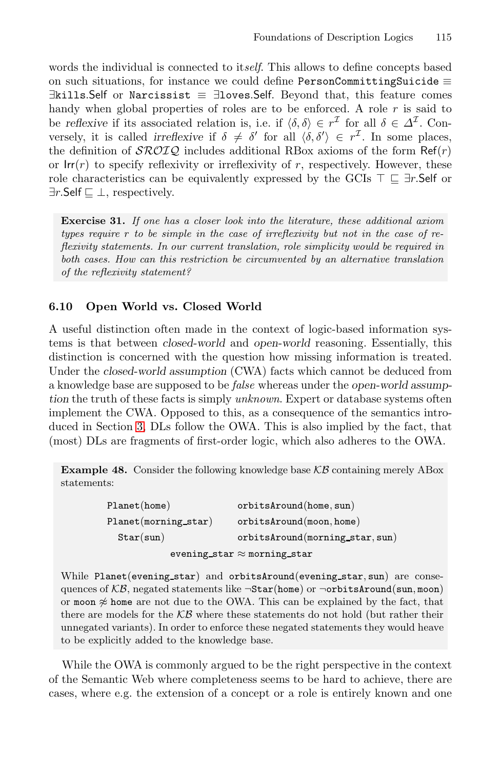words the individual is connected to it*self*. This allows to define concepts based on such situations, for instance we could define PersonCommittingSuicide  $\equiv$ ∃kills.Self or Narcissist ≡ ∃loves.Self. Beyond that, this feature comes handy when global properties of roles are to be enforced. A role  $r$  is said to be *reflexive* if its associated relation is, i.e. if  $\langle \delta, \delta \rangle \in r^{\mathcal{I}}$  for all  $\delta \in \Delta^{\mathcal{I}}$ . Conversely, it is called *irreflexive* if  $\delta \neq \delta'$  for all  $\langle \delta, \delta' \rangle \in r^{\mathcal{I}}$ . In some places, the definition of  $\mathcal{SROLQ}$  includes additional RBox axioms of the form Ref(r) or  $\text{Irr}(r)$  to specify reflexivity or irreflexivity of r, respectively. However, these role characteristics can be equivalently expressed by the GCIs  $\top \sqsubseteq \exists r$ . Self or  $\exists r$ .Self  $\sqsubseteq \bot$ , respectively.

**Exercise 31.** If one has a closer look into the literature, these additional axiom types require r to be simple in the case of irreflexivity but not in the case of reflexivity statements. In our current translation, role simplicity would be required in both cases. How can this restriction be circumvented by an alternative translation of the reflexivity statement?

# **6.10 Open World vs. Closed World**

A useful distinction often made in the context of logic-based information systems is that between *closed-world* and *open-world* reasoning. Essentially, this distinction is concerned with the question how missing information is treated. Under the *closed-world assumption* (CWA) facts which cannot be deduced from a knowledge base are supposed to be *false* whereas under the *open-world assumption* the truth of these facts is simply *unknown*. Expert or database systems often implement the CWA. Opposed to this, as a consequence of the semantics introduced in Section [3,](#page-10-0) DLs follow the OWA. This is also implied by the fact, that (most) DLs are fragments of first-order logic, which also adheres to the OWA.

<span id="page-39-0"></span>**Example 48.** Consider the following knowledge base  $KB$  containing merely ABox statements:

| Planet(home)                        | orbitsAround(home, sun)         |  |  |
|-------------------------------------|---------------------------------|--|--|
| Planet(morning_star)                | orbitsAround(moon, home)        |  |  |
| Star(sum)                           | orbitsAround(morning_star, sun) |  |  |
| evening star $\approx$ morning star |                                 |  |  |

While Planet(evening\_star) and orbitsAround(evening\_star, sun) are consequences of  $KB$ , negated statements like  $\neg Star(home)$  or  $\neg orbitsAround(sun, moon)$ or moon  $\frac{2}{3}$  home are not due to the OWA. This can be explained by the fact, that there are models for the  $KB$  where these statements do not hold (but rather their unnegated variants). In order to enforce these negated statements they would heave to be explicitly added to the knowledge base.

While the OWA is commonly argued to be the right perspective in the context of the Semantic Web where completeness seems to be hard to achieve, there are cases, where e.g. the extension of a concept or a role is entirely known and one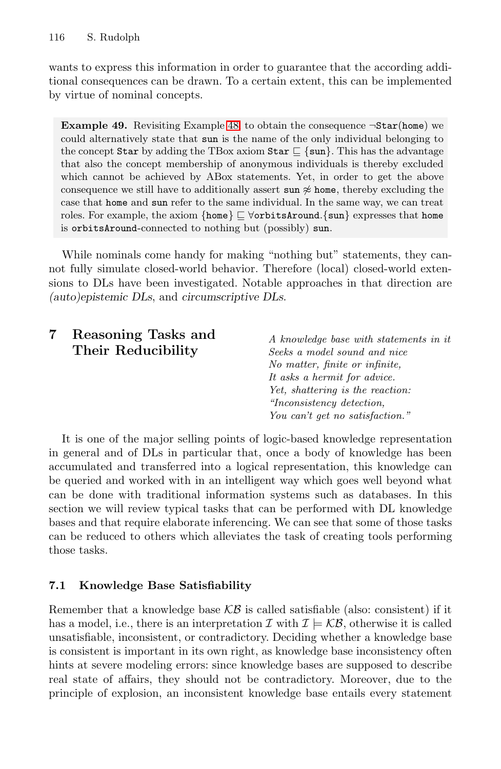wants to express this information in order to guarantee that the according additional consequences can be drawn. To a certain extent, this can be implemented by virtue of nominal concepts.

**Example 49.** Revisiting Example [48,](#page-39-0) to obtain the consequence <sup>¬</sup>Star(home) we could alternatively state that sun is the name of the only individual belonging to the concept Star by adding the TBox axiom  $\texttt{Star} \sqsubseteq \{\texttt{sun}\}.$  This has the advantage that also the concept membership of anonymous individuals is thereby excluded which cannot be achieved by ABox statements. Yet, in order to get the above consequence we still have to additionally assert sun  $\not\approx$  home, thereby excluding the case that home and sun refer to the same individual. In the same way, we can treat roles. For example, the axiom  $\{\texttt{home}\} \sqsubseteq \forall$ orbitsAround. $\{\texttt{sun}\}$  expresses that <code>home</code> is orbitsAround-connected to nothing but (possibly) sun.

While nominals come handy for making "nothing but" statements, they cannot fully simulate closed-world behavior. Therefore (local) closed-world extensions to DLs have been investigated. Notable approaches in that direction are *(auto)epistemic DLs*, and *circumscriptive DLs*.

<span id="page-40-0"></span>

| Reasoning Tasks and | A knowledge base with statements in it |
|---------------------|----------------------------------------|
|                     | Seeks a model sound and nice           |
|                     | No matter, finite or infinite,         |
|                     | It asks a hermit for advice.           |
|                     | Yet, shattering is the reaction:       |
|                     | "Inconsistency detection.              |
|                     | You can't get no satisfaction."        |
|                     | Their Reducibility                     |

It is one of the major selling points of logic-based knowledge representation in general and of DLs in particular that, once a body of knowledge has been accumulated and transferred into a logical representation, this knowledge can be queried and worked with in an intelligent way which goes well beyond what can be done with traditional information systems such as databases. In this section we will review typical tasks that can be performed with DL knowledge bases and that require elaborate inferencing. We can see that some of those tasks can be reduced to others which alleviates the task of creating tools performing those tasks.

# **7.1 Knowledge Base Satisfiability**

Remember that a knowledge base  $\mathcal{KB}$  is called satisfiable (also: consistent) if it has a model, i.e., there is an interpretation  $\mathcal{I}$  with  $\mathcal{I} \models \mathcal{KB}$ , otherwise it is called unsatisfiable, inconsistent, or contradictory. Deciding whether a knowledge base is consistent is important in its own right, as knowledge base inconsistency often hints at severe modeling errors: since knowledge bases are supposed to describe real state of affairs, they should not be contradictory. Moreover, due to the principle of explosion, an inconsistent knowledge base entails every statement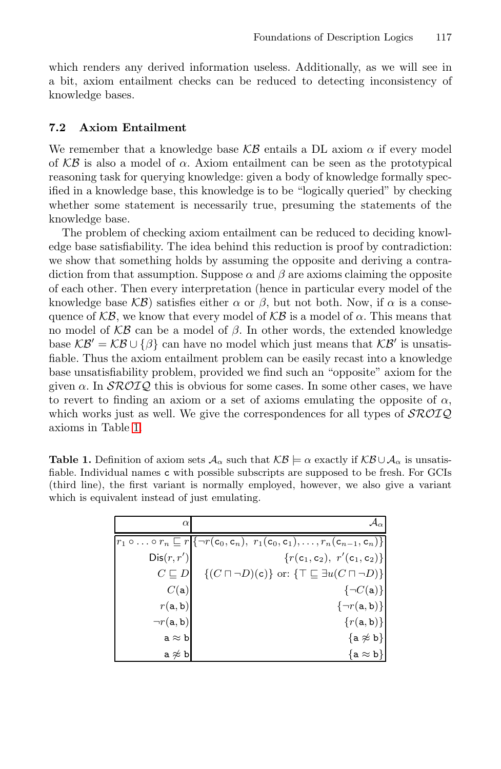which renders any derived information useless. Additionally, as we will see in a bit, axiom entailment checks can be reduced to detecting inconsistency of knowledge bases.

#### **7.2 Axiom Entailment**

We remember that a knowledge base  $KB$  entails a DL axiom  $\alpha$  if every model of  $KB$  is also a model of  $\alpha$ . Axiom entailment can be seen as the prototypical reasoning task for querying knowledge: given a body of knowledge formally specified in a knowledge base, this knowledge is to be "logically queried" by checking whether some statement is necessarily true, presuming the statements of the knowledge base.

The problem of checking axiom entailment can be reduced to deciding knowledge base satisfiability. The idea behind this reduction is proof by contradiction: we show that something holds by assuming the opposite and deriving a contradiction from that assumption. Suppose  $\alpha$  and  $\beta$  are axioms claiming the opposite of each other. Then every interpretation (hence in particular every model of the knowledge base  $KB$ ) satisfies either  $\alpha$  or  $\beta$ , but not both. Now, if  $\alpha$  is a consequence of  $KB$ , we know that every model of  $KB$  is a model of  $\alpha$ . This means that no model of  $K\mathcal{B}$  can be a model of  $\beta$ . In other words, the extended knowledge base  $KB' = KB \cup \{\beta\}$  can have no model which just means that  $KB'$  is unsatisfiable. Thus the axiom entailment problem can be easily recast into a knowledge base unsatisfiability problem, provided we find such an "opposite" axiom for the given  $\alpha$ . In  $\mathcal{SROTQ}$  this is obvious for some cases. In some other cases, we have to revert to finding an axiom or a set of axioms emulating the opposite of  $\alpha$ , which works just as well. We give the correspondences for all types of  $\mathcal{SRO} \mathcal{I} \mathcal{Q}$ axioms in Table [1.](#page-41-0)

<span id="page-41-0"></span>

| <b>Table 1.</b> Definition of axiom sets $\mathcal{A}_{\alpha}$ such that $KB \models \alpha$ exactly if $KB \cup \mathcal{A}_{\alpha}$ is unsatis- |
|-----------------------------------------------------------------------------------------------------------------------------------------------------|
| fiable. Individual names c with possible subscripts are supposed to be fresh. For GCIs                                                              |
| (third line), the first variant is normally employed, however, we also give a variant                                                               |
| which is equivalent instead of just emulating.                                                                                                      |

| $\alpha$                          |                                                                                                                            |
|-----------------------------------|----------------------------------------------------------------------------------------------------------------------------|
|                                   | $r_1 \circ \ldots \circ r_n \sqsubseteq r \left[ \{ \neg r(c_0, c_n), r_1(c_0, c_1), \ldots, r_n(c_{n-1}, c_n) \} \right]$ |
| Dis(r,r')                         | ${r(c_1, c_2), r'(c_1, c_2)}$                                                                                              |
| $C \sqsubset D$                   | $\{(C \sqcap \neg D)(c)\}\$ or: $\{\top \sqsubseteq \exists u(C \sqcap \neg D)\}\$                                         |
| $C(\mathsf{a})$                   | $\{\neg C(\mathtt{a})\}\vert$                                                                                              |
| $r(\texttt{a},\texttt{b})$        | $\{\neg r(\mathtt{a},\mathtt{b})\}\vert$                                                                                   |
| $\neg r(\mathtt{a},\mathtt{b})$   | ${r(\texttt{a},\texttt{b})}$                                                                                               |
| $a \approx b$                     | ${a \not\approx b}$                                                                                                        |
| $\mathtt{a}\not\approx\mathtt{b}$ | $\{a \approx b\}$                                                                                                          |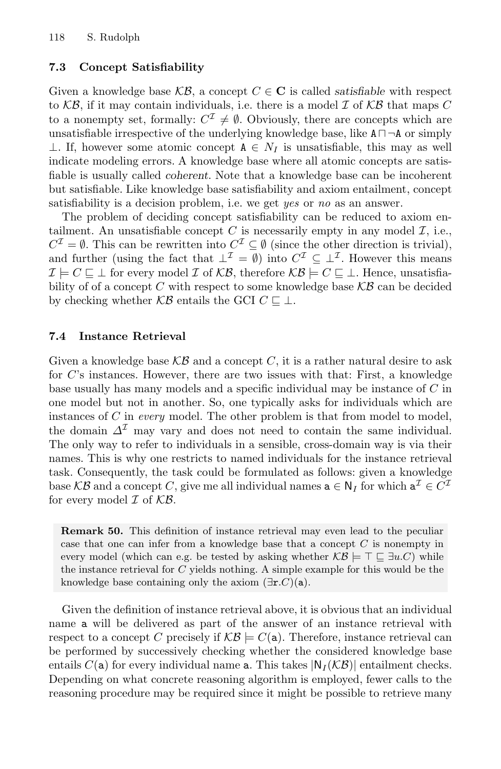### **7.3 Concept Satisfiability**

Given a knowledge base  $KB$ , a concept  $C \in \mathbb{C}$  is called *satisfiable* with respect to  $KB$ , if it may contain individuals, i.e. there is a model  $\mathcal I$  of  $KB$  that maps C to a nonempty set, formally:  $C^{\mathcal{I}} \neq \emptyset$ . Obviously, there are concepts which are unsatisfiable irrespective of the underlying knowledge base, like  $A \sqcap \neg A$  or simply ⊥. If, however some atomic concept  $A \in N_I$  is unsatisfiable, this may as well indicate modeling errors. A knowledge base where all atomic concepts are satisfiable is usually called *coherent*. Note that a knowledge base can be incoherent but satisfiable. Like knowledge base satisfiability and axiom entailment, concept satisfiability is a decision problem, i.e. we get *yes* or *no* as an answer.

The problem of deciding concept satisfiability can be reduced to axiom entailment. An unsatisfiable concept  $C$  is necessarily empty in any model  $\mathcal{I}$ , i.e.,  $C^{\mathcal{I}} = \emptyset$ . This can be rewritten into  $C^{\mathcal{I}} \subseteq \emptyset$  (since the other direction is trivial), and further (using the fact that  $\perp^{\mathcal{I}} = \emptyset$ ) into  $C^{\mathcal{I}} \subseteq \perp^{\mathcal{I}}$ . However this means  $\mathcal{I} \models C \sqsubseteq \bot$  for every model  $\mathcal{I}$  of  $\mathcal{KB}$ , therefore  $\mathcal{KB} \models C \sqsubseteq \bot$ . Hence, unsatisfiability of of a concept C with respect to some knowledge base  $K\mathcal{B}$  can be decided by checking whether  $\mathcal{KB}$  entails the GCI  $C \sqsubseteq \bot$ .

### **7.4 Instance Retrieval**

Given a knowledge base  $K\mathcal{B}$  and a concept C, it is a rather natural desire to ask for C's instances. However, there are two issues with that: First, a knowledge base usually has many models and a specific individual may be instance of C in one model but not in another. So, one typically asks for individuals which are instances of C in *every* model. The other problem is that from model to model, the domain  $\Delta^{\mathcal{I}}$  may vary and does not need to contain the same individual. The only way to refer to individuals in a sensible, cross-domain way is via their names. This is why one restricts to named individuals for the instance retrieval task. Consequently, the task could be formulated as follows: given a knowledge base KB and a concept C, give me all individual names  $a \in N_I$  for which  $a^{\mathcal{I}} \in C^{\mathcal{I}}$ for every model  $\mathcal I$  of  $\mathcal{KB}$ .

**Remark 50.** This definition of instance retrieval may even lead to the peculiar case that one can infer from a knowledge base that a concept C is nonempty in every model (which can e.g. be tested by asking whether  $\mathcal{KB} \models \top \sqsubseteq \exists u.C$ ) while the instance retrieval for C yields nothing. A simple example for this would be the knowledge base containing only the axiom  $(\exists \mathbf{r}.C)(\mathbf{a})$ .

Given the definition of instance retrieval above, it is obvious that an individual name a will be delivered as part of the answer of an instance retrieval with respect to a concept C precisely if  $KB \models C(\mathsf{a})$ . Therefore, instance retrieval can be performed by successively checking whether the considered knowledge base entails  $C(\mathbf{a})$  for every individual name  $\mathbf{a}$ . This takes  $|\mathsf{N}_I(\mathcal{KB})|$  entailment checks. Depending on what concrete reasoning algorithm is employed, fewer calls to the reasoning procedure may be required since it might be possible to retrieve many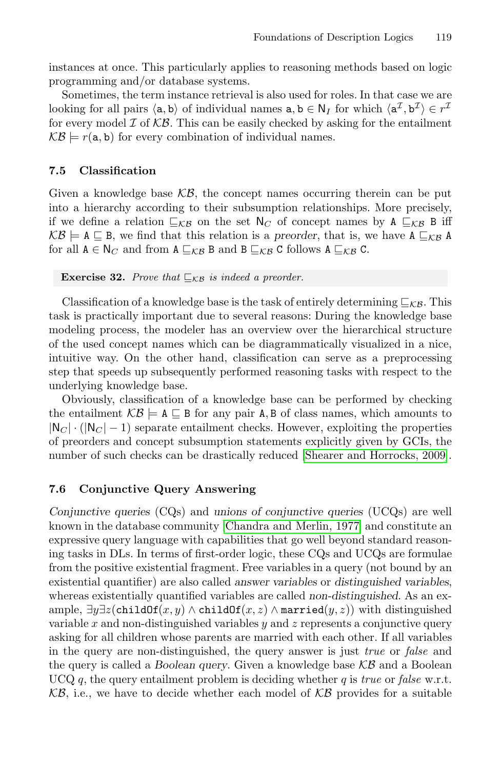instances at once. This particularly applies to reasoning methods based on logic programming and/or database systems.

Sometimes, the term instance retrieval is also used for roles. In that case we are looking for all pairs  $\langle a, b \rangle$  of individual names  $a, b \in N_I$  for which  $\langle a^{\mathcal{I}}, b^{\mathcal{I}} \rangle \in r^{\mathcal{I}}$ for every model  $\mathcal I$  of  $\mathcal{KB}$ . This can be easily checked by asking for the entailment  $KB \models r(a, b)$  for every combination of individual names.

#### **7.5 Classification**

Given a knowledge base  $\mathcal{KB}$ , the concept names occurring therein can be put into a hierarchy according to their subsumption relationships. More precisely, if we define a relation  $\sqsubseteq_{\mathcal{KB}}$  on the set  $\mathsf{N}_C$  of concept names by  $\mathsf{A} \sqsubseteq_{\mathcal{KB}} \mathsf{B}$  iff  $KB \models A \sqsubseteq B$ , we find that this relation is a *preorder*, that is, we have  $A \sqsubseteq_{\mathcal{KB}} A$ for all  $A \in N_C$  and from  $A \sqsubseteq_{\mathcal{KB}} B$  and  $B \sqsubseteq_{\mathcal{KB}} C$  follows  $A \sqsubseteq_{\mathcal{KB}} C$ .

**Exercise 32.** Prove that  $\subseteq$ <sub>KB</sub> is indeed a preorder.

Classification of a knowledge base is the task of entirely determining  $E_{KB}$ . This task is practically important due to several reasons: During the knowledge base modeling process, the modeler has an overview over the hierarchical structure of the used concept names which can be diagrammatically visualized in a nice, intuitive way. On the other hand, classification can serve as a preprocessing step that speeds up subsequently performed reasoning tasks with respect to the underlying knowledge base.

Obviously, classification of a knowledge base can be performed by checking the entailment  $\mathcal{KB} \models A \sqsubseteq B$  for any pair A, B of class names, which amounts to  $|N_C| \cdot (|N_C| - 1)$  separate entailment checks. However, exploiting the properties of preorders and concept subsumption statements explicitly given by GCIs, the number of such checks can be drastically reduced [\[Shearer and Horrocks, 2009\]](#page-60-7).

#### **7.6 Conjunctive Query Answering**

*Conjunctive queries* (CQs) and *unions of conjunctive queries* (UCQs) are well known in the database community [\[Chandra and Merlin, 1977\]](#page-57-5) and constitute an expressive query language with capabilities that go well beyond standard reasoning tasks in DLs. In terms of first-order logic, these CQs and UCQs are formulae from the positive existential fragment. Free variables in a query (not bound by an existential quantifier) are also called *answer variables* or *distinguished variables*, whereas existentially quantified variables are called *non-distinguished*. As an example,  $\exists y \exists z$ (childOf(x, y)  $\land$  childOf(x, z)  $\land$  married(y, z)) with distinguished variable  $x$  and non-distinguished variables  $y$  and  $z$  represents a conjunctive query asking for all children whose parents are married with each other. If all variables in the query are non-distinguished, the query answer is just *true* or *false* and the query is called a *Boolean query*. Given a knowledge base KB and a Boolean UCQ q, the query entailment problem is deciding whether q is *true* or *false* w.r.t.  $KB$ , i.e., we have to decide whether each model of  $KB$  provides for a suitable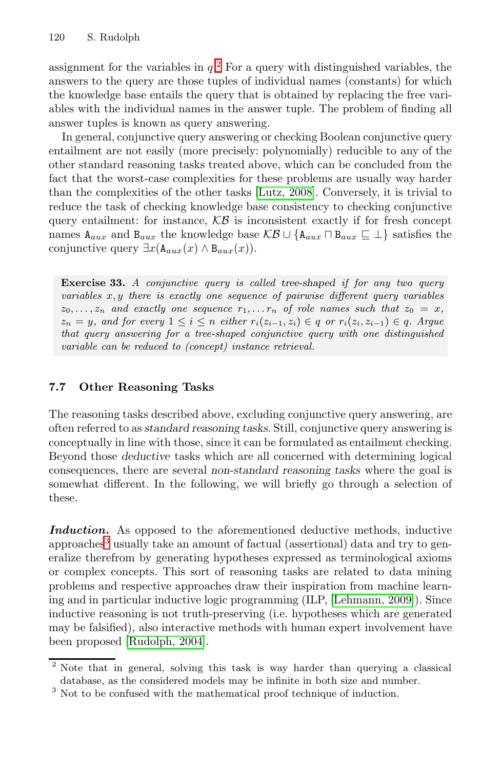assignment for the variables in  $q<sup>2</sup>$  $q<sup>2</sup>$  $q<sup>2</sup>$ . For a query with distinguished variables, the answers to the query are those tuples of individual names (constants) for which the knowledge base entails the query that is obtained by replacing the free variables with the individual names in the answer tuple. The problem of finding all answer tuples is known as query answering.

In general, conjunctive query answering or checking Boolean conjunctive query entailment are not easily (more precisely: polynomially) reducible to any of the other standard reasoning tasks treated above, which can be concluded from the fact that the worst-case complexities for these problems are usually way harder than the complexities of the other tasks [\[Lutz, 2008\]](#page-58-4). Conversely, it is trivial to reduce the task of checking knowledge base consistency to checking conjunctive query entailment: for instance,  $K\mathcal{B}$  is inconsistent exactly if for fresh concept names  $A_{aux}$  and  $B_{aux}$  the knowledge base  $\mathcal{KB} \cup \{A_{aux} \sqcap B_{aux} \sqsubseteq \bot\}$  satisfies the conjunctive query  $\exists x (\mathbf{A}_{aux}(x) \wedge \mathbf{B}_{aux}(x)).$ 

**Exercise 33.** A conjunctive query is called *tree-shaped* if for any two query variables  $x, y$  there is exactly one sequence of pairwise different query variables  $z_0, \ldots, z_n$  and exactly one sequence  $r_1, \ldots, r_n$  of role names such that  $z_0 = x$ ,  $z_n = y$ , and for every  $1 \leq i \leq n$  either  $r_i(z_{i-1}, z_i) \in q$  or  $r_i(z_i, z_{i-1}) \in q$ . Argue that query answering for a tree-shaped conjunctive query with one distinguished variable can be reduced to (concept) instance retrieval.

# **7.7 Other Reasoning Tasks**

The reasoning tasks described above, excluding conjunctive query answering, are often referred to as *standard reasoning tasks*. Still, conjunctive query answering is conceptually in line with those, since it can be formulated as entailment checking. Beyond those *deductive* tasks which are all concerned with determining logical consequences, there are several *non-standard reasoning tasks* where the goal is somewhat different. In the following, we will briefly go through a selection of these.

*Induction.* As opposed to the aforementioned deductive methods, inductive approaches<sup>[3](#page-44-1)</sup> usually take an amount of factual (assertional) data and try to generalize therefrom by generating hypotheses expressed as terminological axioms or complex concepts. This sort of reasoning tasks are related to data mining problems and respective approaches draw their inspiration from machine learning and in particular inductive logic programming (ILP, [\[Lehmann, 2009\]](#page-58-5)). Since inductive reasoning is not truth-preserving (i.e. hypotheses which are generated may be falsified), also interactive methods with human expert involvement have been proposed [\[Rudolph, 2004\]](#page-59-5).

<sup>&</sup>lt;sup>2</sup> Note that in general, solving this task is way harder than querying a classical database, as the considered models may be infinite in both size and number.

<span id="page-44-1"></span><span id="page-44-0"></span> $^3$  Not to be confused with the mathematical proof technique of induction.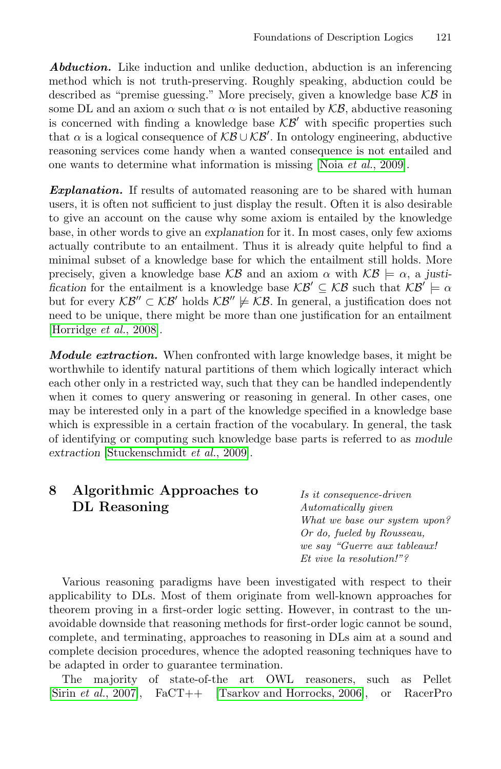*Abduction.* Like induction and unlike deduction, abduction is an inferencing method which is not truth-preserving. Roughly speaking, abduction could be described as "premise guessing." More precisely, given a knowledge base  $KB$  in some DL and an axiom  $\alpha$  such that  $\alpha$  is not entailed by  $\mathcal{KB}$ , abductive reasoning is concerned with finding a knowledge base  $\mathcal{KB}'$  with specific properties such that  $\alpha$  is a logical consequence of  $KB \cup KB'$ . In ontology engineering, abductive reasoning services come handy when a wanted consequence is not entailed and one wants to determine what information is missing [Noia *et al.*[, 2009\]](#page-59-6).

*Explanation.* If results of automated reasoning are to be shared with human users, it is often not sufficient to just display the result. Often it is also desirable to give an account on the cause why some axiom is entailed by the knowledge base, in other words to give an *explanation* for it. In most cases, only few axioms actually contribute to an entailment. Thus it is already quite helpful to find a minimal subset of a knowledge base for which the entailment still holds. More precisely, given a knowledge base  $KB$  and an axiom  $\alpha$  with  $KB \models \alpha$ , a *justification* for the entailment is a knowledge base  $KB' \subseteq KB$  such that  $KB' \models \alpha$ but for every  $\mathcal{KB}'' \subset \mathcal{KB}'$  holds  $\mathcal{KB}'' \not\models \mathcal{KB}$ . In general, a justification does not need to be unique, there might be more than one justification for an entailment [\[Horridge](#page-58-6) *et al.*, 2008].

*Module extraction.* When confronted with large knowledge bases, it might be worthwhile to identify natural partitions of them which logically interact which each other only in a restricted way, such that they can be handled independently when it comes to query answering or reasoning in general. In other cases, one may be interested only in a part of the knowledge specified in a knowledge base which is expressible in a certain fraction of the vocabulary. In general, the task of identifying or computing such knowledge base parts is referred to as *module extraction* [\[Stuckenschmidt](#page-60-8) *et al.*, 2009].

# <span id="page-45-0"></span>**8 Algorithmic Approaches to DL Reasoning**

Is it consequence-driven Automatically given What we base our system upon? Or do, fueled by Rousseau, we say "Guerre aux tableaux! Et vive la resolution!"?

Various reasoning paradigms have been investigated with respect to their applicability to DLs. Most of them originate from well-known approaches for theorem proving in a first-order logic setting. However, in contrast to the unavoidable downside that reasoning methods for first-order logic cannot be sound, complete, and terminating, approaches to reasoning in DLs aim at a sound and complete decision procedures, whence the adopted reasoning techniques have to be adapted in order to guarantee termination.

The majority of state-of-the art OWL reasoners, such as Pellet [Sirin *et al.*[, 2007\]](#page-60-4), FaCT++ [\[Tsarkov and Horrocks, 2006\]](#page-60-5), or RacerPro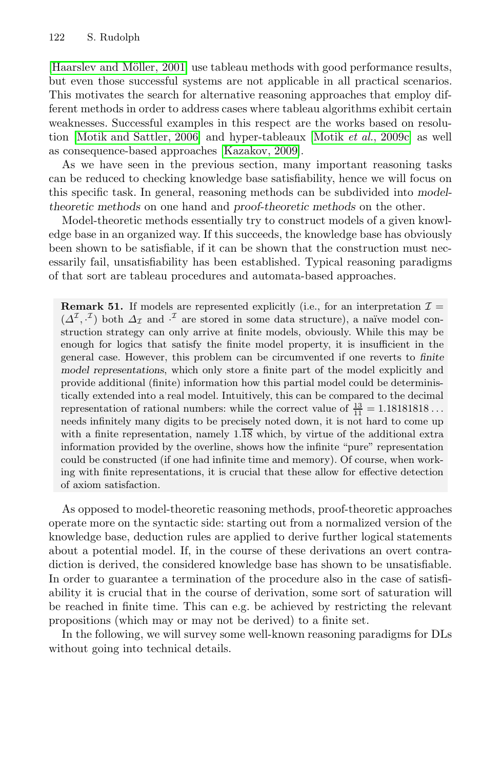[Haarslev and Möller, 2001] use tableau methods with good performance results, but even those successful systems are not applicable in all practical scenarios. This motivates the search for alternative reasoning approaches that employ different methods in order to address cases where tableau algorithms exhibit certain weaknesses. Successful examples in this respect are the works based on resolution [\[Motik and Sattler, 2006\]](#page-59-7) and hyper-tableaux [Motik *et al.*[, 2009c\]](#page-59-3) as well as consequence-based approaches [\[Kazakov, 2009\]](#page-58-8).

As we have seen in the previous section, many important reasoning tasks can be reduced to checking knowledge base satisfiability, hence we will focus on this specific task. In general, reasoning methods can be subdivided into *modeltheoretic methods* on one hand and *proof-theoretic methods* on the other.

Model-theoretic methods essentially try to construct models of a given knowledge base in an organized way. If this succeeds, the knowledge base has obviously been shown to be satisfiable, if it can be shown that the construction must necessarily fail, unsatisfiability has been established. Typical reasoning paradigms of that sort are tableau procedures and automata-based approaches.

**Remark 51.** If models are represented explicitly (i.e., for an interpretation  $\mathcal{I} =$  $(\Delta^{\mathcal{I}}, \cdot^{\mathcal{I}})$  both  $\Delta_{\mathcal{I}}$  and  $\cdot^{\mathcal{I}}$  are stored in some data structure), a naïve model construction strategy can only arrive at finite models, obviously. While this may be enough for logics that satisfy the finite model property, it is insufficient in the general case. However, this problem can be circumvented if one reverts to *finite model representations*, which only store a finite part of the model explicitly and provide additional (finite) information how this partial model could be deterministically extended into a real model. Intuitively, this can be compared to the decimal representation of rational numbers: while the correct value of  $\frac{13}{11} = 1.18181818...$ needs infinitely many digits to be precisely noted down, it is not hard to come up with a finite representation, namely  $1.\overline{18}$  which, by virtue of the additional extra information provided by the overline, shows how the infinite "pure" representation could be constructed (if one had infinite time and memory). Of course, when working with finite representations, it is crucial that these allow for effective detection of axiom satisfaction.

As opposed to model-theoretic reasoning methods, proof-theoretic approaches operate more on the syntactic side: starting out from a normalized version of the knowledge base, deduction rules are applied to derive further logical statements about a potential model. If, in the course of these derivations an overt contradiction is derived, the considered knowledge base has shown to be unsatisfiable. In order to guarantee a termination of the procedure also in the case of satisfiability it is crucial that in the course of derivation, some sort of saturation will be reached in finite time. This can e.g. be achieved by restricting the relevant propositions (which may or may not be derived) to a finite set.

In the following, we will survey some well-known reasoning paradigms for DLs without going into technical details.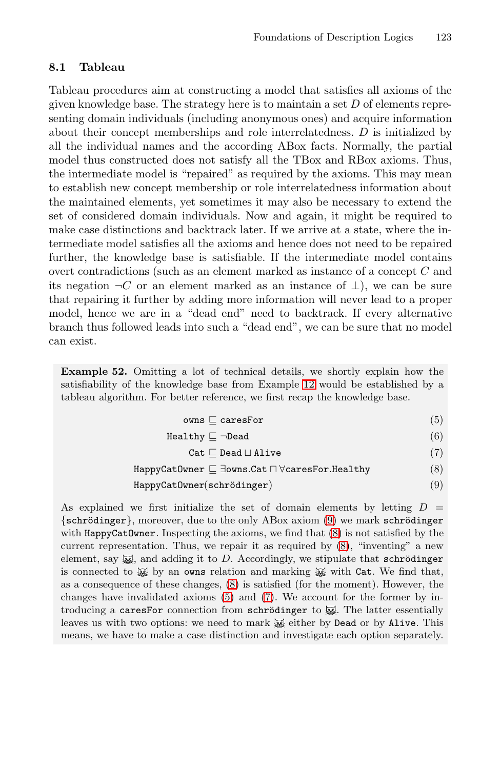#### **8.1 Tableau**

Tableau procedures aim at constructing a model that satisfies all axioms of the given knowledge base. The strategy here is to maintain a set  $D$  of elements representing domain individuals (including anonymous ones) and acquire information about their concept memberships and role interrelatedness. D is initialized by all the individual names and the according ABox facts. Normally, the partial model thus constructed does not satisfy all the TBox and RBox axioms. Thus, the intermediate model is "repaired" as required by the axioms. This may mean to establish new concept membership or role interrelatedness information about the maintained elements, yet sometimes it may also be necessary to extend the set of considered domain individuals. Now and again, it might be required to make case distinctions and backtrack later. If we arrive at a state, where the intermediate model satisfies all the axioms and hence does not need to be repaired further, the knowledge base is satisfiable. If the intermediate model contains overt contradictions (such as an element marked as instance of a concept C and its negation  $\neg C$  or an element marked as an instance of  $\bot$ ), we can be sure that repairing it further by adding more information will never lead to a proper model, hence we are in a "dead end" need to backtrack. If every alternative branch thus followed leads into such a "dead end", we can be sure that no model can exist.

**Example 52.** Omitting a lot of technical details, we shortly explain how the satisfiability of the knowledge base from Example [12](#page-10-1) would be established by a tableau algorithm. For better reference, we first recap the knowledge base.

<span id="page-47-0"></span>

| owns $\Box$ cares For | (5) |  |  |
|-----------------------|-----|--|--|
|-----------------------|-----|--|--|

 $\texttt{Healthy} \sqsubseteq \neg \texttt{Dead} \tag{6}$ 

 $\mathtt{Cat} \sqsubseteq \mathtt{Dead} \sqcup \mathtt{Alive}$  (7)

#### $\texttt{HappyCatOwner} \sqsubseteq \exists \texttt{owns.Cat} \sqcap \forall \texttt{caresFor.Healthy} \qquad \qquad (8)$

#### HappyCatOwner(schrödinger) (9)

As explained we first initialize the set of domain elements by letting  $D =$  $\{schrödinger\}$ , moreover, due to the only ABox axiom  $(9)$  we mark schrödinger with HappyCatOwner. Inspecting the axioms, we find that [\(8\)](#page-47-0) is not satisfied by the current representation. Thus, we repair it as required by [\(8\)](#page-47-0), "inventing" a new element, say  $\mathcal{L}$ , and adding it to D. Accordingly, we stipulate that schrödinger is connected to  $\mathcal{G}$  by an owns relation and marking  $\mathcal{G}$  with Cat. We find that, as a consequence of these changes, [\(8\)](#page-47-0) is satisfied (for the moment). However, the changes have invalidated axioms  $(5)$  and  $(7)$ . We account for the former by introducing a caresFor connection from schrödinger to ... The latter essentially leaves us with two options: we need to mark  $\mathbb{Q}$  either by Dead or by Alive. This means, we have to make a case distinction and investigate each option separately.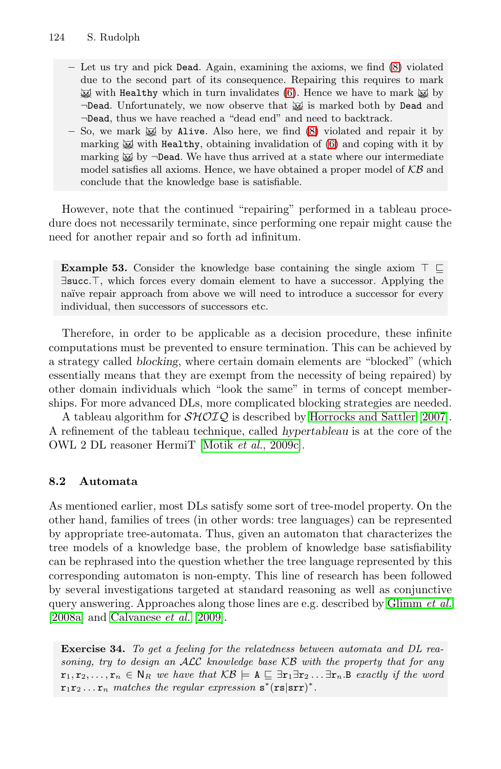- **–** Let us try and pick Dead. Again, examining the axioms, we find [\(8\)](#page-47-0) violated due to the second part of its consequence. Repairing this requires to mark  $\mathbb{Q}$  with Healthy which in turn invalidates [\(6\)](#page-47-0). Hence we have to mark  $\mathbb{Q}$  by  $\neg$ Dead. Unfortunately, we now observe that  $\mathbb{Q}$  is marked both by Dead and ¬Dead, thus we have reached a "dead end" and need to backtrack.
- **–** So, we mark by Alive. Also here, we find [\(8\)](#page-47-0) violated and repair it by marking  $\mathbb{Q}$  with Healthy, obtaining invalidation of [\(6\)](#page-47-0) and coping with it by marking  $\mathcal{G}$  by  $\neg$ **Dead.** We have thus arrived at a state where our intermediate model satisfies all axioms. Hence, we have obtained a proper model of  $KB$  and conclude that the knowledge base is satisfiable.

However, note that the continued "repairing" performed in a tableau procedure does not necessarily terminate, since performing one repair might cause the need for another repair and so forth ad infinitum.

**Example 53.** Consider the knowledge base containing the single axiom  $\top \sqsubseteq$ <br> $\exists$ suce  $\top$ , which forces overy domain element to have a successor. Applying the ∃succ.<sup>⊤</sup>, which forces every domain element to have a successor. Applying the naïve repair approach from above we will need to introduce a successor for every individual, then successors of successors etc.

Therefore, in order to be applicable as a decision procedure, these infinite computations must be prevented to ensure termination. This can be achieved by a strategy called *blocking*, where certain domain elements are "blocked" (which essentially means that they are exempt from the necessity of being repaired) by other domain individuals which "look the same" in terms of concept memberships. For more advanced DLs, more complicated blocking strategies are needed.

A tableau algorithm for  $\mathcal{SHOLQ}$  is described by [Horrocks and Sattler](#page-58-9) [\[2007\]](#page-58-9). A refinement of the tableau technique, called *hypertableau* is at the core of the OWL 2 DL reasoner HermiT [Motik *et al.*[, 2009c\]](#page-59-3).

### **8.2 Automata**

As mentioned earlier, most DLs satisfy some sort of tree-model property. On the other hand, families of trees (in other words: tree languages) can be represented by appropriate tree-automata. Thus, given an automaton that characterizes the tree models of a knowledge base, the problem of knowledge base satisfiability can be rephrased into the question whether the tree language represented by this corresponding automaton is non-empty. This line of research has been followed by several investigations targeted at standard reasoning as well as conjunctive query answering. Approaches along those lines are e.g. described by [Glimm](#page-57-6) *et al.* [\[2008a\]](#page-57-6) and [Calvanese](#page-57-2) *et al.* [\[2009\]](#page-57-2).

**Exercise 34.** To get a feeling for the relatedness between automata and DL reasoning, try to design an ALC knowledge base KB with the property that for any  $\mathbf{r}_1, \mathbf{r}_2, \ldots, \mathbf{r}_n \in \mathsf{N}_R$  we have that  $\mathcal{KB} \models \mathtt{A} \sqsubseteq \exists \mathtt{r}_1 \exists \mathtt{r}_2 \ldots \exists \mathtt{r}_n \mathtt{.B}$  exactly if the word  ${\bf r}_1{\bf r}_2\ldots{\bf r}_n$  matches the regular expression  ${\bf s}^*({\bf r s}|{\bf s}{\bf r})^*$ .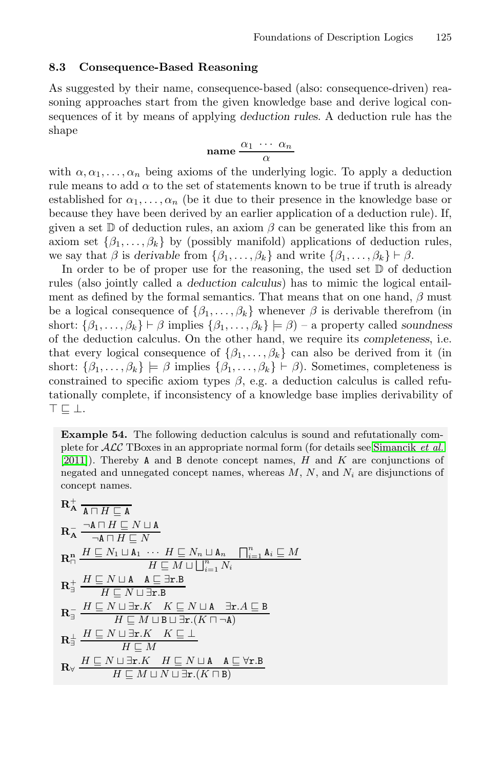#### **8.3 Consequence-Based Reasoning**

As suggested by their name, consequence-based (also: consequence-driven) reasoning approaches start from the given knowledge base and derive logical consequences of it by means of applying *deduction rules*. A deduction rule has the shape

$$
name \frac{\alpha_1 \cdots \alpha_n}{\alpha}
$$

with  $\alpha, \alpha_1, \ldots, \alpha_n$  being axioms of the underlying logic. To apply a deduction rule means to add  $\alpha$  to the set of statements known to be true if truth is already established for  $\alpha_1, \ldots, \alpha_n$  (be it due to their presence in the knowledge base or because they have been derived by an earlier application of a deduction rule). If, given a set  $\mathbb D$  of deduction rules, an axiom  $\beta$  can be generated like this from an axiom set  $\{\beta_1,\ldots,\beta_k\}$  by (possibly manifold) applications of deduction rules, we say that  $\beta$  is *derivable* from  $\{\beta_1,\ldots,\beta_k\}$  and write  $\{\beta_1,\ldots,\beta_k\} \vdash \beta$ .

In order to be of proper use for the reasoning, the used set  $D$  of deduction rules (also jointly called a *deduction calculus*) has to mimic the logical entailment as defined by the formal semantics. That means that on one hand,  $\beta$  must be a logical consequence of  $\{\beta_1,\ldots,\beta_k\}$  whenever  $\beta$  is derivable therefrom (in short:  $\{\beta_1,\ldots,\beta_k\} \vdash \beta$  implies  $\{\beta_1,\ldots,\beta_k\} \models \beta$  – a property called *soundness* of the deduction calculus. On the other hand, we require its *completeness*, i.e. that every logical consequence of  $\{\beta_1,\ldots,\beta_k\}$  can also be derived from it (in short:  $\{\beta_1,\ldots,\beta_k\} \models \beta$  implies  $\{\beta_1,\ldots,\beta_k\} \models \beta$ ). Sometimes, completeness is constrained to specific axiom types  $\beta$ , e.g. a deduction calculus is called refutationally complete, if inconsistency of a knowledge base implies derivability of -⊥.

**Example 54.** The following deduction calculus is sound and refutationally complete for ALC TBoxes in an appropriate normal form (for details see [Simancik](#page-60-9) et al. [\[2011\]](#page-60-9)). Thereby A and B denote concept names, H and K are conjunctions of negated and unnegated concept names, whereas  $M$ ,  $N$ , and  $N<sub>i</sub>$  are disjunctions of concept names.

$$
\mathbf{R}_{\mathbf{A}}^{+} \quad \overbrace{\mathbf{A} \sqcap H \sqsubseteq \mathbf{A}}^{\mathbf{A} \sqcap H \sqsubseteq \mathbf{A}} \\
\mathbf{R}_{\mathbf{A}}^{-} \quad \overbrace{\neg \mathbf{A} \sqcap H \sqsubseteq N \sqcup \mathbf{A}}^{\mathbf{A} \sqcap H \sqsubseteq N} \\
\mathbf{R}_{\sqcap}^{\mathbf{n}} \quad \overbrace{\mathbf{H} \sqsubseteq N_1 \sqcup \mathbf{A}_1 \cdots \mathbf{H} \sqsubseteq N_n \sqcup \mathbf{A}_n}^{\mathbf{n}} \quad \overbrace{\mathbf{H} \sqsubseteq M \sqcup \bigcup_{i=1}^n N_i} \\
\mathbf{R}_{\sqsubseteq}^{+} \quad \overbrace{\mathbf{H} \sqsubseteq N \sqcup \mathbf{A} \quad \mathbf{A} \sqsubseteq \exists \mathbf{x}.\mathbf{B}}^{\mathbf{H} \sqsubseteq N \sqcup \exists \mathbf{x}.\mathbf{B}} \\
\mathbf{R}_{\sqsubseteq}^{-} \quad \overbrace{\mathbf{H} \sqsubseteq N \sqcup \exists \mathbf{x}.\mathbf{K} \quad \mathbf{K} \sqsubseteq N \sqcup \mathbf{A} \quad \exists \mathbf{x}.\mathbf{A} \sqsubseteq \mathbf{B}}^{\mathbf{H} \sqsubseteq M \sqcup \exists \mathbf{x}.\mathbf{K} \quad \mathbf{K} \sqsubseteq N \sqcup \mathbf{A} \quad \exists \mathbf{x}.\mathbf{A} \sqsubseteq \mathbf{B}} \\
\mathbf{R}_{\sqsubseteq}^{+} \quad \overbrace{\mathbf{H} \sqsubseteq M \sqcup \mathbf{B} \sqcup \exists \mathbf{x}.\mathbf{K} \quad \mathbf{K} \sqsubseteq \bot}^{\mathbf{H} \sqcup \mathbf{H} \sqcup \mathbf{B} \sqcup \exists \mathbf{x}.\mathbf{K} \quad \mathbf{A} \sqsubseteq \forall \mathbf{x}.\mathbf{B}}^{\mathbf{H} \sqsubseteq N \sqcup \mathbf{A} \sqcup \mathbf{A} \sqsubseteq \mathbf{A}} \\
\mathbf{R}_{\forall} \quad \overbrace{\mathbf{H} \sqsubseteq N \sqcup \exists \mathbf{x}.\mathbf{K} \quad \mathbf{H} \sqsubseteq N \sqcup \mathbf{A} \quad \mathbf{A} \sqsubseteq \forall \mathbf{x}.\mathbf{B}}^{\mathbf{H} \sqcup \mathbf{B} \sqcup \mathbf{B} \sq
$$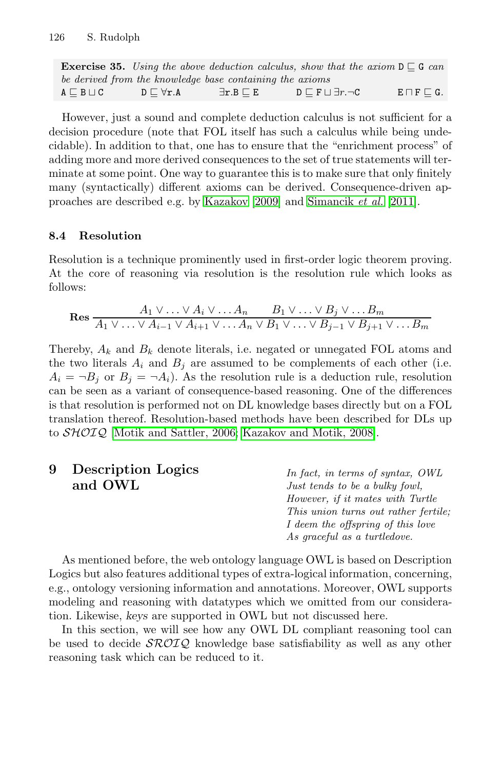**Exercise 35.** Using the above deduction calculus, show that the axiom  $D \subseteq G$  can<br>be derived from the knowledge hase containing the axioms be derived from the knowledge base containing the axioms  $A \sqsubseteq B \sqcup C$   $D \sqsubseteq$  $\forall$ r.A  $\exists$ r.B  $\sqsubseteq$  E D  $\sqsubseteq$  $D \sqsubset F \sqcup \exists r.\neg C$  $E \sqcap F \sqsubset G.$ 

However, just a sound and complete deduction calculus is not sufficient for a decision procedure (note that FOL itself has such a calculus while being undecidable). In addition to that, one has to ensure that the "enrichment process" of adding more and more derived consequences to the set of true statements will terminate at some point. One way to guarantee this is to make sure that only finitely many (syntactically) different axioms can be derived. Consequence-driven approaches are described e.g. by [Kazakov](#page-58-8) [\[2009\]](#page-58-8) and [Simancik](#page-60-9) *et al.* [\[2011\]](#page-60-9).

#### **8.4 Resolution**

Resolution is a technique prominently used in first-order logic theorem proving. At the core of reasoning via resolution is the resolution rule which looks as follows:

Res 
$$
\frac{A_1 \vee \ldots \vee A_i \vee \ldots A_n \qquad B_1 \vee \ldots \vee B_j \vee \ldots B_m}{A_1 \vee \ldots \vee A_{i-1} \vee A_{i+1} \vee \ldots A_n \vee B_1 \vee \ldots \vee B_{j-1} \vee B_{j+1} \vee \ldots B_m}
$$

Thereby,  $A_k$  and  $B_k$  denote literals, i.e. negated or unnegated FOL atoms and the two literals  $A_i$  and  $B_j$  are assumed to be complements of each other (i.e.  $A_i = \neg B_i$  or  $B_i = \neg A_i$ . As the resolution rule is a deduction rule, resolution can be seen as a variant of consequence-based reasoning. One of the differences is that resolution is performed not on DL knowledge bases directly but on a FOL translation thereof. Resolution-based methods have been described for DLs up to  $\mathcal{SHOLQ}$  [\[Motik and Sattler, 2006;](#page-59-7) [Kazakov and Motik, 2008\]](#page-58-10).

# <span id="page-50-0"></span>**9 Description Logics and OWL**

In fact, in terms of syntax, OWL Just tends to be a bulky fowl, However, if it mates with Turtle This union turns out rather fertile; I deem the offspring of this love As graceful as a turtledove.

As mentioned before, the web ontology language OWL is based on Description Logics but also features additional types of extra-logical information, concerning, e.g., ontology versioning information and annotations. Moreover, OWL supports modeling and reasoning with datatypes which we omitted from our consideration. Likewise, *keys* are supported in OWL but not discussed here.

In this section, we will see how any OWL DL compliant reasoning tool can be used to decide  $\mathcal{SROIQ}$  knowledge base satisfiability as well as any other reasoning task which can be reduced to it.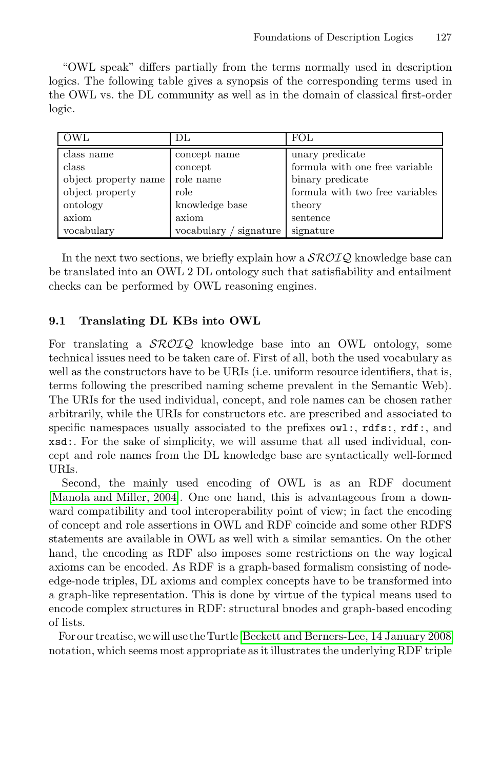"OWL speak" differs partially from the terms normally used in description logics. The following table gives a synopsis of the corresponding terms used in the OWL vs. the DL community as well as in the domain of classical first-order logic.

| OWL                  | DL                     | FOL                             |
|----------------------|------------------------|---------------------------------|
| class name           | concept name           | unary predicate                 |
| class                | concept                | formula with one free variable  |
| object property name | role name              | binary predicate                |
| object property      | role                   | formula with two free variables |
| ontology             | knowledge base         | theory                          |
| axiom                | axiom                  | sentence                        |
| vocabulary           | vocabulary / signature | signature                       |

In the next two sections, we briefly explain how a  $\mathcal{SROLQ}$  knowledge base can be translated into an OWL 2 DL ontology such that satisfiability and entailment checks can be performed by OWL reasoning engines.

#### **9.1 Translating DL KBs into OWL**

For translating a  $\mathcal{SROIQ}$  knowledge base into an OWL ontology, some technical issues need to be taken care of. First of all, both the used vocabulary as well as the constructors have to be URIs (i.e. uniform resource identifiers, that is, terms following the prescribed naming scheme prevalent in the Semantic Web). The URIs for the used individual, concept, and role names can be chosen rather arbitrarily, while the URIs for constructors etc. are prescribed and associated to specific namespaces usually associated to the prefixes  $\texttt{owl}$ ;  $\texttt{rdfs]}$ ;  $\texttt{rdf}$ ; and xsd:. For the sake of simplicity, we will assume that all used individual, concept and role names from the DL knowledge base are syntactically well-formed URIs.

Second, the mainly used encoding of OWL is as an RDF document [\[Manola and Miller, 2004\]](#page-58-11). One one hand, this is advantageous from a downward compatibility and tool interoperability point of view; in fact the encoding of concept and role assertions in OWL and RDF coincide and some other RDFS statements are available in OWL as well with a similar semantics. On the other hand, the encoding as RDF also imposes some restrictions on the way logical axioms can be encoded. As RDF is a graph-based formalism consisting of nodeedge-node triples, DL axioms and complex concepts have to be transformed into a graph-like representation. This is done by virtue of the typical means used to encode complex structures in RDF: structural bnodes and graph-based encoding of lists.

For our treatise, we will use the Turtle |Beckett and Berners-Lee, 14 January 2008| notation, which seems most appropriate as it illustrates the underlying RDF triple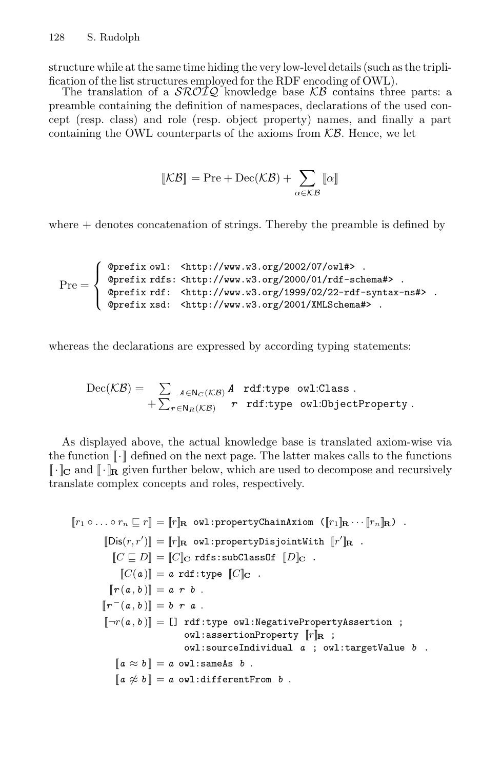structure while at the same time hiding the very low-level details (such as the triplification of the list structures employed for the RDF encoding of OWL). The translation of a  $\mathcal{SROTQ}$  knowledge base  $\mathcal{KB}$  contains three parts: a

preamble containing the definition of namespaces, declarations of the used concept (resp. class) and role (resp. object property) names, and finally a part containing the OWL counterparts of the axioms from  $K\mathcal{B}$ . Hence, we let

$$
\llbracket \mathcal{KB} \rrbracket = \mathrm{Pre} + \mathrm{Dec}(\mathcal{KB}) + \sum_{\alpha \in \mathcal{KB}} \llbracket \alpha \rrbracket
$$

where  $+$  denotes concatenation of strings. Thereby the preamble is defined by

Pre = ⎧ ⎪⎨ ⎪⎩ @prefix owl: <http://www.w3.org/2002/07/owl#> . @prefix rdfs: <http://www.w3.org/2000/01/rdf-schema#> . @prefix rdf: <http://www.w3.org/1999/02/22-rdf-syntax-ns#> . @prefix xsd: <http://www.w3.org/2001/XMLSchema#> .

whereas the declarations are expressed by according typing statements:

$$
\text{Dec}(\mathcal{KB}) = \sum_{A \in \mathsf{N}_C(\mathcal{KB})} \begin{array}{c} A \text{ rdf:type owl:Class.}\\ + \sum_{r \in \mathsf{N}_R(\mathcal{KB})} \end{array}
$$

As displayed above, the actual knowledge base is translated axiom-wise via the function  $\lceil\cdot\rceil$  defined on the next page. The latter makes calls to the functions  $\lceil \cdot \rceil$ **C** and  $\lceil \cdot \rceil$ **R** given further below, which are used to decompose and recursively translate complex concepts and roles, respectively.

$$
[r_1 \circ \ldots \circ r_n \sqsubseteq r] = [r]_{\mathbf{R}} \text{ out:propertyChainAxiom } ([r_1]_{\mathbf{R}} \cdots [r_n]_{\mathbf{R}}).
$$

$$
[Dis(r, r')] = [r]_{\mathbf{R}} \text{ out: propertyDisjointWith } [r']_{\mathbf{R}}.
$$

$$
[C \sqsubseteq D] = [C]_{\mathbf{C}} \text{ rdfs:subClassOf } [D]_{\mathbf{C}}.
$$

$$
[C(a)] = a \text{ rdf: type } [C]_{\mathbf{C}}.
$$

$$
[r(a, b)] = a \text{ r } b.
$$

$$
[r^-(a, b)] = b \text{ r } a.
$$

$$
[\neg r(a, b)] = [1 \text{ rdf: type out:NegativePropertyAssertion } ; \text{ will:assertionProperty } [r]_{\mathbf{R}} ;
$$

$$
\text{out:sourceIndividual } a \text{ ; out:targetValue } b.
$$

$$
[a \approx b] = a \text{ out:sameAs } b.
$$

$$
[a \approx b] = a \text{ out:differenceFrom } b.
$$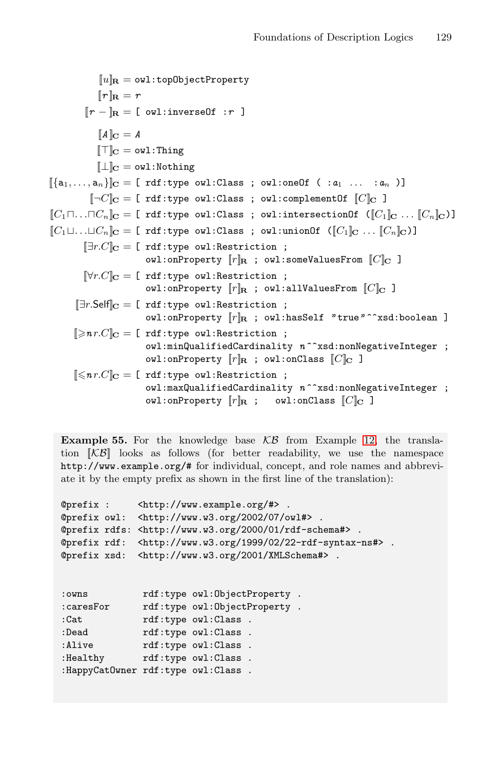```
\llbracket u \rrbracket_{\mathbf{R}} = \texttt{owl:topObjectProperty}\llbracket r \rrbracket_{\textbf{R}} = r[r - ]_R = [ owl:inverseOf :r ]
              \llbracket A \rrbracket_{\mathbf{C}} = A[\![\top]\!]_{\mathbf{C}} = \texttt{owl:}Thing
             [\perp]_C = \text{owl:Nothing}[\{a_1,\ldots,a_n\}] \subset [ rdf:type owl:Class ; owl:oneOf ( :a_1 ... :a_n )]
           \lbrack \lbrack \lbrack\neg C\rbrack \rbrack\subset \lbrack \lbrack rdf:type owl:Class ; owl:complementOf \lbrack \lbrack C\rbrack \rbrack\subset ]
[[C_1 \sqcap \ldots \sqcap C_n]]_C = [ rdf:type owl:Class; owl:intersectionOf ([C_1]_C \ldots [C_n]_C)]
[[C_1\sqcup\ldots\sqcup C_n]]_C=[ rdf:type owl:Class ; owl:unionOf ([C_1\rrbracket_C \ldots [C_n]\rrbracket_C)][\exists r.C]_C = [ rdf:type~owl:Restriction ;owl:onProperty [r]_R ; owl:someValuesFrom [C]_C ]
          [\forall r.C]_{\mathbf{C}} = [ \text{ rdf:type owl:Restriction } ;owl:onProperty [r]R ; owl:allValuesFrom [C]C ]
       [[∃r.Self]]C = [ rdf:type owl:Restriction ;
                            owl:onProperty [r]_R ; owl:hasSelf "true"<sup>^</sup>~xsd:boolean ]
       [\geqslant n r.C]_{\mathbf C} = [ \text{ rdf:type owl:Restriction };owl:minQualifiedCardinality n ^^xsd:nonNegativeInteger ;
                            owl:onProperty \llbracket r \rrbracket_R ; owl:onClass \llbracket C \rrbracket_C ]
       \llbracket \leqslant n r.C \rrbracket_{\mathbf{C}} = [ rdf:type owl: Restriction ;
                            owl:maxQualifiedCardinality n ^^xsd:nonNegativeInteger ;
                            owl:onProperty \llbracket r \rrbracket_R ; owl:onClass \llbracket C \rrbracket_C ]
```
**Example 55.** For the knowledge base  $KB$  from Example [12,](#page-10-1) the translation  $K\mathcal{B}$  looks as follows (for better readability, we use the namespace http://www.example.org/# for individual, concept, and role names and abbreviate it by the empty prefix as shown in the first line of the translation):

```
@prefix : <http://www.example.org/#> .
@prefix owl: <http://www.w3.org/2002/07/owl#> .
@prefix rdfs: <http://www.w3.org/2000/01/rdf-schema#> .
@prefix rdf: <http://www.w3.org/1999/02/22-rdf-syntax-ns#> .
@prefix xsd: <http://www.w3.org/2001/XMLSchema#> .
:owns rdf:type owl:ObjectProperty .
:caresFor rdf:type owl:ObjectProperty.
:Cat rdf:type owl:Class .
:Dead rdf:type owl:Class .
: Alive rdf:type owl: Class.
:Healthy rdf:type owl:Class .
:HappyCatOwner rdf:type owl:Class .
```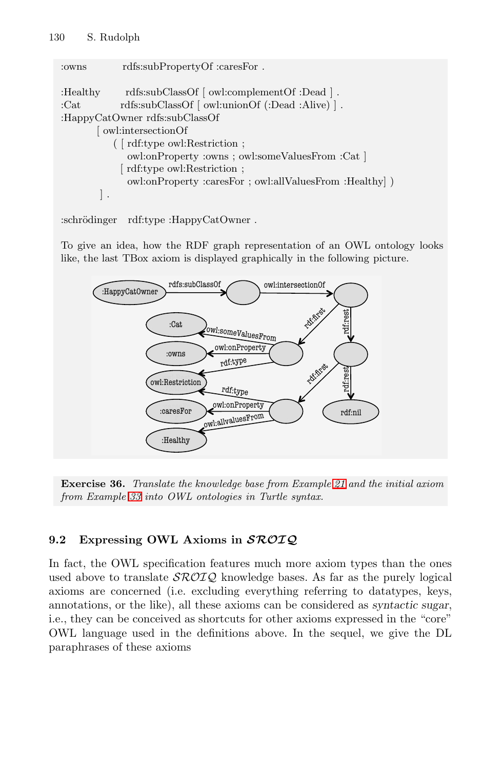| :owns    | rdfs:subPropertyOf :caresFor.                         |
|----------|-------------------------------------------------------|
| :Healthy | rdfs:subClassOf [ owl:complementOf :Dead ].           |
| $:$ Cat  | rdfs:subClassOf [ owl:unionOf (:Dead :Alive) ].       |
|          | :Happy $CatOwner$ rdfs: $subClassOf$                  |
|          | owl:intersectionOf                                    |
|          | $($ $\lceil$ rdf:type owl: Restriction ;              |
|          | owl:onProperty :owns ; owl:someValuesFrom :Cat        |
|          | [rdf:type owl:Restriction;                            |
|          | owl:onProperty :caresFor ; owl:allValuesFrom :Healthy |
|          |                                                       |

:schrödinger rdf:type :HappyCatOwner.

To give an idea, how the RDF graph representation of an OWL ontology looks like, the last TBox axiom is displayed graphically in the following picture.



**Exercise 36.** Translate the knowledge base from Example [21](#page-17-1) and the initial axiom from Example [33](#page-27-0) into OWL ontologies in Turtle syntax.

# **9.2 Expressing OWL Axioms in** *SROIQ*

In fact, the OWL specification features much more axiom types than the ones used above to translate  $\mathcal{SROIQ}$  knowledge bases. As far as the purely logical axioms are concerned (i.e. excluding everything referring to datatypes, keys, annotations, or the like), all these axioms can be considered as *syntactic sugar*, i.e., they can be conceived as shortcuts for other axioms expressed in the "core" OWL language used in the definitions above. In the sequel, we give the DL paraphrases of these axioms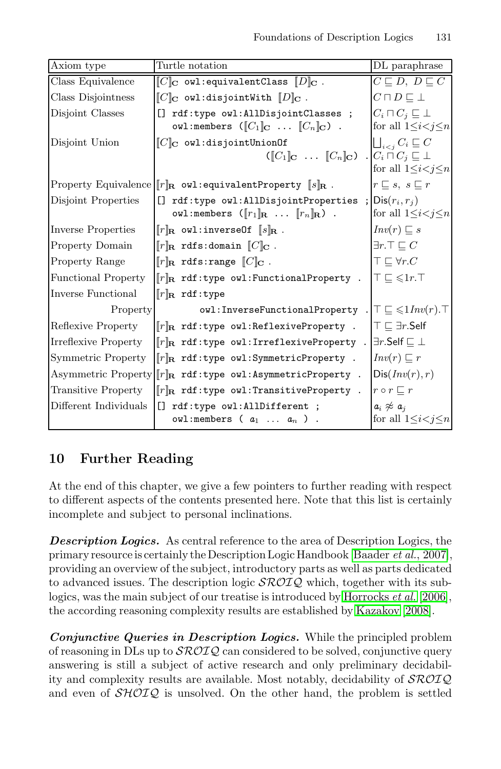| Axiom type                 | Turtle notation                                                                                                                                     | DL paraphrase                                                          |
|----------------------------|-----------------------------------------------------------------------------------------------------------------------------------------------------|------------------------------------------------------------------------|
| Class Equivalence          | $[C]$ c owl:equivalentClass $[D]$ c.                                                                                                                | $C \sqsubseteq D, D \sqsubseteq C$                                     |
| Class Disjointness         | $\llbracket C \rrbracket_{\mathbf{C}}$ owl:disjointWith $\llbracket D \rrbracket_{\mathbf{C}}$ .                                                    | $C\sqcap D \sqsubseteq \bot$                                           |
| Disjoint Classes           | [] rdf:type owl:AllDisjointClasses ;<br>owl:members ( $\llbracket C_1 \rrbracket_{\mathbf{C}} \ldots \llbracket C_n \rrbracket_{\mathbf{C}}$ ).     | $C_i \sqcap C_j \sqsubseteq \bot$<br>for all $1 \leq i < j \leq n$     |
| Disjoint Union             | $\llbracket C \rrbracket_{\mathbf{C}}$ owl:disjointUnionOf<br>$([C_1]_{\mathbf{C}} \ldots [C_n]_{\mathbf{C}})$ $[C_i \sqcap C_j] \sqsubseteq \perp$ | $\bigsqcup_{i < j} C_i \sqsubseteq C$<br>for all $1 \leq i < j \leq n$ |
|                            | Property Equivalence $  r  _R$ owl: equivalent Property $  s  _R$ .                                                                                 | $r \sqsubseteq s, s \sqsubseteq r$                                     |
| Disjoint Properties        | [] rdf:type owl:AllDisjointProperties ; $\textsf{Dis}(r_i,r_j)$<br>owl:members $([r_1]_\mathbf{R} \dots [r_n]_\mathbf{R})$ .                        | for all $1{\le}i{<}j{\le}n$                                            |
| <b>Inverse Properties</b>  | $\llbracket r \rrbracket_{\mathbf{R}}$ owl:inverse0f $\llbracket s \rrbracket_{\mathbf{R}}$ .                                                       | $Inv(r) \sqsubseteq s$                                                 |
| <b>Property Domain</b>     | $\llbracket r \rrbracket_{\mathbf{R}}$ rdfs: domain $\llbracket C \rrbracket_{\mathbf{C}}$ .                                                        | $\exists r . \top \sqsubseteq C$                                       |
| Property Range             | $\llbracket r \rrbracket_{\mathbf{R}}$ rdfs: range $\llbracket C \rrbracket_{\mathbf{C}}$ .                                                         | $\top \sqsubset \forall r.C$                                           |
| <b>Functional Property</b> | $\ r\ _{\mathbf{R}}$ rdf:type owl:FunctionalProperty.                                                                                               | $\top \sqsubset \leqslant 1r.\top$                                     |
| Inverse Functional         | $  r  _R$ rdf:type                                                                                                                                  |                                                                        |
| Property                   | owl:InverseFunctionalProperty                                                                                                                       | $\top \sqsubseteq \leqslant 1 \text{Inv}(r)$ . T                       |
| Reflexive Property         | $  r  _R$ rdf:type owl:ReflexiveProperty.                                                                                                           | $\top \sqsubseteq \exists r.\mathsf{Self}$                             |
| Irreflexive Property       | $[r]_R$ rdf:type owl:IrreflexiveProperty.                                                                                                           | $\exists r$ .Self $\sqsubset \bot$                                     |
| <b>Symmetric Property</b>  | $\llbracket r \rrbracket_{\mathbf{R}}$ rdf:type owl:SymmetricProperty .                                                                             | $Inv(r) \sqsubseteq r$                                                 |
|                            | Asymmetric Property $\llbracket r \rrbracket_{\mathbf{R}}$ rdf:type owl:AsymmetricProperty.                                                         | Dis(Inv(r), r)                                                         |
| <b>Transitive Property</b> | $[r]_R$ rdf:type owl:TransitiveProperty.                                                                                                            | $r \circ r \sqsubset r$                                                |
| Different Individuals      | [] rdf:type owl:AllDifferent ;<br>owl:members ( $a_1$ $a_n$ ).                                                                                      | $a_i \not\approx a_j$<br>for all $1 \leq i \leq j \leq n$              |

# **10 Further Reading**

At the end of this chapter, we give a few pointers to further reading with respect to different aspects of the contents presented here. Note that this list is certainly incomplete and subject to personal inclinations.

*Description Logics.* As central reference to the area of Description Logics, the primary resource is certainly the Description Logic Handbook [\[Baader](#page-57-8) *et al.*, 2007], providing an overview of the subject, introductory parts as well as parts dedicated to advanced issues. The description logic  $\mathcal{SROIQ}$  which, together with its sublogics, was the main subject of our treatise is introduced by [Horrocks](#page-58-1) *et al.* [\[2006\]](#page-58-1), the according reasoning complexity results are established by [Kazakov](#page-58-12) [\[2008\]](#page-58-12).

*Conjunctive Queries in Description Logics.* While the principled problem of reasoning in DLs up to  $\mathcal{SROLQ}$  can considered to be solved, conjunctive query answering is still a subject of active research and only preliminary decidability and complexity results are available. Most notably, decidability of  $\mathcal{SROIQ}$ and even of  $\mathcal{SHOLQ}$  is unsolved. On the other hand, the problem is settled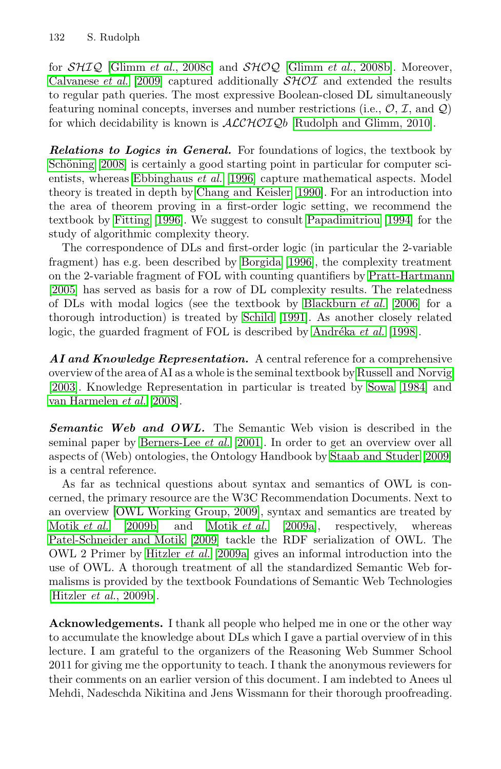for SHIQ [Glimm *et al.*[, 2008c\]](#page-58-13) and SHOQ [Glimm *et al.*[, 2008b\]](#page-58-14). Moreover, [Calvanese](#page-57-2) *et al.* [\[2009\]](#page-57-2) captured additionally  $\mathcal{SHOT}$  and extended the results to regular path queries. The most expressive Boolean-closed DL simultaneously featuring nominal concepts, inverses and number restrictions (i.e.,  $\mathcal{O}, \mathcal{I}$ , and  $\mathcal{Q}$ ) for which decidability is known is  $\text{ALCHOLQ}b$  [\[Rudolph and Glimm, 2010\]](#page-59-8).

*Relations to Logics in General.* For foundations of logics, the textbook by Schöning [\[2008\]](#page-60-10) is certainly a good starting point in particular for computer scientists, whereas [Ebbinghaus](#page-57-9) *et al.* [\[1996\]](#page-57-9) capture mathematical aspects. Model theory is treated in depth by [Chang and Keisler](#page-57-10) [\[1990\]](#page-57-10). For an introduction into the area of theorem proving in a first-order logic setting, we recommend the textbook by [Fitting](#page-57-11) [\[1996\]](#page-57-11). We suggest to consult [Papadimitriou](#page-59-9) [\[1994\]](#page-59-9) for the study of algorithmic complexity theory.

The correspondence of DLs and first-order logic (in particular the 2-variable fragment) has e.g. been described by [Borgida](#page-57-0) [\[1996\]](#page-57-0), the complexity treatment on the 2-variable fragment of FOL with counting quantifiers by [Pratt-Hartmann](#page-59-2) [\[2005\]](#page-59-2) has served as basis for a row of DL complexity results. The relatedness of DLs with modal logics (see the textbook by [Blackburn](#page-57-12) *et al.* [\[2006\]](#page-57-12) for a thorough introduction) is treated by [Schild](#page-60-3) [\[1991\]](#page-60-3). As another closely related logic, the guarded fragment of FOL is described by Andréka *et al.* [\[1998\]](#page-57-1).

*AI and Knowledge Representation.* A central reference for a comprehensive overview of the area of AI as a whole is the seminal textbook by [Russell and Norvig](#page-59-10) [\[2003\]](#page-59-10). Knowledge Representation in particular is treated by [Sowa](#page-60-11) [\[1984\]](#page-60-11) and [van Harmelen](#page-60-12) *et al.* [\[2008\]](#page-60-12).

*Semantic Web and OWL.* The Semantic Web vision is described in the seminal paper by [Berners-Lee](#page-57-13) *et al.* [\[2001\]](#page-57-13). In order to get an overview over all aspects of (Web) ontologies, the Ontology Handbook by [Staab and Studer](#page-60-13) [\[2009\]](#page-60-13) is a central reference.

As far as technical questions about syntax and semantics of OWL is concerned, the primary resource are the W3C Recommendation Documents. Next to an overview [\[OWL Working Group, 2009\]](#page-59-11), syntax and semantics are treated by [Motik](#page-59-12) *et al.* [\[2009b\]](#page-59-12) and [Motik](#page-59-13) *et al.* [\[2009a\]](#page-59-13), respectively, whereas [Patel-Schneider and Motik](#page-59-14) [\[2009\]](#page-59-14) tackle the RDF serialization of OWL. The OWL 2 Primer by [Hitzler](#page-58-15) *et al.* [\[2009a\]](#page-58-15) gives an informal introduction into the use of OWL. A thorough treatment of all the standardized Semantic Web formalisms is provided by the textbook Foundations of Semantic Web Technologies [Hitzler *et al.*[, 2009b\]](#page-58-16).

**Acknowledgements.** I thank all people who helped me in one or the other way to accumulate the knowledge about DLs which I gave a partial overview of in this lecture. I am grateful to the organizers of the Reasoning Web Summer School 2011 for giving me the opportunity to teach. I thank the anonymous reviewers for their comments on an earlier version of this document. I am indebted to Anees ul Mehdi, Nadeschda Nikitina and Jens Wissmann for their thorough proofreading.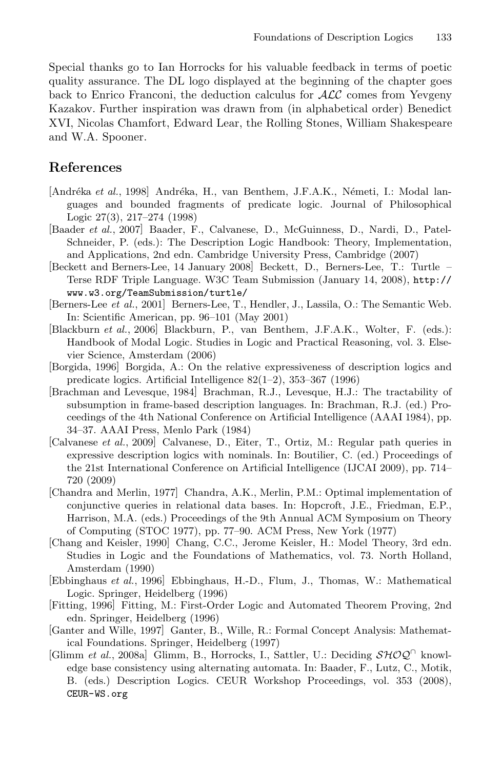Special thanks go to Ian Horrocks for his valuable feedback in terms of poetic quality assurance. The DL logo displayed at the beginning of the chapter goes back to Enrico Franconi, the deduction calculus for ALC comes from Yevgeny Kazakov. Further inspiration was drawn from (in alphabetical order) Benedict XVI, Nicolas Chamfort, Edward Lear, the Rolling Stones, William Shakespeare and W.A. Spooner.

# **References**

- <span id="page-57-1"></span>[Andréka et al., 1998] Andréka, H., van Benthem, J.F.A.K., Németi, I.: Modal languages and bounded fragments of predicate logic. Journal of Philosophical Logic 27(3), 217–274 (1998)
- <span id="page-57-8"></span>[Baader et al., 2007] Baader, F., Calvanese, D., McGuinness, D., Nardi, D., Patel-Schneider, P. (eds.): The Description Logic Handbook: Theory, Implementation, and Applications, 2nd edn. Cambridge University Press, Cambridge (2007)
- <span id="page-57-7"></span>[Beckett and Berners-Lee, 14 January 2008] Beckett, D., Berners-Lee, T.: Turtle – Terse RDF Triple Language. W3C Team Submission (January 14, 2008), [http://](http://www.w3.org/TeamSubmission/turtle/) [www.w3.org/TeamSubmission/turtle/](http://www.w3.org/TeamSubmission/turtle/)
- <span id="page-57-13"></span>[Berners-Lee et al., 2001] Berners-Lee, T., Hendler, J., Lassila, O.: The Semantic Web. In: Scientific American, pp. 96–101 (May 2001)
- <span id="page-57-12"></span>[Blackburn et al., 2006] Blackburn, P., van Benthem, J.F.A.K., Wolter, F. (eds.): Handbook of Modal Logic. Studies in Logic and Practical Reasoning, vol. 3. Elsevier Science, Amsterdam (2006)
- <span id="page-57-0"></span>[Borgida, 1996] Borgida, A.: On the relative expressiveness of description logics and predicate logics. Artificial Intelligence 82(1–2), 353–367 (1996)
- <span id="page-57-3"></span>[Brachman and Levesque, 1984] Brachman, R.J., Levesque, H.J.: The tractability of subsumption in frame-based description languages. In: Brachman, R.J. (ed.) Proceedings of the 4th National Conference on Artificial Intelligence (AAAI 1984), pp. 34–37. AAAI Press, Menlo Park (1984)
- <span id="page-57-2"></span>[Calvanese et al., 2009] Calvanese, D., Eiter, T., Ortiz, M.: Regular path queries in expressive description logics with nominals. In: Boutilier, C. (ed.) Proceedings of the 21st International Conference on Artificial Intelligence (IJCAI 2009), pp. 714– 720 (2009)
- <span id="page-57-5"></span>[Chandra and Merlin, 1977] Chandra, A.K., Merlin, P.M.: Optimal implementation of conjunctive queries in relational data bases. In: Hopcroft, J.E., Friedman, E.P., Harrison, M.A. (eds.) Proceedings of the 9th Annual ACM Symposium on Theory of Computing (STOC 1977), pp. 77–90. ACM Press, New York (1977)
- <span id="page-57-10"></span>[Chang and Keisler, 1990] Chang, C.C., Jerome Keisler, H.: Model Theory, 3rd edn. Studies in Logic and the Foundations of Mathematics, vol. 73. North Holland, Amsterdam (1990)
- <span id="page-57-9"></span>[Ebbinghaus et al., 1996] Ebbinghaus, H.-D., Flum, J., Thomas, W.: Mathematical Logic. Springer, Heidelberg (1996)
- <span id="page-57-11"></span>[Fitting, 1996] Fitting, M.: First-Order Logic and Automated Theorem Proving, 2nd edn. Springer, Heidelberg (1996)
- <span id="page-57-4"></span>[Ganter and Wille, 1997] Ganter, B., Wille, R.: Formal Concept Analysis: Mathematical Foundations. Springer, Heidelberg (1997)
- <span id="page-57-6"></span>[Glimm *et al.*, 2008a] Glimm, B., Horrocks, I., Sattler, U.: Deciding  $\mathcal{SHOQ}^{\cap}$  knowledge base consistency using alternating automata. In: Baader, F., Lutz, C., Motik, B. (eds.) Description Logics. CEUR Workshop Proceedings, vol. 353 (2008), <CEUR-WS.org>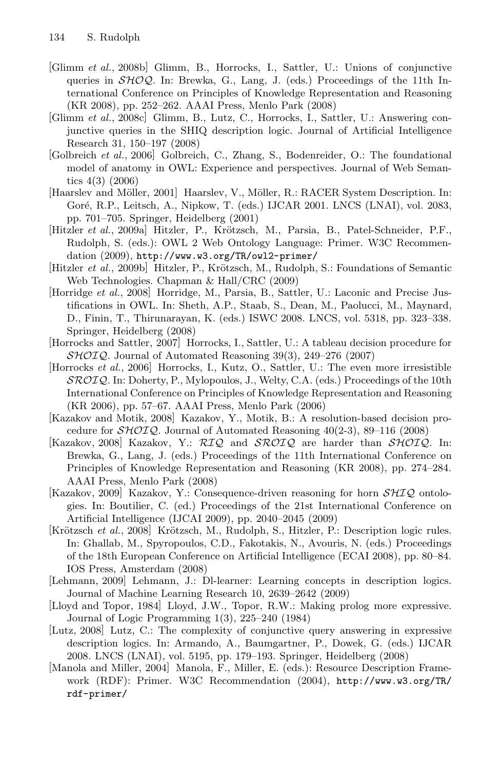- <span id="page-58-14"></span>[Glimm et al., 2008b] Glimm, B., Horrocks, I., Sattler, U.: Unions of conjunctive queries in  $\mathcal{SHOQ}$ . In: Brewka, G., Lang, J. (eds.) Proceedings of the 11th International Conference on Principles of Knowledge Representation and Reasoning (KR 2008), pp. 252–262. AAAI Press, Menlo Park (2008)
- <span id="page-58-13"></span>[Glimm et al., 2008c] Glimm, B., Lutz, C., Horrocks, I., Sattler, U.: Answering conjunctive queries in the SHIQ description logic. Journal of Artificial Intelligence Research 31, 150–197 (2008)
- <span id="page-58-0"></span>[Golbreich et al., 2006] Golbreich, C., Zhang, S., Bodenreider, O.: The foundational model of anatomy in OWL: Experience and perspectives. Journal of Web Semantics 4(3) (2006)
- <span id="page-58-7"></span>[Haarslev and Möller, 2001] Haarslev, V., Möller, R.: RACER System Description. In: Goré, R.P., Leitsch, A., Nipkow, T. (eds.) IJCAR 2001. LNCS (LNAI), vol. 2083, pp. 701–705. Springer, Heidelberg (2001)
- <span id="page-58-15"></span>[Hitzler et al., 2009a] Hitzler, P., Krötzsch, M., Parsia, B., Patel-Schneider, P.F., Rudolph, S. (eds.): OWL 2 Web Ontology Language: Primer. W3C Recommendation (2009), <http://www.w3.org/TR/owl2-primer/>
- <span id="page-58-16"></span>[Hitzler et al., 2009b] Hitzler, P., Krötzsch, M., Rudolph, S.: Foundations of Semantic Web Technologies. Chapman & Hall/CRC (2009)
- <span id="page-58-6"></span>[Horridge et al., 2008] Horridge, M., Parsia, B., Sattler, U.: Laconic and Precise Justifications in OWL. In: Sheth, A.P., Staab, S., Dean, M., Paolucci, M., Maynard, D., Finin, T., Thirunarayan, K. (eds.) ISWC 2008. LNCS, vol. 5318, pp. 323–338. Springer, Heidelberg (2008)
- <span id="page-58-9"></span>[Horrocks and Sattler, 2007] Horrocks, I., Sattler, U.: A tableau decision procedure for  $SHOTQ$ . Journal of Automated Reasoning 39(3), 249–276 (2007)
- <span id="page-58-1"></span>[Horrocks et al., 2006] Horrocks, I., Kutz, O., Sattler, U.: The even more irresistible  $\mathcal{SROTQ}$ . In: Doherty, P., Mylopoulos, J., Welty, C.A. (eds.) Proceedings of the 10th International Conference on Principles of Knowledge Representation and Reasoning (KR 2006), pp. 57–67. AAAI Press, Menlo Park (2006)
- <span id="page-58-10"></span>[Kazakov and Motik, 2008] Kazakov, Y., Motik, B.: A resolution-based decision procedure for  $\mathcal{SHOLQ}$ . Journal of Automated Reasoning 40(2-3), 89–116 (2008)
- <span id="page-58-12"></span>|Kazakov, 2008| Kazakov, Y.:  $\mathcal{R}IQ$  and  $\mathcal{SRO}IQ$  are harder than  $\mathcal{SHO}IQ$ . In: Brewka, G., Lang, J. (eds.) Proceedings of the 11th International Conference on Principles of Knowledge Representation and Reasoning (KR 2008), pp. 274–284. AAAI Press, Menlo Park (2008)
- <span id="page-58-8"></span>[Kazakov, 2009] Kazakov, Y.: Consequence-driven reasoning for horn  $\mathcal{SHIQ}$  ontologies. In: Boutilier, C. (ed.) Proceedings of the 21st International Conference on Artificial Intelligence (IJCAI 2009), pp. 2040–2045 (2009)
- <span id="page-58-3"></span>[Krötzsch et al., 2008] Krötzsch, M., Rudolph, S., Hitzler, P.: Description logic rules. In: Ghallab, M., Spyropoulos, C.D., Fakotakis, N., Avouris, N. (eds.) Proceedings of the 18th European Conference on Artificial Intelligence (ECAI 2008), pp. 80–84. IOS Press, Amsterdam (2008)
- <span id="page-58-5"></span>[Lehmann, 2009] Lehmann, J.: Dl-learner: Learning concepts in description logics. Journal of Machine Learning Research 10, 2639–2642 (2009)
- <span id="page-58-2"></span>[Lloyd and Topor, 1984] Lloyd, J.W., Topor, R.W.: Making prolog more expressive. Journal of Logic Programming 1(3), 225–240 (1984)
- <span id="page-58-4"></span>[Lutz, 2008] Lutz, C.: The complexity of conjunctive query answering in expressive description logics. In: Armando, A., Baumgartner, P., Dowek, G. (eds.) IJCAR 2008. LNCS (LNAI), vol. 5195, pp. 179–193. Springer, Heidelberg (2008)
- <span id="page-58-11"></span>[Manola and Miller, 2004] Manola, F., Miller, E. (eds.): Resource Description Framework (RDF): Primer. W3C Recommendation (2004), [http://www.w3.org/TR/](http://www.w3.org/TR/rdf-primer/) [rdf-primer/](http://www.w3.org/TR/rdf-primer/)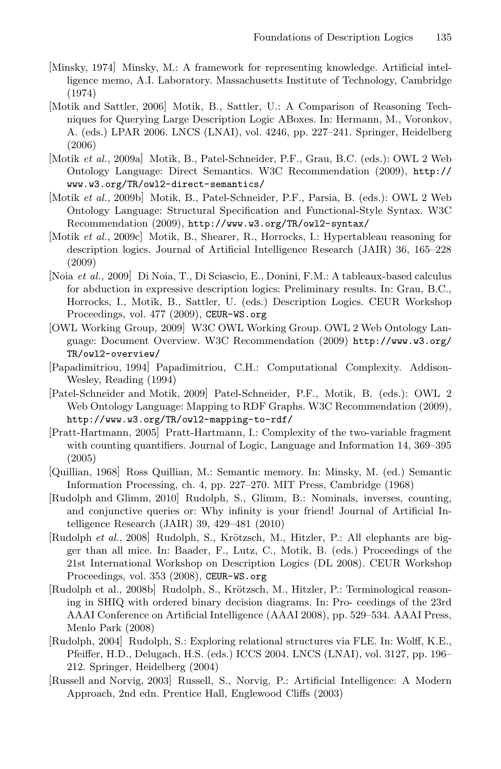- <span id="page-59-1"></span>[Minsky, 1974] Minsky, M.: A framework for representing knowledge. Artificial intelligence memo, A.I. Laboratory. Massachusetts Institute of Technology, Cambridge (1974)
- <span id="page-59-7"></span>[Motik and Sattler, 2006] Motik, B., Sattler, U.: A Comparison of Reasoning Techniques for Querying Large Description Logic ABoxes. In: Hermann, M., Voronkov, A. (eds.) LPAR 2006. LNCS (LNAI), vol. 4246, pp. 227–241. Springer, Heidelberg (2006)
- <span id="page-59-13"></span>[Motik et al., 2009a] Motik, B., Patel-Schneider, P.F., Grau, B.C. (eds.): OWL 2 Web Ontology Language: Direct Semantics. W3C Recommendation (2009), [http://](http://www.w3.org/TR/owl2-direct-semantics/) [www.w3.org/TR/owl2-direct-semantics/](http://www.w3.org/TR/owl2-direct-semantics/)
- <span id="page-59-12"></span>[Motik et al., 2009b] Motik, B., Patel-Schneider, P.F., Parsia, B. (eds.): OWL 2 Web Ontology Language: Structural Specification and Functional-Style Syntax. W3C Recommendation (2009), <http://www.w3.org/TR/owl2-syntax/>
- <span id="page-59-3"></span>[Motik et al., 2009c] Motik, B., Shearer, R., Horrocks, I.: Hypertableau reasoning for description logics. Journal of Artificial Intelligence Research (JAIR) 36, 165–228 (2009)
- <span id="page-59-6"></span>[Noia et al., 2009] Di Noia, T., Di Sciascio, E., Donini, F.M.: A tableaux-based calculus for abduction in expressive description logics: Preliminary results. In: Grau, B.C., Horrocks, I., Motik, B., Sattler, U. (eds.) Description Logics. CEUR Workshop Proceedings, vol. 477 (2009), <CEUR-WS.org>
- <span id="page-59-11"></span>[OWL Working Group, 2009] W3C OWL Working Group. OWL 2 Web Ontology Language: Document Overview. W3C Recommendation (2009) [http://www.w3.org/](http://www.w3.org/TR/owl2-overview/) [TR/owl2-overview/](http://www.w3.org/TR/owl2-overview/)
- <span id="page-59-9"></span>[Papadimitriou, 1994] Papadimitriou, C.H.: Computational Complexity. Addison-Wesley, Reading (1994)
- <span id="page-59-14"></span>[Patel-Schneider and Motik, 2009] Patel-Schneider, P.F., Motik, B. (eds.): OWL 2 Web Ontology Language: Mapping to RDF Graphs. W3C Recommendation (2009), <http://www.w3.org/TR/owl2-mapping-to-rdf/>
- <span id="page-59-2"></span>[Pratt-Hartmann, 2005] Pratt-Hartmann, I.: Complexity of the two-variable fragment with counting quantifiers. Journal of Logic, Language and Information 14, 369–395 (2005)
- <span id="page-59-0"></span>[Quillian, 1968] Ross Quillian, M.: Semantic memory. In: Minsky, M. (ed.) Semantic Information Processing, ch. 4, pp. 227–270. MIT Press, Cambridge (1968)
- <span id="page-59-8"></span>[Rudolph and Glimm, 2010] Rudolph, S., Glimm, B.: Nominals, inverses, counting, and conjunctive queries or: Why infinity is your friend! Journal of Artificial Intelligence Research (JAIR) 39, 429–481 (2010)
- <span id="page-59-4"></span>[Rudolph et al., 2008] Rudolph, S., Krötzsch, M., Hitzler, P.: All elephants are bigger than all mice. In: Baader, F., Lutz, C., Motik, B. (eds.) Proceedings of the 21st International Workshop on Description Logics (DL 2008). CEUR Workshop Proceedings, vol. 353 (2008), <CEUR-WS.org>
- [Rudolph et al., 2008b] Rudolph, S., Krötzsch, M., Hitzler, P.: Terminological reasoning in SHIQ with ordered binary decision diagrams. In: Pro- ceedings of the 23rd AAAI Conference on Artificial Intelligence (AAAI 2008), pp. 529–534. AAAI Press, Menlo Park (2008)
- <span id="page-59-5"></span>[Rudolph, 2004] Rudolph, S.: Exploring relational structures via FLE. In: Wolff, K.E., Pfeiffer, H.D., Delugach, H.S. (eds.) ICCS 2004. LNCS (LNAI), vol. 3127, pp. 196– 212. Springer, Heidelberg (2004)
- <span id="page-59-10"></span>[Russell and Norvig, 2003] Russell, S., Norvig, P.: Artificial Intelligence: A Modern Approach, 2nd edn. Prentice Hall, Englewood Cliffs (2003)